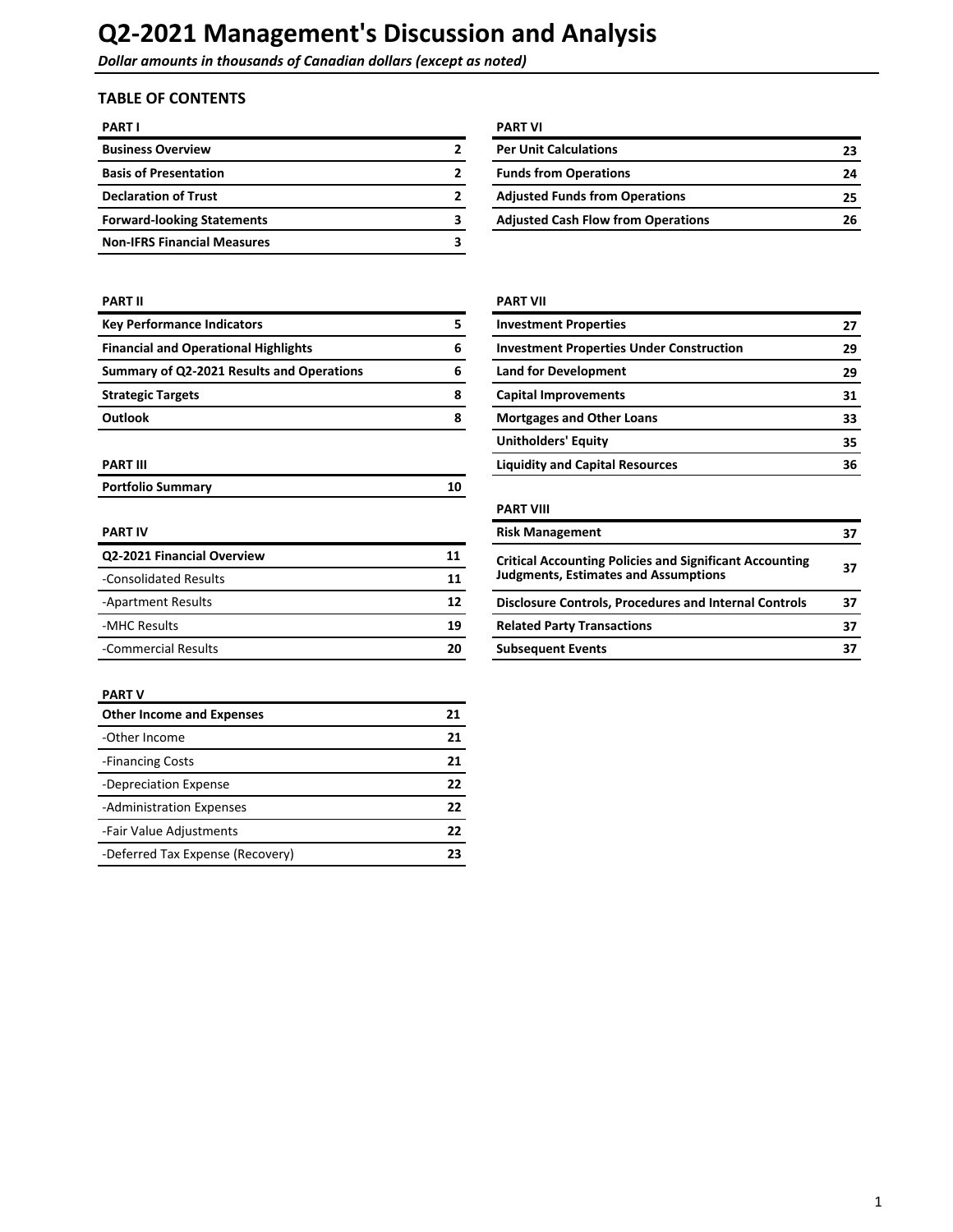**Dollar amounts in thousands of Canadian dollars (except as noted)** 

## **TABLE OF CONTENTS**

| <b>PART I</b>                      | <b>PART VI</b>                            |    |
|------------------------------------|-------------------------------------------|----|
| <b>Business Overview</b>           | <b>Per Unit Calculations</b>              | 23 |
| <b>Basis of Presentation</b>       | <b>Funds from Operations</b>              | 24 |
| <b>Declaration of Trust</b>        | <b>Adjusted Funds from Operations</b>     | 25 |
| <b>Forward-looking Statements</b>  | <b>Adjusted Cash Flow from Operations</b> | 26 |
| <b>Non-IFRS Financial Measures</b> |                                           |    |

| <b>PART VI</b>                            |    |
|-------------------------------------------|----|
| <b>Per Unit Calculations</b>              | 23 |
| <b>Funds from Operations</b>              | 24 |
| <b>Adjusted Funds from Operations</b>     | 25 |
| <b>Adjusted Cash Flow from Operations</b> | 26 |

| <b>Key Performance Indicators</b>           | 5 |
|---------------------------------------------|---|
| <b>Financial and Operational Highlights</b> | 6 |
| Summary of Q2-2021 Results and Operations   | 6 |
| <b>Strategic Targets</b>                    | 8 |
| <b>Outlook</b>                              | я |

| <b>Portfolio Summary</b> |  |
|--------------------------|--|
|                          |  |

| Q2-2021 Financial Overview | 11 | <b>Critical Accounting Policies and Significant Accounting</b> |  |
|----------------------------|----|----------------------------------------------------------------|--|
| -Consolidated Results      | 11 | <b>Judgments, Estimates and Assumptions</b>                    |  |
| -Apartment Results         | 12 | Disclosure Controls, Procedures and Internal Controls          |  |
| -MHC Results               | 19 | <b>Related Party Transactions</b>                              |  |
| -Commercial Results        |    | <b>Subsequent Events</b>                                       |  |

#### **PART V**

| <b>Other Income and Expenses</b> | 21 |
|----------------------------------|----|
| -Other Income                    | 21 |
| -Financing Costs                 | 21 |
| -Depreciation Expense            | 22 |
| -Administration Expenses         | 22 |
| -Fair Value Adjustments          | 22 |
| -Deferred Tax Expense (Recovery) |    |

### **PART II PART II**

| <b>Key Performance Indicators</b>           |   | <b>Investment Properties</b>                    | 27 |
|---------------------------------------------|---|-------------------------------------------------|----|
| <b>Financial and Operational Highlights</b> | 6 | <b>Investment Properties Under Construction</b> | 29 |
| Summary of Q2-2021 Results and Operations   | 6 | <b>Land for Development</b>                     | 29 |
| <b>Strategic Targets</b>                    | 8 | <b>Capital Improvements</b>                     | 31 |
| Outlook                                     | 8 | <b>Mortgages and Other Loans</b>                | 33 |
|                                             |   | <b>Unitholders' Equity</b>                      | 35 |
| PART III                                    |   | <b>Liquidity and Capital Resources</b>          | 36 |

### **PART VIII**

| <b>PART IV</b>                   |    | <b>Risk Management</b>                                         |    |  |
|----------------------------------|----|----------------------------------------------------------------|----|--|
| Q2-2021 Financial Overview<br>11 |    | <b>Critical Accounting Policies and Significant Accounting</b> |    |  |
| -Consolidated Results            | 11 | <b>Judgments, Estimates and Assumptions</b>                    | 37 |  |
| -Apartment Results               | 12 | <b>Disclosure Controls, Procedures and Internal Controls</b>   | 37 |  |
| -MHC Results                     | 19 | <b>Related Party Transactions</b>                              | 37 |  |
| -Commercial Results              | 20 | <b>Subsequent Events</b>                                       | 37 |  |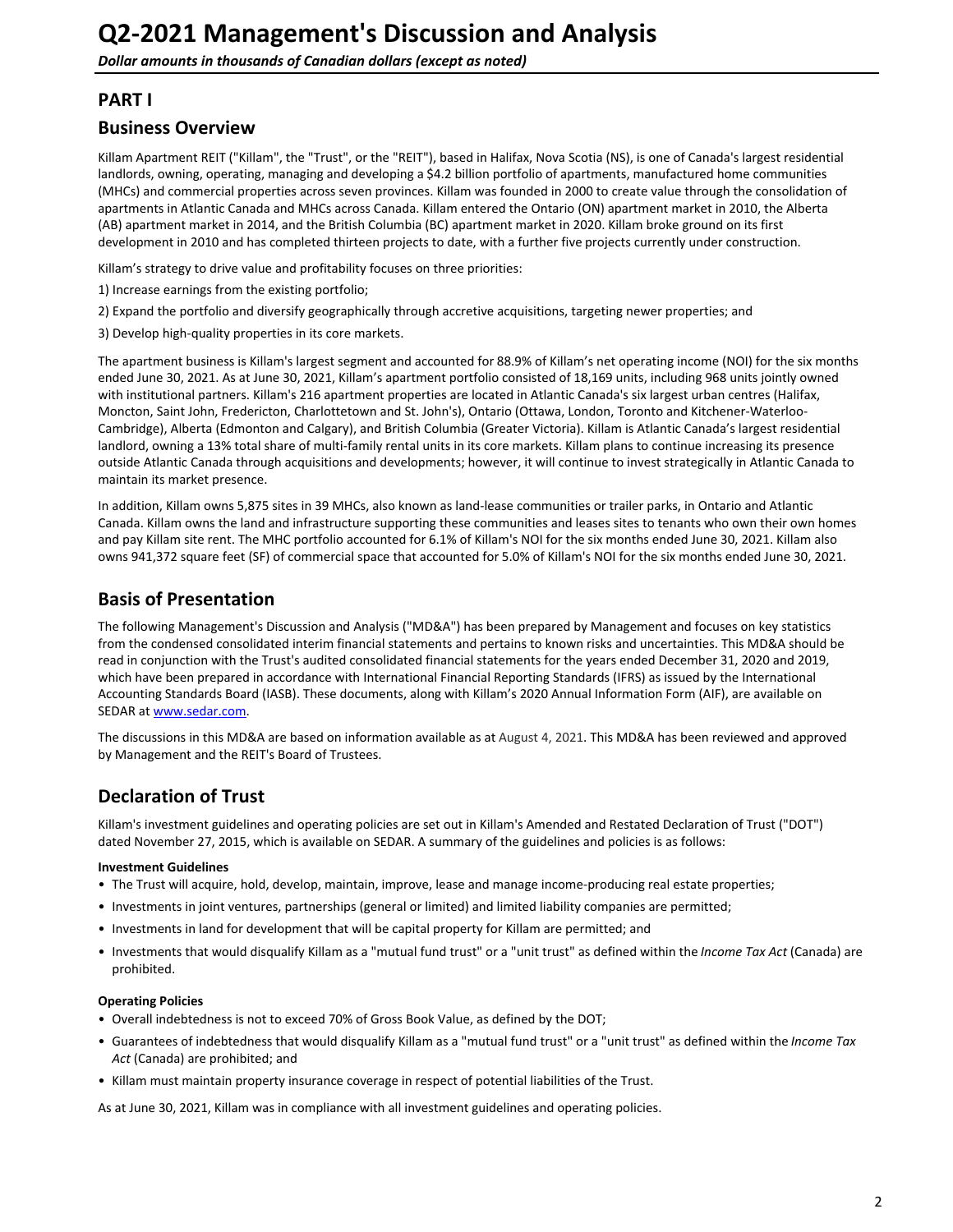## <span id="page-1-0"></span>**PART I**

## **Business Overview**

Killam Apartment REIT ("Killam", the "Trust", or the "REIT"), based in Halifax, Nova Scotia (NS), is one of Canada's largest residential landlords, owning, operating, managing and developing a \$4.2 billion portfolio of apartments, manufactured home communities (MHCs) and commercial properties across seven provinces. Killam was founded in 2000 to create value through the consolidation of apartments in Atlantic Canada and MHCs across Canada. Killam entered the Ontario (ON) apartment market in 2010, the Alberta (AB) apartment market in 2014, and the British Columbia (BC) apartment market in 2020. Killam broke ground on its first development in 2010 and has completed thirteen projects to date, with a further five projects currently under construction.

Killam's strategy to drive value and profitability focuses on three priorities:

- 1) Increase earnings from the existing portfolio;
- 2) Expand the portfolio and diversify geographically through accretive acquisitions, targeting newer properties; and
- 3) Develop high-quality properties in its core markets.

The apartment business is Killam's largest segment and accounted for 88.9% of Killam's net operating income (NOI) for the six months ended June 30, 2021. As at June 30, 2021, Killam's apartment portfolio consisted of 18,169 units, including 968 units jointly owned with institutional partners. Killam's 216 apartment properties are located in Atlantic Canada's six largest urban centres (Halifax, Moncton, Saint John, Fredericton, Charlottetown and St. John's), Ontario (Ottawa, London, Toronto and Kitchener-Waterloo-Cambridge), Alberta (Edmonton and Calgary), and British Columbia (Greater Victoria). Killam is Atlantic Canada's largest residential landlord, owning a 13% total share of multi-family rental units in its core markets. Killam plans to continue increasing its presence outside Atlantic Canada through acquisitions and developments; however, it will continue to invest strategically in Atlantic Canada to maintain its market presence.

In addition, Killam owns 5,875 sites in 39 MHCs, also known as land-lease communities or trailer parks, in Ontario and Atlantic Canada. Killam owns the land and infrastructure supporting these communities and leases sites to tenants who own their own homes and pay Killam site rent. The MHC portfolio accounted for 6.1% of Killam's NOI for the six months ended June 30, 2021. Killam also owns 941,372 square feet (SF) of commercial space that accounted for 5.0% of Killam's NOI for the six months ended June 30, 2021.

## **Basis of Presentation**

The following Management's Discussion and Analysis ("MD&A") has been prepared by Management and focuses on key statistics from the condensed consolidated interim financial statements and pertains to known risks and uncertainties. This MD&A should be read in conjunction with the Trust's audited consolidated financial statements for the years ended December 31, 2020 and 2019, which have been prepared in accordance with International Financial Reporting Standards (IFRS) as issued by the International Accounting Standards Board (IASB). These documents, along with Killam's 2020 Annual Information Form (AIF), are available on SEDAR at [www.sedar.com](http://www.sedar.com).

The discussions in this MD&A are based on information available as at August 4, 2021. This MD&A has been reviewed and approved by Management and the REIT's Board of Trustees.

## **Declaration of Trust**

Killam's investment guidelines and operating policies are set out in Killam's Amended and Restated Declaration of Trust ("DOT") dated November 27, 2015, which is available on SEDAR. A summary of the guidelines and policies is as follows:

#### **Investment Guidelines**

- The Trust will acquire, hold, develop, maintain, improve, lease and manage income-producing real estate properties;
- Investments in joint ventures, partnerships (general or limited) and limited liability companies are permitted;
- Investments in land for development that will be capital property for Killam are permitted; and
- Investments that would disqualify Killam as a "mutual fund trust" or a "unit trust" as defined within the *Income Tax Act* (Canada) are prohibited.

#### **Operating Policies**

- Overall indebtedness is not to exceed 70% of Gross Book Value, as defined by the DOT;
- Guarantees of indebtedness that would disqualify Killam as a "mutual fund trust" or a "unit trust" as defined within the *Income Tax* Act (Canada) are prohibited; and
- Killam must maintain property insurance coverage in respect of potential liabilities of the Trust.

As at June 30, 2021, Killam was in compliance with all investment guidelines and operating policies.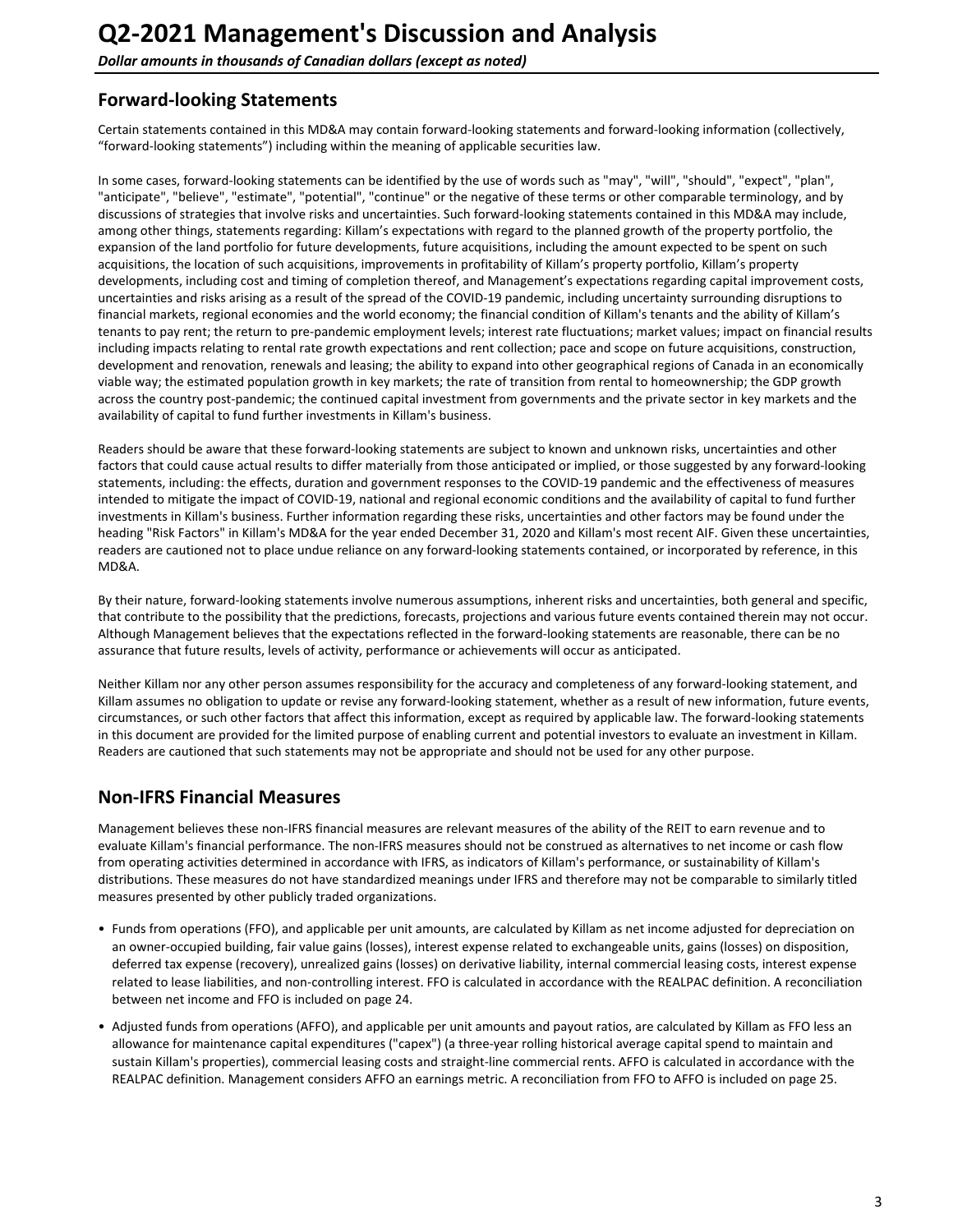## <span id="page-2-0"></span>**Forward-looking Statements**

Certain statements contained in this MD&A may contain forward-looking statements and forward-looking information (collectively, "forward-looking statements") including within the meaning of applicable securities law.

In some cases, forward-looking statements can be identified by the use of words such as "may", "will", "should", "expect", "plan", "anticipate", "believe", "estimate", "potential", "continue" or the negative of these terms or other comparable terminology, and by discussions of strategies that involve risks and uncertainties. Such forward-looking statements contained in this MD&A may include, among other things, statements regarding: Killam's expectations with regard to the planned growth of the property portfolio, the expansion of the land portfolio for future developments, future acquisitions, including the amount expected to be spent on such acquisitions, the location of such acquisitions, improvements in profitability of Killam's property portfolio, Killam's property developments, including cost and timing of completion thereof, and Management's expectations regarding capital improvement costs, uncertainties and risks arising as a result of the spread of the COVID-19 pandemic, including uncertainty surrounding disruptions to financial markets, regional economies and the world economy; the financial condition of Killam's tenants and the ability of Killam's tenants to pay rent; the return to pre-pandemic employment levels; interest rate fluctuations; market values; impact on financial results including impacts relating to rental rate growth expectations and rent collection; pace and scope on future acquisitions, construction, development and renovation, renewals and leasing; the ability to expand into other geographical regions of Canada in an economically viable way; the estimated population growth in key markets; the rate of transition from rental to homeownership; the GDP growth across the country post-pandemic; the continued capital investment from governments and the private sector in key markets and the availability of capital to fund further investments in Killam's business.

Readers should be aware that these forward-looking statements are subject to known and unknown risks, uncertainties and other factors that could cause actual results to differ materially from those anticipated or implied, or those suggested by any forward-looking statements, including: the effects, duration and government responses to the COVID-19 pandemic and the effectiveness of measures intended to mitigate the impact of COVID-19, national and regional economic conditions and the availability of capital to fund further investments in Killam's business. Further information regarding these risks, uncertainties and other factors may be found under the heading "Risk Factors" in Killam's MD&A for the year ended December 31, 2020 and Killam's most recent AIF. Given these uncertainties, readers are cautioned not to place undue reliance on any forward-looking statements contained, or incorporated by reference, in this MD&A.

By their nature, forward-looking statements involve numerous assumptions, inherent risks and uncertainties, both general and specific, that contribute to the possibility that the predictions, forecasts, projections and various future events contained therein may not occur. Although Management believes that the expectations reflected in the forward-looking statements are reasonable, there can be no assurance that future results, levels of activity, performance or achievements will occur as anticipated.

Neither Killam nor any other person assumes responsibility for the accuracy and completeness of any forward-looking statement, and Killam assumes no obligation to update or revise any forward-looking statement, whether as a result of new information, future events, circumstances, or such other factors that affect this information, except as required by applicable law. The forward-looking statements in this document are provided for the limited purpose of enabling current and potential investors to evaluate an investment in Killam. Readers are cautioned that such statements may not be appropriate and should not be used for any other purpose.

## **Non-IFRS Financial Measures**

Management believes these non-IFRS financial measures are relevant measures of the ability of the REIT to earn revenue and to evaluate Killam's financial performance. The non-IFRS measures should not be construed as alternatives to net income or cash flow from operating activities determined in accordance with IFRS, as indicators of Killam's performance, or sustainability of Killam's distributions. These measures do not have standardized meanings under IFRS and therefore may not be comparable to similarly titled measures presented by other publicly traded organizations.

- Funds from operations (FFO), and applicable per unit amounts, are calculated by Killam as net income adjusted for depreciation on an owner-occupied building, fair value gains (losses), interest expense related to exchangeable units, gains (losses) on disposition, deferred tax expense (recovery), unrealized gains (losses) on derivative liability, internal commercial leasing costs, interest expense related to lease liabilities, and non-controlling interest. FFO is calculated in accordance with the REALPAC definition. A reconciliation between net income and FFO is included on page 24.
- Adjusted funds from operations (AFFO), and applicable per unit amounts and payout ratios, are calculated by Killam as FFO less an allowance for maintenance capital expenditures ("capex") (a three-year rolling historical average capital spend to maintain and sustain Killam's properties), commercial leasing costs and straight-line commercial rents. AFFO is calculated in accordance with the REALPAC definition. Management considers AFFO an earnings metric. A reconciliation from FFO to AFFO is included on page 25.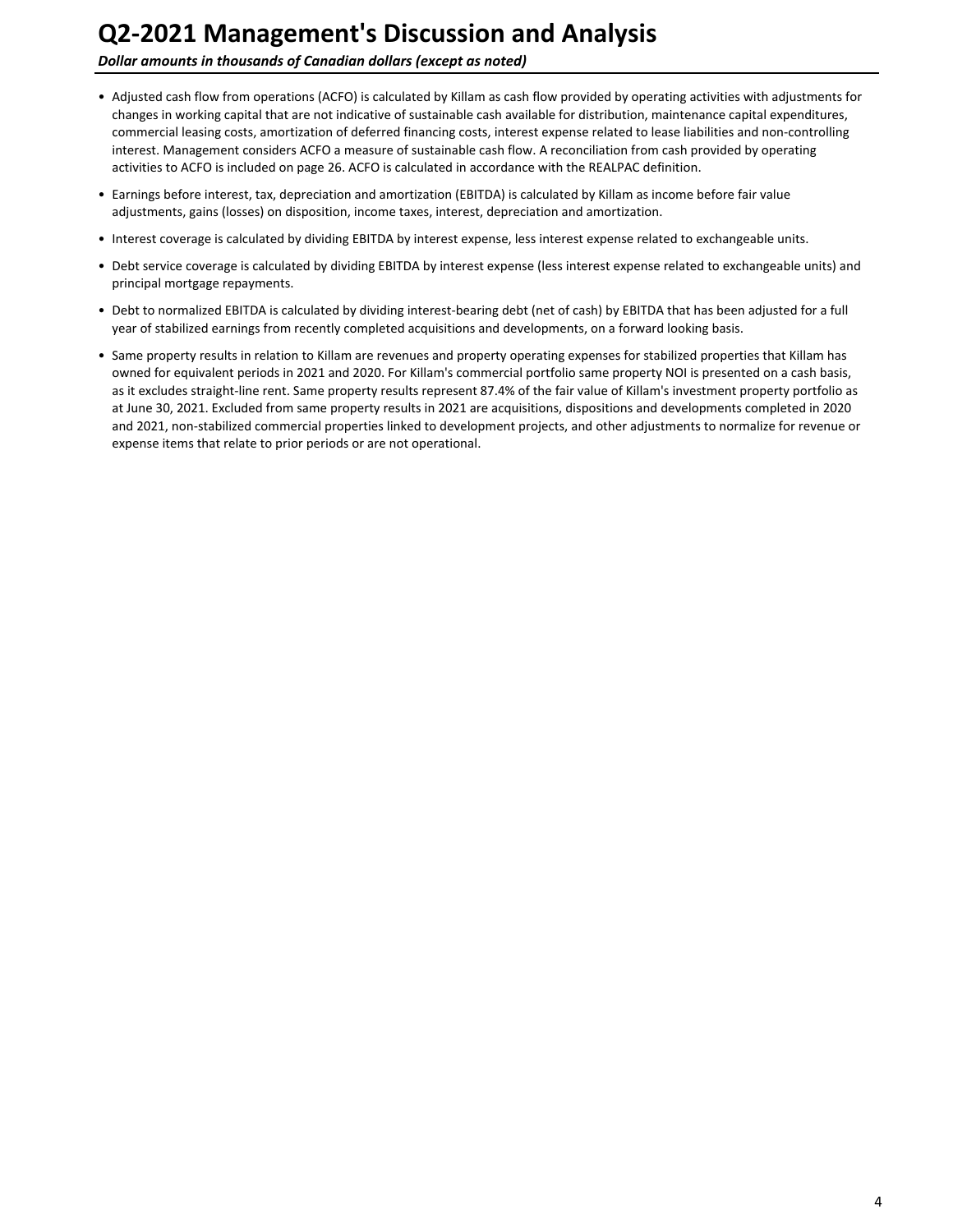**Dollar amounts in thousands of Canadian dollars (except as noted)** 

- Adjusted cash flow from operations (ACFO) is calculated by Killam as cash flow provided by operating activities with adjustments for changes in working capital that are not indicative of sustainable cash available for distribution, maintenance capital expenditures, commercial leasing costs, amortization of deferred financing costs, interest expense related to lease liabilities and non-controlling interest. Management considers ACFO a measure of sustainable cash flow. A reconciliation from cash provided by operating activities to ACFO is included on page 26. ACFO is calculated in accordance with the REALPAC definition.
- Earnings before interest, tax, depreciation and amortization (EBITDA) is calculated by Killam as income before fair value adjustments, gains (losses) on disposition, income taxes, interest, depreciation and amortization.
- Interest coverage is calculated by dividing EBITDA by interest expense, less interest expense related to exchangeable units.
- Debt service coverage is calculated by dividing EBITDA by interest expense (less interest expense related to exchangeable units) and principal mortgage repayments.
- Debt to normalized EBITDA is calculated by dividing interest-bearing debt (net of cash) by EBITDA that has been adjusted for a full year of stabilized earnings from recently completed acquisitions and developments, on a forward looking basis.
- Same property results in relation to Killam are revenues and property operating expenses for stabilized properties that Killam has owned for equivalent periods in 2021 and 2020. For Killam's commercial portfolio same property NOI is presented on a cash basis, as it excludes straight-line rent. Same property results represent 87.4% of the fair value of Killam's investment property portfolio as at June 30, 2021. Excluded from same property results in 2021 are acquisitions, dispositions and developments completed in 2020 and 2021, non-stabilized commercial properties linked to development projects, and other adjustments to normalize for revenue or expense items that relate to prior periods or are not operational.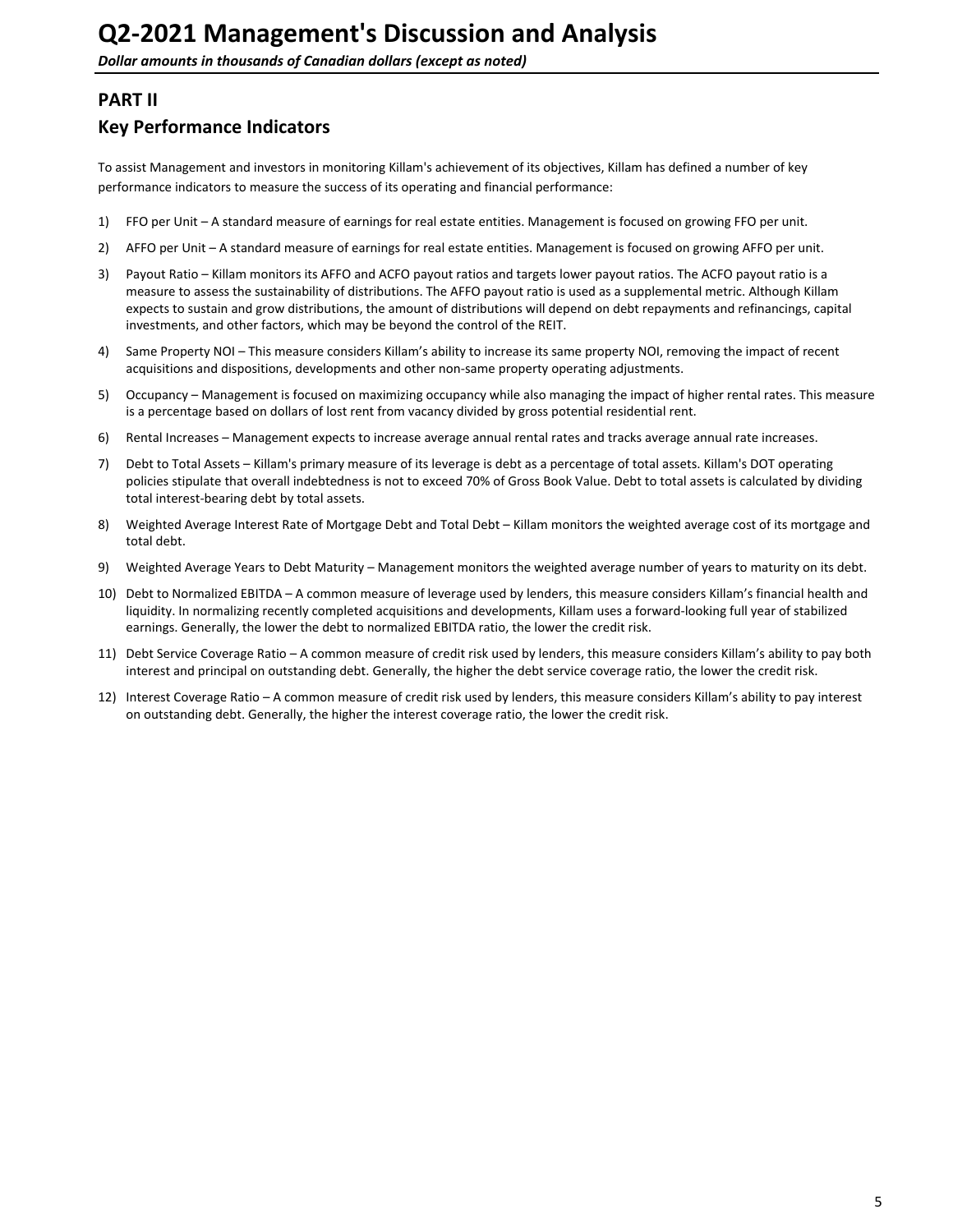## <span id="page-4-0"></span>**PART II**

## **Key Performance Indicators**

To assist Management and investors in monitoring Killam's achievement of its objectives, Killam has defined a number of key performance indicators to measure the success of its operating and financial performance:

- 1) FFO per Unit A standard measure of earnings for real estate entities. Management is focused on growing FFO per unit.
- 2) AFFO per Unit A standard measure of earnings for real estate entities. Management is focused on growing AFFO per unit.
- 3) Payout Ratio Killam monitors its AFFO and ACFO payout ratios and targets lower payout ratios. The ACFO payout ratio is a measure to assess the sustainability of distributions. The AFFO payout ratio is used as a supplemental metric. Although Killam expects to sustain and grow distributions, the amount of distributions will depend on debt repayments and refinancings, capital investments, and other factors, which may be beyond the control of the REIT.
- 4) Same Property NOI This measure considers Killam's ability to increase its same property NOI, removing the impact of recent acquisitions and dispositions, developments and other non-same property operating adjustments.
- 5) Occupancy Management is focused on maximizing occupancy while also managing the impact of higher rental rates. This measure is a percentage based on dollars of lost rent from vacancy divided by gross potential residential rent.
- 6) Rental Increases Management expects to increase average annual rental rates and tracks average annual rate increases.
- 7) Debt to Total Assets Killam's primary measure of its leverage is debt as a percentage of total assets. Killam's DOT operating policies stipulate that overall indebtedness is not to exceed 70% of Gross Book Value. Debt to total assets is calculated by dividing total interest-bearing debt by total assets.
- 8) Weighted Average Interest Rate of Mortgage Debt and Total Debt Killam monitors the weighted average cost of its mortgage and total debt.
- 9) Weighted Average Years to Debt Maturity Management monitors the weighted average number of years to maturity on its debt.
- 10) Debt to Normalized EBITDA A common measure of leverage used by lenders, this measure considers Killam's financial health and liquidity. In normalizing recently completed acquisitions and developments, Killam uses a forward-looking full year of stabilized earnings. Generally, the lower the debt to normalized EBITDA ratio, the lower the credit risk.
- 11) Debt Service Coverage Ratio A common measure of credit risk used by lenders, this measure considers Killam's ability to pay both interest and principal on outstanding debt. Generally, the higher the debt service coverage ratio, the lower the credit risk.
- 12) Interest Coverage Ratio A common measure of credit risk used by lenders, this measure considers Killam's ability to pay interest on outstanding debt. Generally, the higher the interest coverage ratio, the lower the credit risk.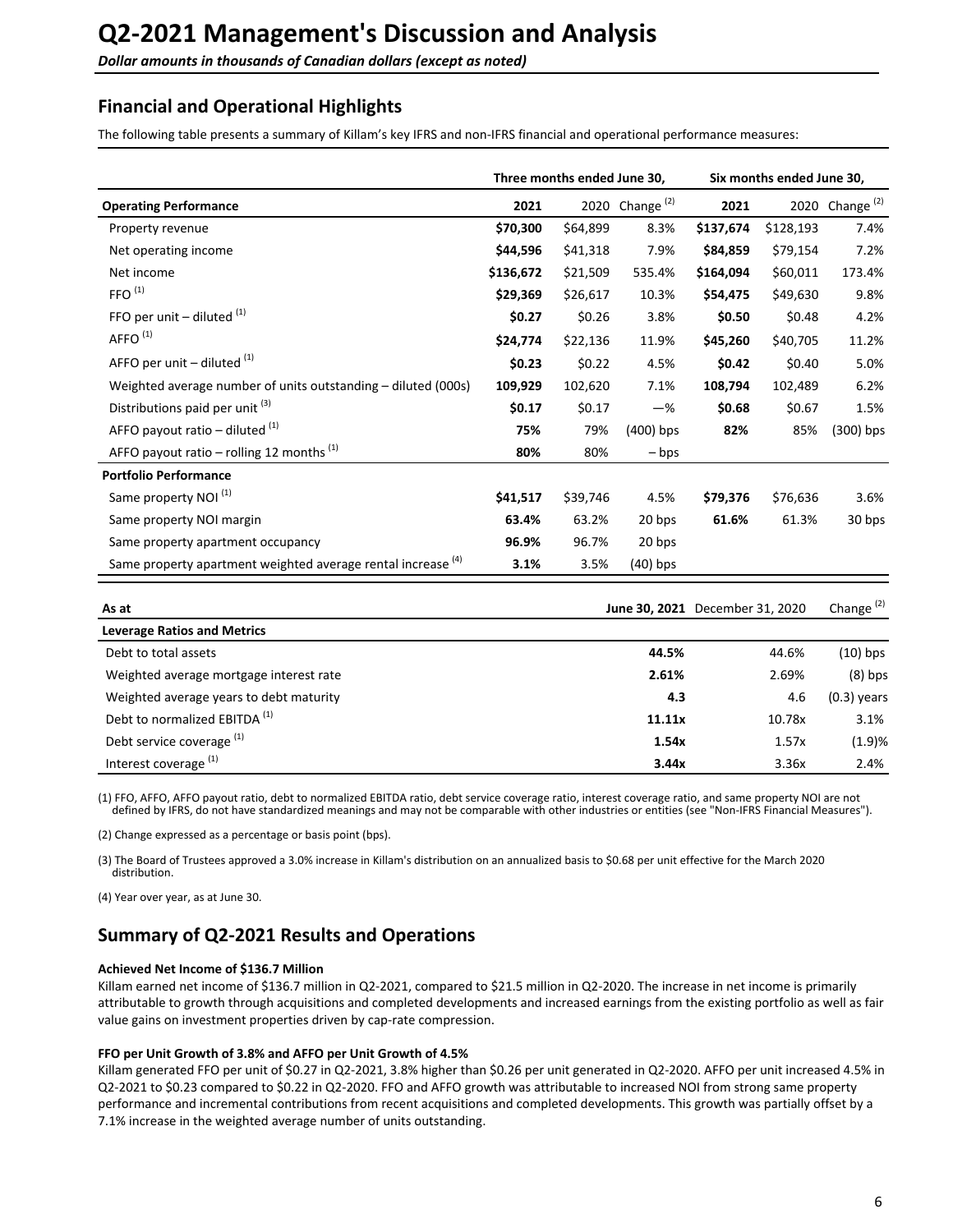## <span id="page-5-0"></span>**Financial and Operational Highlights**

The following table presents a summary of Killam's key IFRS and non-IFRS financial and operational performance measures:

|                                                                         | Three months ended June 30,<br>Six months ended June 30, |          |                   |           |           |                   |
|-------------------------------------------------------------------------|----------------------------------------------------------|----------|-------------------|-----------|-----------|-------------------|
| <b>Operating Performance</b>                                            | 2021                                                     |          | 2020 Change $(2)$ | 2021      |           | 2020 Change $(2)$ |
| Property revenue                                                        | \$70,300                                                 | \$64,899 | 8.3%              | \$137,674 | \$128,193 | 7.4%              |
| Net operating income                                                    | \$44,596                                                 | \$41,318 | 7.9%              | \$84,859  | \$79,154  | 7.2%              |
| Net income                                                              | \$136,672                                                | \$21,509 | 535.4%            | \$164,094 | \$60,011  | 173.4%            |
| FFO <sup>(1)</sup>                                                      | \$29,369                                                 | \$26,617 | 10.3%             | \$54,475  | \$49,630  | 9.8%              |
| FFO per unit $-$ diluted $(1)$                                          | \$0.27                                                   | \$0.26   | 3.8%              | \$0.50    | \$0.48    | 4.2%              |
| AFFO <sup>(1)</sup>                                                     | \$24,774                                                 | \$22,136 | 11.9%             | \$45,260  | \$40,705  | 11.2%             |
| AFFO per unit $-$ diluted $(1)$                                         | \$0.23                                                   | \$0.22   | 4.5%              | \$0.42    | \$0.40    | 5.0%              |
| Weighted average number of units outstanding – diluted (000s)           | 109,929                                                  | 102,620  | 7.1%              | 108,794   | 102,489   | 6.2%              |
| Distributions paid per unit <sup>(3)</sup>                              | \$0.17                                                   | \$0.17   | $-\%$             | \$0.68    | \$0.67    | 1.5%              |
| AFFO payout ratio – diluted $(1)$                                       | 75%                                                      | 79%      | $(400)$ bps       | 82%       | 85%       | $(300)$ bps       |
| AFFO payout ratio – rolling 12 months $(1)$                             | 80%                                                      | 80%      | – bps             |           |           |                   |
| <b>Portfolio Performance</b>                                            |                                                          |          |                   |           |           |                   |
| Same property NOI <sup>(1)</sup>                                        | \$41,517                                                 | \$39,746 | 4.5%              | \$79,376  | \$76,636  | 3.6%              |
| Same property NOI margin                                                | 63.4%                                                    | 63.2%    | 20 bps            | 61.6%     | 61.3%     | 30 bps            |
| Same property apartment occupancy                                       | 96.9%                                                    | 96.7%    | 20 bps            |           |           |                   |
| Same property apartment weighted average rental increase <sup>(4)</sup> | 3.1%                                                     | 3.5%     | $(40)$ bps        |           |           |                   |

| As at                                    |        | June 30, 2021 December 31, 2020 | Change $(2)$  |
|------------------------------------------|--------|---------------------------------|---------------|
| <b>Leverage Ratios and Metrics</b>       |        |                                 |               |
| Debt to total assets                     | 44.5%  | 44.6%                           | $(10)$ bps    |
| Weighted average mortgage interest rate  | 2.61%  | 2.69%                           | $(8)$ bps     |
| Weighted average years to debt maturity  | 4.3    | 4.6                             | $(0.3)$ years |
| Debt to normalized EBITDA <sup>(1)</sup> | 11.11x | 10.78x                          | 3.1%          |
| Debt service coverage <sup>(1)</sup>     | 1.54x  | 1.57x                           | (1.9)%        |
| Interest coverage <sup>(1)</sup>         | 3.44x  | 3.36x                           | 2.4%          |

(1) FFO, AFFO, AFFO payout ratio, debt to normalized EBITDA ratio, debt service coverage ratio, interest coverage ratio, and same property NOI are not defined by IFRS, do not have standardized meanings and may not be comparable with other industries or entities (see "Non-IFRS Financial Measures").

(2) Change expressed as a percentage or basis point (bps).

(3) The Board of Trustees approved a 3.0% increase in Killam's distribution on an annualized basis to \$0.68 per unit effective for the March 2020 distribution. 

(4) Year over year, as at June 30.

## **Summary of Q2-2021 Results and Operations**

#### **Achieved Net Income of \$136.7 Million**

Killam earned net income of \$136.7 million in Q2-2021, compared to \$21.5 million in Q2-2020. The increase in net income is primarily attributable to growth through acquisitions and completed developments and increased earnings from the existing portfolio as well as fair value gains on investment properties driven by cap-rate compression.

#### FFO per Unit Growth of 3.8% and AFFO per Unit Growth of 4.5%

Killam generated FFO per unit of \$0.27 in Q2-2021, 3.8% higher than \$0.26 per unit generated in Q2-2020. AFFO per unit increased 4.5% in Q2-2021 to \$0.23 compared to \$0.22 in Q2-2020. FFO and AFFO growth was attributable to increased NOI from strong same property performance and incremental contributions from recent acquisitions and completed developments. This growth was partially offset by a 7.1% increase in the weighted average number of units outstanding.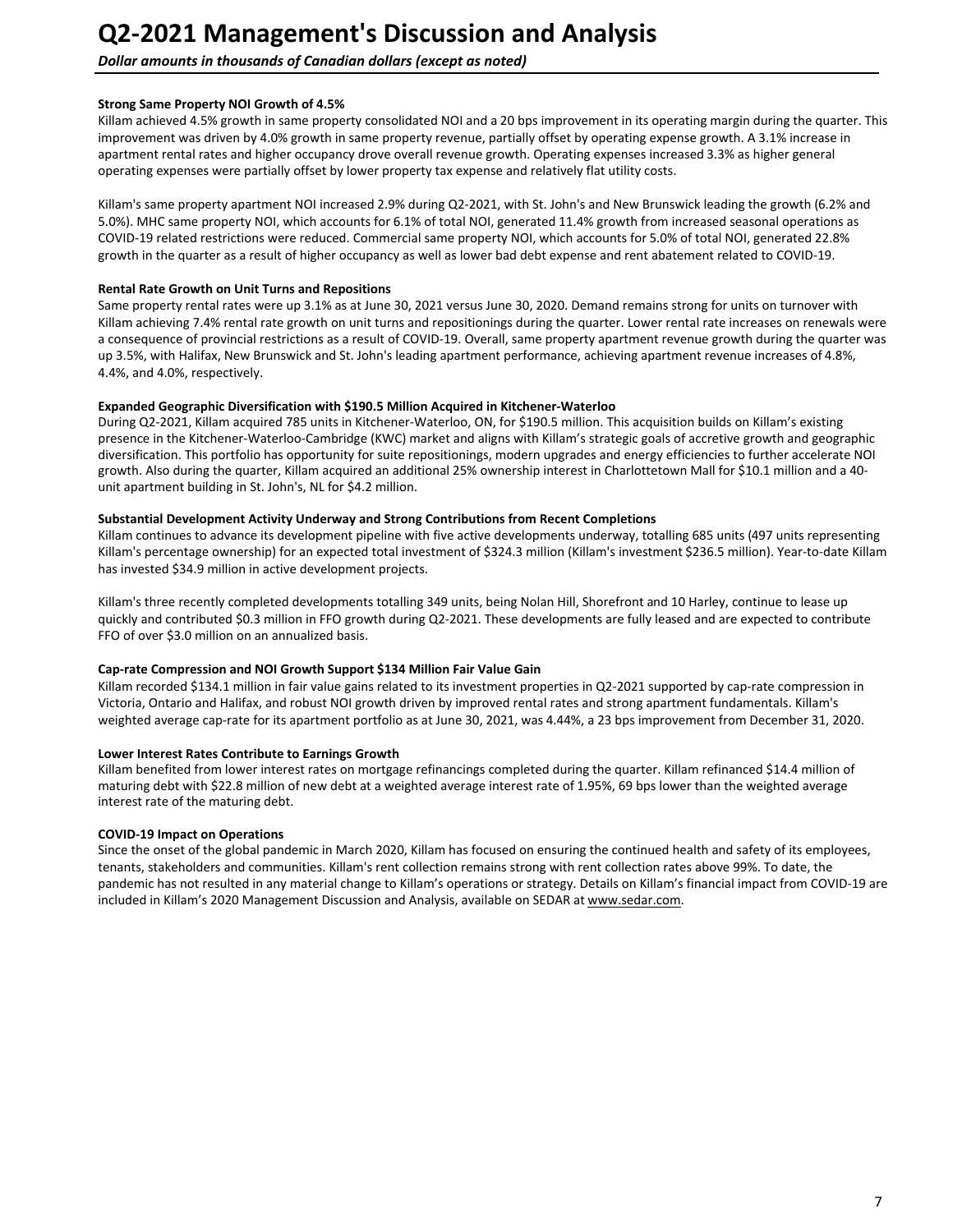### **Dollar amounts in thousands of Canadian dollars (except as noted)**

#### **Strong Same Property NOI Growth of 4.5%**

Killam achieved 4.5% growth in same property consolidated NOI and a 20 bps improvement in its operating margin during the quarter. This improvement was driven by 4.0% growth in same property revenue, partially offset by operating expense growth. A 3.1% increase in apartment rental rates and higher occupancy drove overall revenue growth. Operating expenses increased 3.3% as higher general operating expenses were partially offset by lower property tax expense and relatively flat utility costs.

Killam's same property apartment NOI increased 2.9% during Q2-2021, with St. John's and New Brunswick leading the growth (6.2% and 5.0%). MHC same property NOI, which accounts for 6.1% of total NOI, generated 11.4% growth from increased seasonal operations as COVID-19 related restrictions were reduced. Commercial same property NOI, which accounts for 5.0% of total NOI, generated 22.8% growth in the quarter as a result of higher occupancy as well as lower bad debt expense and rent abatement related to COVID-19.

#### **Rental Rate Growth on Unit Turns and Repositions**

Same property rental rates were up 3.1% as at June 30, 2021 versus June 30, 2020. Demand remains strong for units on turnover with Killam achieving 7.4% rental rate growth on unit turns and repositionings during the quarter. Lower rental rate increases on renewals were a consequence of provincial restrictions as a result of COVID-19. Overall, same property apartment revenue growth during the quarter was up 3.5%, with Halifax, New Brunswick and St. John's leading apartment performance, achieving apartment revenue increases of 4.8%, 4.4%, and 4.0%, respectively.

#### **Expanded Geographic Diversification with \$190.5 Million Acquired in Kitchener-Waterloo**

During Q2-2021, Killam acquired 785 units in Kitchener-Waterloo, ON, for \$190.5 million. This acquisition builds on Killam's existing presence in the Kitchener-Waterloo-Cambridge (KWC) market and aligns with Killam's strategic goals of accretive growth and geographic diversification. This portfolio has opportunity for suite repositionings, modern upgrades and energy efficiencies to further accelerate NOI growth. Also during the quarter, Killam acquired an additional 25% ownership interest in Charlottetown Mall for \$10.1 million and a 40unit apartment building in St. John's, NL for \$4.2 million.

#### Substantial Development Activity Underway and Strong Contributions from Recent Completions

Killam continues to advance its development pipeline with five active developments underway, totalling 685 units (497 units representing Killam's percentage ownership) for an expected total investment of \$324.3 million (Killam's investment \$236.5 million). Year-to-date Killam has invested \$34.9 million in active development projects.

Killam's three recently completed developments totalling 349 units, being Nolan Hill, Shorefront and 10 Harley, continue to lease up quickly and contributed \$0.3 million in FFO growth during Q2-2021. These developments are fully leased and are expected to contribute FFO of over \$3.0 million on an annualized basis.

#### Cap-rate Compression and NOI Growth Support \$134 Million Fair Value Gain

Killam recorded \$134.1 million in fair value gains related to its investment properties in Q2-2021 supported by cap-rate compression in Victoria, Ontario and Halifax, and robust NOI growth driven by improved rental rates and strong apartment fundamentals. Killam's weighted average cap-rate for its apartment portfolio as at June 30, 2021, was 4.44%, a 23 bps improvement from December 31, 2020.

#### **Lower Interest Rates Contribute to Earnings Growth**

Killam benefited from lower interest rates on mortgage refinancings completed during the quarter. Killam refinanced \$14.4 million of maturing debt with \$22.8 million of new debt at a weighted average interest rate of 1.95%, 69 bps lower than the weighted average interest rate of the maturing debt.

#### **COVID-19 Impact on Operations**

Since the onset of the global pandemic in March 2020, Killam has focused on ensuring the continued health and safety of its employees, tenants, stakeholders and communities. Killam's rent collection remains strong with rent collection rates above 99%. To date, the pandemic has not resulted in any material change to Killam's operations or strategy. Details on Killam's financial impact from COVID-19 are included in Killam's 2020 Management Discussion and Analysis, available on SEDAR at www.sedar.com.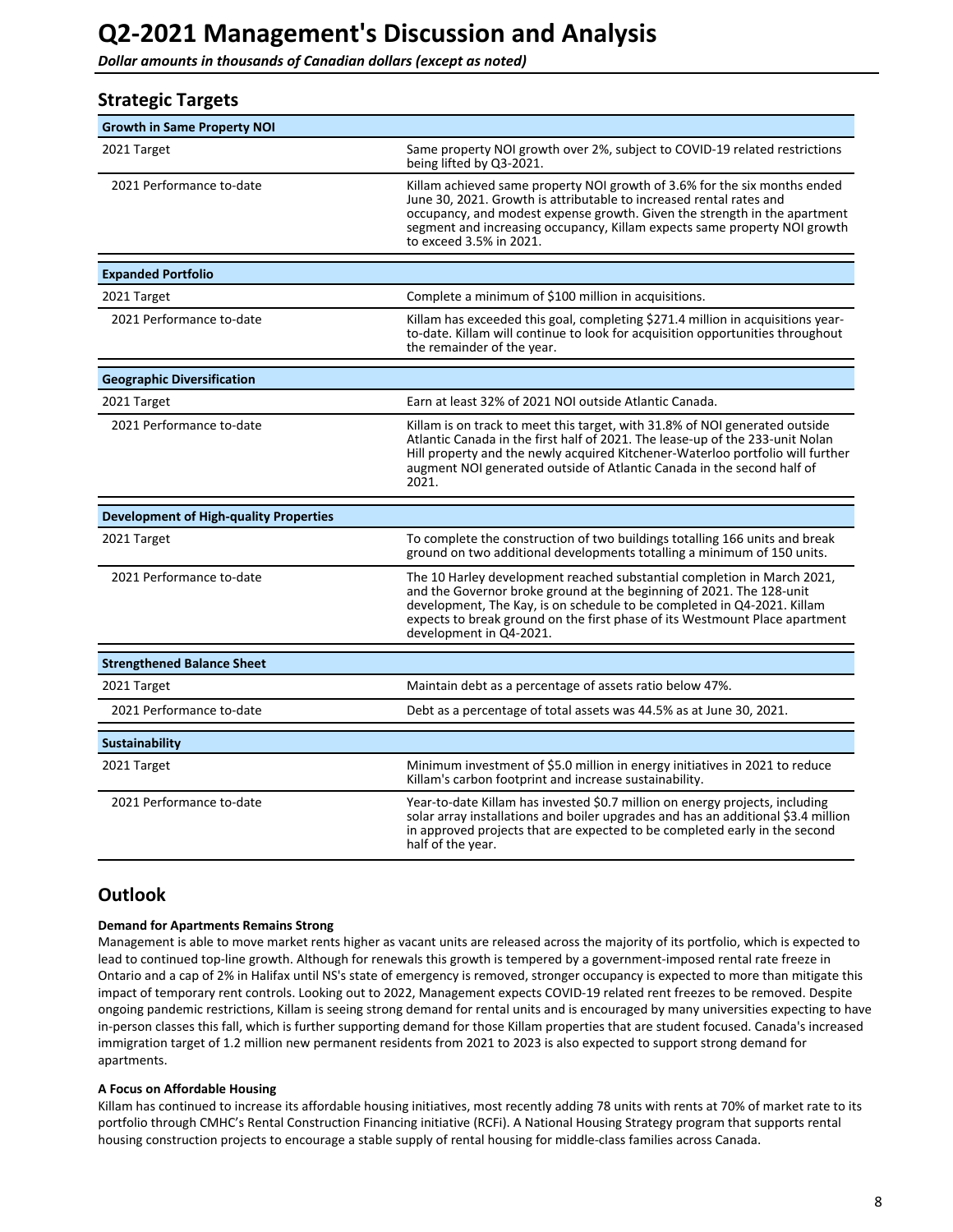<span id="page-7-0"></span>**Dollar amounts in thousands of Canadian dollars (except as noted)** 

| <b>Strategic Targets</b>                      |                                                                                                                                                                                                                                                                                                                                       |
|-----------------------------------------------|---------------------------------------------------------------------------------------------------------------------------------------------------------------------------------------------------------------------------------------------------------------------------------------------------------------------------------------|
| <b>Growth in Same Property NOI</b>            |                                                                                                                                                                                                                                                                                                                                       |
| 2021 Target                                   | Same property NOI growth over 2%, subject to COVID-19 related restrictions<br>being lifted by Q3-2021.                                                                                                                                                                                                                                |
| 2021 Performance to-date                      | Killam achieved same property NOI growth of 3.6% for the six months ended<br>June 30, 2021. Growth is attributable to increased rental rates and<br>occupancy, and modest expense growth. Given the strength in the apartment<br>segment and increasing occupancy, Killam expects same property NOI growth<br>to exceed 3.5% in 2021. |
| <b>Expanded Portfolio</b>                     |                                                                                                                                                                                                                                                                                                                                       |
| 2021 Target                                   | Complete a minimum of \$100 million in acquisitions.                                                                                                                                                                                                                                                                                  |
| 2021 Performance to-date                      | Killam has exceeded this goal, completing \$271.4 million in acquisitions year-<br>to-date. Killam will continue to look for acquisition opportunities throughout<br>the remainder of the year.                                                                                                                                       |
| <b>Geographic Diversification</b>             |                                                                                                                                                                                                                                                                                                                                       |
| 2021 Target                                   | Earn at least 32% of 2021 NOI outside Atlantic Canada.                                                                                                                                                                                                                                                                                |
| 2021 Performance to-date                      | Killam is on track to meet this target, with 31.8% of NOI generated outside<br>Atlantic Canada in the first half of 2021. The lease-up of the 233-unit Nolan<br>Hill property and the newly acquired Kitchener-Waterloo portfolio will further<br>augment NOI generated outside of Atlantic Canada in the second half of<br>2021.     |
| <b>Development of High-quality Properties</b> |                                                                                                                                                                                                                                                                                                                                       |
| 2021 Target                                   | To complete the construction of two buildings totalling 166 units and break<br>ground on two additional developments totalling a minimum of 150 units.                                                                                                                                                                                |
| 2021 Performance to-date                      | The 10 Harley development reached substantial completion in March 2021,<br>and the Governor broke ground at the beginning of 2021. The 128-unit<br>development, The Kay, is on schedule to be completed in Q4-2021. Killam<br>expects to break ground on the first phase of its Westmount Place apartment<br>development in Q4-2021.  |
| <b>Strengthened Balance Sheet</b>             |                                                                                                                                                                                                                                                                                                                                       |
| 2021 Target                                   | Maintain debt as a percentage of assets ratio below 47%.                                                                                                                                                                                                                                                                              |
| 2021 Performance to-date                      | Debt as a percentage of total assets was 44.5% as at June 30, 2021.                                                                                                                                                                                                                                                                   |
| <b>Sustainability</b>                         |                                                                                                                                                                                                                                                                                                                                       |
| 2021 Target                                   | Minimum investment of \$5.0 million in energy initiatives in 2021 to reduce<br>Killam's carbon footprint and increase sustainability.                                                                                                                                                                                                 |
| 2021 Performance to-date                      | Year-to-date Killam has invested \$0.7 million on energy projects, including<br>solar array installations and boiler upgrades and has an additional \$3.4 million<br>in approved projects that are expected to be completed early in the second<br>half of the year.                                                                  |

## **Outlook**

#### **Demand for Apartments Remains Strong**

Management is able to move market rents higher as vacant units are released across the majority of its portfolio, which is expected to lead to continued top-line growth. Although for renewals this growth is tempered by a government-imposed rental rate freeze in Ontario and a cap of 2% in Halifax until NS's state of emergency is removed, stronger occupancy is expected to more than mitigate this impact of temporary rent controls. Looking out to 2022, Management expects COVID-19 related rent freezes to be removed. Despite ongoing pandemic restrictions, Killam is seeing strong demand for rental units and is encouraged by many universities expecting to have in-person classes this fall, which is further supporting demand for those Killam properties that are student focused. Canada's increased immigration target of 1.2 million new permanent residents from 2021 to 2023 is also expected to support strong demand for apartments. 

#### **A Focus on Affordable Housing**

Killam has continued to increase its affordable housing initiatives, most recently adding 78 units with rents at 70% of market rate to its portfolio through CMHC's Rental Construction Financing initiative (RCFi). A National Housing Strategy program that supports rental housing construction projects to encourage a stable supply of rental housing for middle-class families across Canada.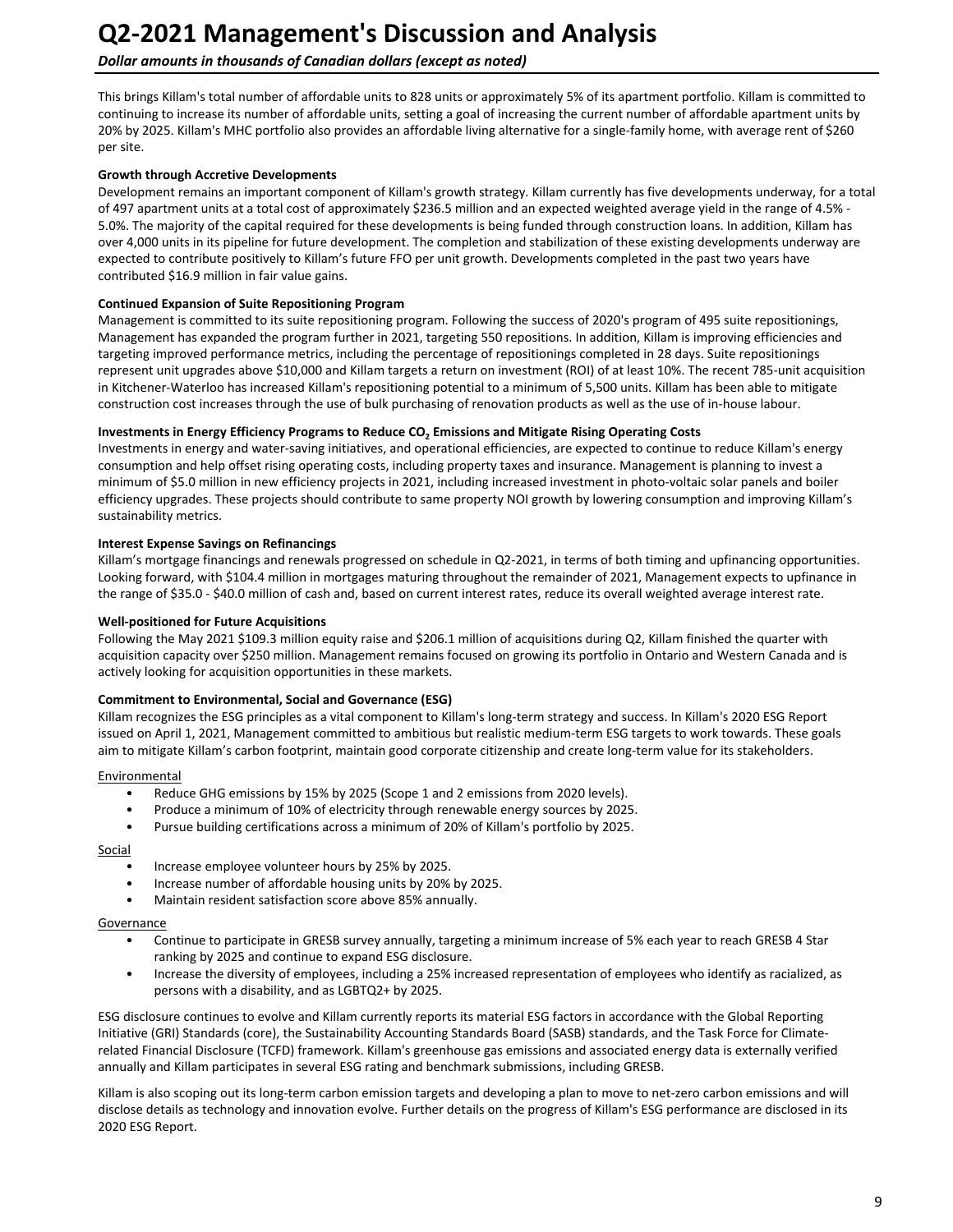## **Dollar amounts in thousands of Canadian dollars (except as noted)**

This brings Killam's total number of affordable units to 828 units or approximately 5% of its apartment portfolio. Killam is committed to continuing to increase its number of affordable units, setting a goal of increasing the current number of affordable apartment units by 20% by 2025. Killam's MHC portfolio also provides an affordable living alternative for a single-family home, with average rent of \$260 per site.

#### **Growth through Accretive Developments**

Development remains an important component of Killam's growth strategy. Killam currently has five developments underway, for a total of 497 apartment units at a total cost of approximately \$236.5 million and an expected weighted average yield in the range of 4.5% -5.0%. The majority of the capital required for these developments is being funded through construction loans. In addition, Killam has over 4,000 units in its pipeline for future development. The completion and stabilization of these existing developments underway are expected to contribute positively to Killam's future FFO per unit growth. Developments completed in the past two years have contributed \$16.9 million in fair value gains.

#### **Continued Expansion of Suite Repositioning Program**

Management is committed to its suite repositioning program. Following the success of 2020's program of 495 suite repositionings, Management has expanded the program further in 2021, targeting 550 repositions. In addition, Killam is improving efficiencies and targeting improved performance metrics, including the percentage of repositionings completed in 28 days. Suite repositionings represent unit upgrades above \$10,000 and Killam targets a return on investment (ROI) of at least 10%. The recent 785-unit acquisition in Kitchener-Waterloo has increased Killam's repositioning potential to a minimum of 5,500 units. Killam has been able to mitigate construction cost increases through the use of bulk purchasing of renovation products as well as the use of in-house labour.

### Investments in Energy Efficiency Programs to Reduce CO<sub>2</sub> Emissions and Mitigate Rising Operating Costs

Investments in energy and water-saving initiatives, and operational efficiencies, are expected to continue to reduce Killam's energy consumption and help offset rising operating costs, including property taxes and insurance. Management is planning to invest a minimum of \$5.0 million in new efficiency projects in 2021, including increased investment in photo-voltaic solar panels and boiler efficiency upgrades. These projects should contribute to same property NOI growth by lowering consumption and improving Killam's sustainability metrics.

#### **Interest Expense Savings on Refinancings**

Killam's mortgage financings and renewals progressed on schedule in Q2-2021, in terms of both timing and upfinancing opportunities. Looking forward, with \$104.4 million in mortgages maturing throughout the remainder of 2021, Management expects to upfinance in the range of \$35.0 - \$40.0 million of cash and, based on current interest rates, reduce its overall weighted average interest rate.

#### **Well-positioned for Future Acquisitions**

Following the May 2021 \$109.3 million equity raise and \$206.1 million of acquisitions during Q2, Killam finished the quarter with acquisition capacity over \$250 million. Management remains focused on growing its portfolio in Ontario and Western Canada and is actively looking for acquisition opportunities in these markets.

#### **Commitment to Environmental, Social and Governance (ESG)**

Killam recognizes the ESG principles as a vital component to Killam's long-term strategy and success. In Killam's 2020 ESG Report issued on April 1, 2021, Management committed to ambitious but realistic medium-term ESG targets to work towards. These goals aim to mitigate Killam's carbon footprint, maintain good corporate citizenship and create long-term value for its stakeholders.

#### Environmental

- Reduce GHG emissions by 15% by 2025 (Scope 1 and 2 emissions from 2020 levels).
- Produce a minimum of 10% of electricity through renewable energy sources by 2025.
- Pursue building certifications across a minimum of 20% of Killam's portfolio by 2025.

#### Social

- Increase employee volunteer hours by 25% by 2025.
- Increase number of affordable housing units by 20% by 2025.
- Maintain resident satisfaction score above 85% annually.

#### **Governance**

- Continue to participate in GRESB survey annually, targeting a minimum increase of 5% each year to reach GRESB 4 Star ranking by 2025 and continue to expand ESG disclosure.
- Increase the diversity of employees, including a 25% increased representation of employees who identify as racialized, as persons with a disability, and as LGBTQ2+ by 2025.

ESG disclosure continues to evolve and Killam currently reports its material ESG factors in accordance with the Global Reporting Initiative (GRI) Standards (core), the Sustainability Accounting Standards Board (SASB) standards, and the Task Force for Climaterelated Financial Disclosure (TCFD) framework. Killam's greenhouse gas emissions and associated energy data is externally verified annually and Killam participates in several ESG rating and benchmark submissions, including GRESB.

Killam is also scoping out its long-term carbon emission targets and developing a plan to move to net-zero carbon emissions and will disclose details as technology and innovation evolve. Further details on the progress of Killam's ESG performance are disclosed in its 2020 ESG Report.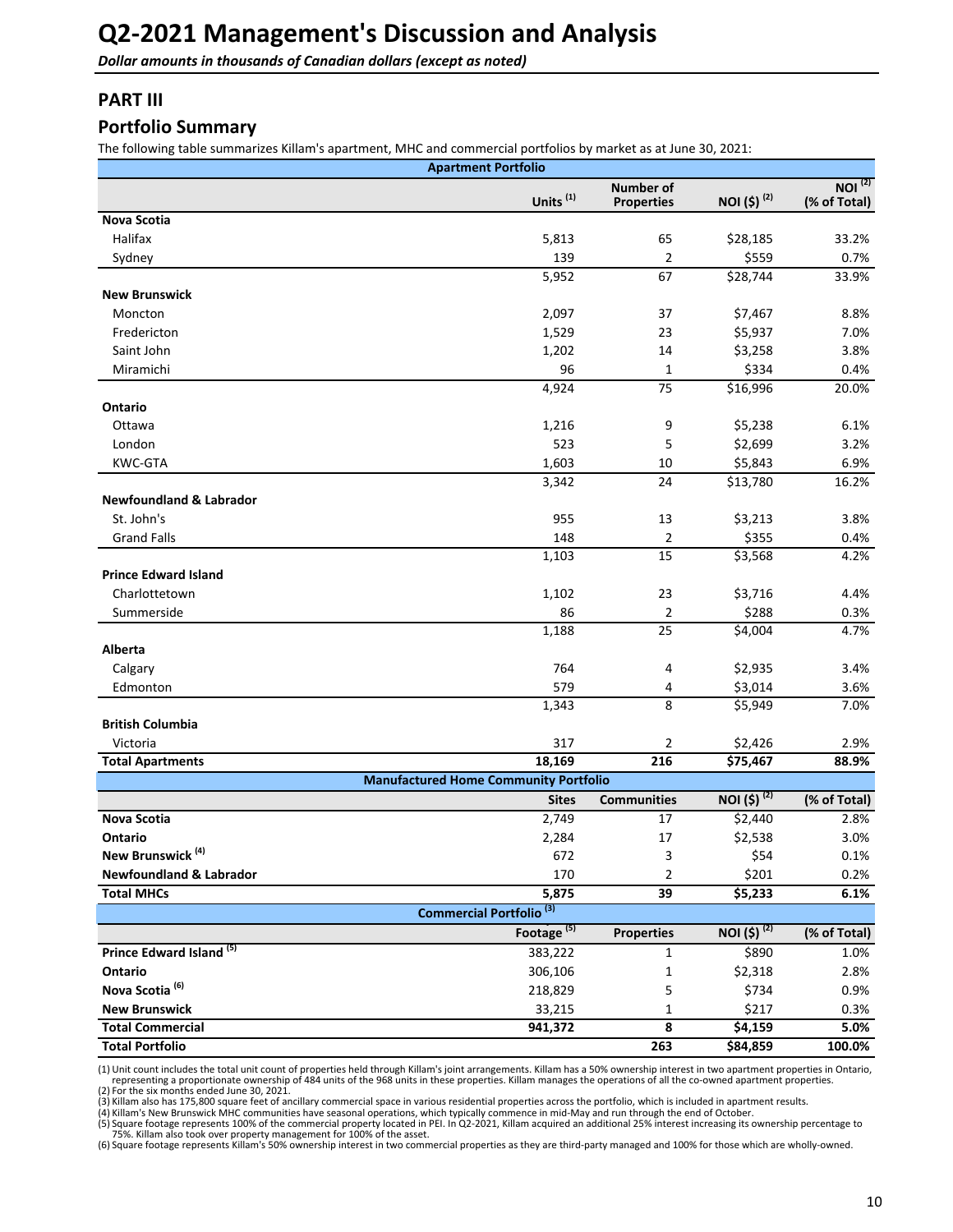<span id="page-9-0"></span>**Dollar amounts in thousands of Canadian dollars (except as noted)** 

## **PART III**

### **Portfolio Summary**

The following table summarizes Killam's apartment, MHC and commercial portfolios by market as at June 30, 2021:

|                                       | <b>Apartment Portfolio</b>                   |                                       |                         |                                    |
|---------------------------------------|----------------------------------------------|---------------------------------------|-------------------------|------------------------------------|
|                                       | Units <sup>(1)</sup>                         | <b>Number of</b><br><b>Properties</b> | NOI (\$) <sup>(2)</sup> | NOI <sup>(2)</sup><br>(% of Total) |
| <b>Nova Scotia</b>                    |                                              |                                       |                         |                                    |
| Halifax                               | 5,813                                        | 65                                    | \$28,185                | 33.2%                              |
| Sydney                                | 139                                          | 2                                     | \$559                   | 0.7%                               |
|                                       | 5,952                                        | 67                                    | \$28,744                | 33.9%                              |
| <b>New Brunswick</b>                  |                                              |                                       |                         |                                    |
| Moncton                               | 2,097                                        | 37                                    | \$7,467                 | 8.8%                               |
| Fredericton                           | 1,529                                        | 23                                    | \$5,937                 | 7.0%                               |
| Saint John                            | 1,202                                        | 14                                    | \$3,258                 | 3.8%                               |
| Miramichi                             | 96                                           | 1                                     | \$334                   | 0.4%                               |
|                                       | 4,924                                        | 75                                    | \$16,996                | 20.0%                              |
| Ontario                               |                                              |                                       |                         |                                    |
| Ottawa                                | 1,216                                        | 9                                     | \$5,238                 | 6.1%                               |
| London                                | 523                                          | 5                                     | \$2,699                 | 3.2%                               |
| <b>KWC-GTA</b>                        | 1,603                                        | 10                                    | \$5,843                 | 6.9%                               |
|                                       | 3,342                                        | 24                                    | \$13,780                | 16.2%                              |
| <b>Newfoundland &amp; Labrador</b>    |                                              |                                       |                         |                                    |
| St. John's                            | 955                                          | 13                                    | \$3,213                 | 3.8%                               |
| <b>Grand Falls</b>                    | 148                                          | 2                                     | \$355                   | 0.4%                               |
|                                       | 1,103                                        | 15                                    | \$3,568                 | 4.2%                               |
| <b>Prince Edward Island</b>           |                                              |                                       |                         |                                    |
| Charlottetown                         | 1,102                                        | 23                                    | \$3,716                 | 4.4%                               |
| Summerside                            | 86                                           | 2                                     | \$288                   | 0.3%                               |
|                                       | 1,188                                        | 25                                    | \$4,004                 | 4.7%                               |
| Alberta                               |                                              |                                       |                         |                                    |
| Calgary                               | 764                                          | 4                                     | \$2,935                 | 3.4%                               |
| Edmonton                              | 579                                          | 4                                     | \$3,014                 | 3.6%                               |
|                                       | 1,343                                        | 8                                     | \$5,949                 | 7.0%                               |
| <b>British Columbia</b>               |                                              |                                       |                         |                                    |
| Victoria                              | 317                                          | 2                                     | \$2,426                 | 2.9%                               |
| <b>Total Apartments</b>               | 18,169                                       | 216                                   | \$75,467                | 88.9%                              |
|                                       | <b>Manufactured Home Community Portfolio</b> |                                       |                         |                                    |
|                                       | <b>Sites</b>                                 | <b>Communities</b>                    | NOI $(5)^{(2)}$         | (% of Total)                       |
| <b>Nova Scotia</b>                    | 2,749                                        | 17                                    | \$2,440                 | 2.8%                               |
| Ontario                               | 2,284                                        | 17                                    | \$2,538                 | 3.0%                               |
| New Brunswick <sup>(4)</sup>          | 672                                          | 3                                     | \$54                    | 0.1%                               |
| <b>Newfoundland &amp; Labrador</b>    | 170                                          | 2                                     | \$201                   | 0.2%                               |
| <b>Total MHCs</b>                     | 5,875                                        | 39                                    | \$5,233                 | 6.1%                               |
|                                       | Commercial Portfolio <sup>(3)</sup>          |                                       |                         |                                    |
|                                       | Footage <sup>(5)</sup>                       | <b>Properties</b>                     | NOI (\$) <sup>(2)</sup> | (% of Total)                       |
| Prince Edward Island <sup>(5)</sup>   |                                              |                                       |                         |                                    |
|                                       | 383,222                                      | $\mathbf 1$                           | \$890                   | 1.0%                               |
| Ontario<br>Nova Scotia <sup>(6)</sup> | 306,106                                      | 1                                     | \$2,318                 | 2.8%                               |
|                                       | 218,829                                      | 5                                     | \$734                   | 0.9%                               |
| <b>New Brunswick</b>                  | 33,215                                       | 1                                     | \$217                   | 0.3%                               |
| <b>Total Commercial</b>               | 941,372                                      | 8                                     | \$4,159                 | 5.0%                               |
| <b>Total Portfolio</b>                |                                              | 263                                   | \$84,859                | 100.0%                             |

(1) Unit count includes the total unit count of properties held through Killam's joint arrangements. Killam has a 50% ownership interest in two apartment properties in Ontario, representing a proportionate ownership of 484 units of the 968 units in these properties. Killam manages the operations of all the co-owned apartment properties.<br>(2) For the six months ended June 30, 2021.<br>(3) Killam also

(4) Killam's New Brunswick MHC communities have seasonal operations, which typically commence in mid-May and run through the end of October.<br>(5) Square footage represents 100% of the commercial property located in PEI. In

(6) Square footage represents Killam's 50% ownership interest in two commercial properties as they are third-party managed and 100% for those which are wholly-owned.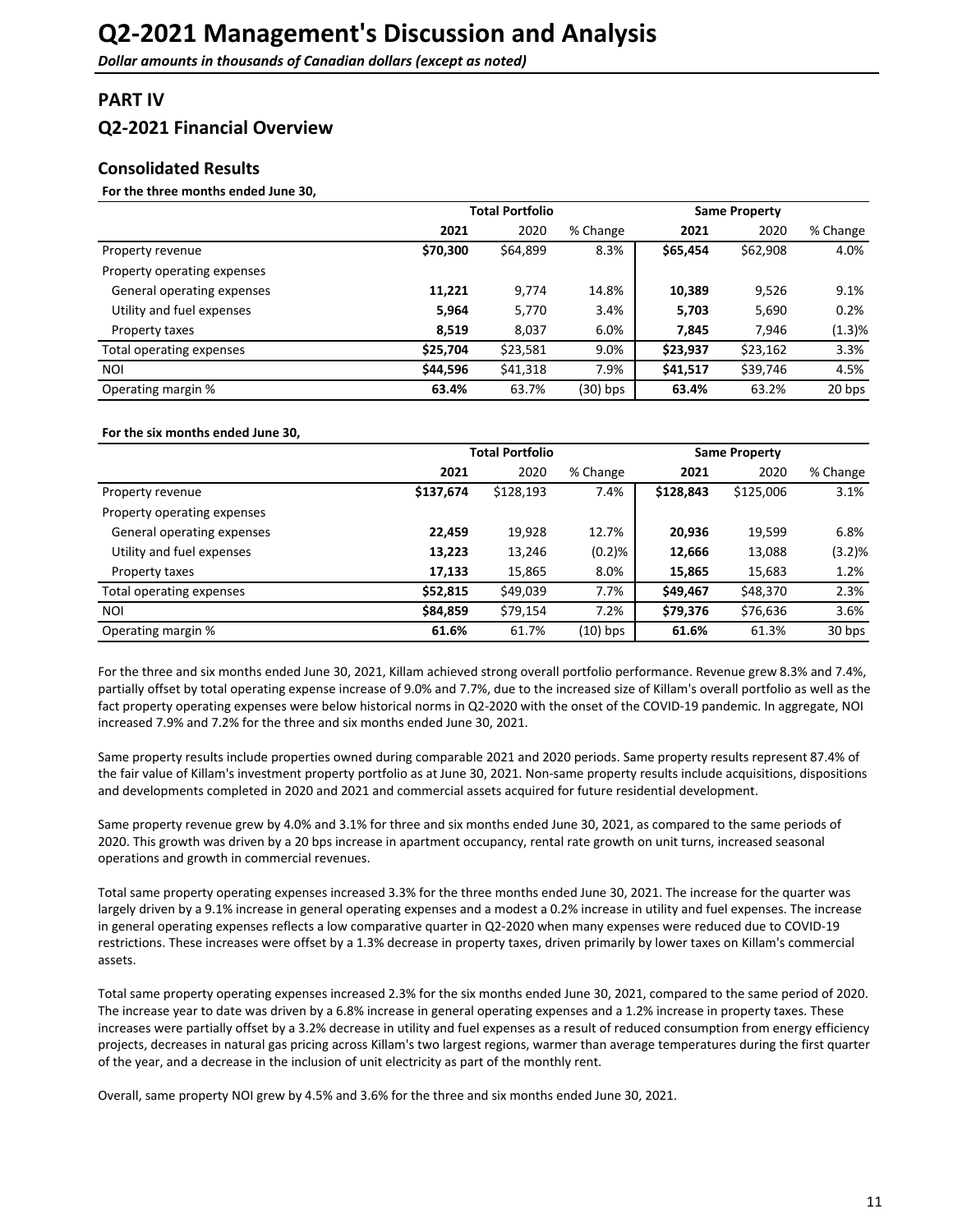## <span id="page-10-0"></span>**PART IV**

## **Q2-2021 Financial Overview**

## **Consolidated Results**

#### For the three months ended June 30,

|                             |          | <b>Total Portfolio</b><br><b>Same Property</b> |            |          |          |          |
|-----------------------------|----------|------------------------------------------------|------------|----------|----------|----------|
|                             | 2021     | 2020                                           | % Change   | 2021     | 2020     | % Change |
| Property revenue            | \$70,300 | \$64,899                                       | 8.3%       | \$65,454 | \$62,908 | 4.0%     |
| Property operating expenses |          |                                                |            |          |          |          |
| General operating expenses  | 11,221   | 9,774                                          | 14.8%      | 10,389   | 9,526    | 9.1%     |
| Utility and fuel expenses   | 5,964    | 5,770                                          | 3.4%       | 5,703    | 5,690    | 0.2%     |
| Property taxes              | 8,519    | 8,037                                          | 6.0%       | 7,845    | 7,946    | (1.3)%   |
| Total operating expenses    | \$25,704 | \$23,581                                       | 9.0%       | \$23,937 | \$23,162 | 3.3%     |
| <b>NOI</b>                  | \$44,596 | \$41,318                                       | 7.9%       | \$41,517 | \$39,746 | 4.5%     |
| Operating margin %          | 63.4%    | 63.7%                                          | $(30)$ bps | 63.4%    | 63.2%    | 20 bps   |

#### For the six months ended June 30,

|                             |           | <b>Total Portfolio</b> |          |           | <b>Same Property</b> |          |  |  |
|-----------------------------|-----------|------------------------|----------|-----------|----------------------|----------|--|--|
|                             | 2021      | 2020                   | % Change | 2021      | 2020                 | % Change |  |  |
| Property revenue            | \$137,674 | \$128,193              | 7.4%     | \$128,843 | \$125,006            | 3.1%     |  |  |
| Property operating expenses |           |                        |          |           |                      |          |  |  |
| General operating expenses  | 22,459    | 19,928                 | 12.7%    | 20,936    | 19,599               | 6.8%     |  |  |
| Utility and fuel expenses   | 13,223    | 13,246                 | (0.2)%   | 12,666    | 13,088               | (3.2)%   |  |  |
| Property taxes              | 17,133    | 15,865                 | 8.0%     | 15,865    | 15,683               | 1.2%     |  |  |
| Total operating expenses    | \$52,815  | \$49,039               | 7.7%     | \$49,467  | \$48,370             | 2.3%     |  |  |
| NOI                         | \$84,859  | \$79,154               | 7.2%     | \$79,376  | \$76,636             | 3.6%     |  |  |
| Operating margin %          | 61.6%     | 61.7%                  | (10) bps | 61.6%     | 61.3%                | 30 bps   |  |  |

For the three and six months ended June 30, 2021, Killam achieved strong overall portfolio performance. Revenue grew 8.3% and 7.4%, partially offset by total operating expense increase of 9.0% and 7.7%, due to the increased size of Killam's overall portfolio as well as the fact property operating expenses were below historical norms in Q2-2020 with the onset of the COVID-19 pandemic. In aggregate, NOI increased 7.9% and 7.2% for the three and six months ended June 30, 2021.

Same property results include properties owned during comparable 2021 and 2020 periods. Same property results represent 87.4% of the fair value of Killam's investment property portfolio as at June 30, 2021. Non-same property results include acquisitions, dispositions and developments completed in 2020 and 2021 and commercial assets acquired for future residential development.

Same property revenue grew by 4.0% and 3.1% for three and six months ended June 30, 2021, as compared to the same periods of 2020. This growth was driven by a 20 bps increase in apartment occupancy, rental rate growth on unit turns, increased seasonal operations and growth in commercial revenues.

Total same property operating expenses increased 3.3% for the three months ended June 30, 2021. The increase for the quarter was largely driven by a 9.1% increase in general operating expenses and a modest a 0.2% increase in utility and fuel expenses. The increase in general operating expenses reflects a low comparative quarter in Q2-2020 when many expenses were reduced due to COVID-19 restrictions. These increases were offset by a 1.3% decrease in property taxes, driven primarily by lower taxes on Killam's commercial assets. 

Total same property operating expenses increased 2.3% for the six months ended June 30, 2021, compared to the same period of 2020. The increase year to date was driven by a 6.8% increase in general operating expenses and a 1.2% increase in property taxes. These increases were partially offset by a 3.2% decrease in utility and fuel expenses as a result of reduced consumption from energy efficiency projects, decreases in natural gas pricing across Killam's two largest regions, warmer than average temperatures during the first quarter of the year, and a decrease in the inclusion of unit electricity as part of the monthly rent.

Overall, same property NOI grew by 4.5% and 3.6% for the three and six months ended June 30, 2021.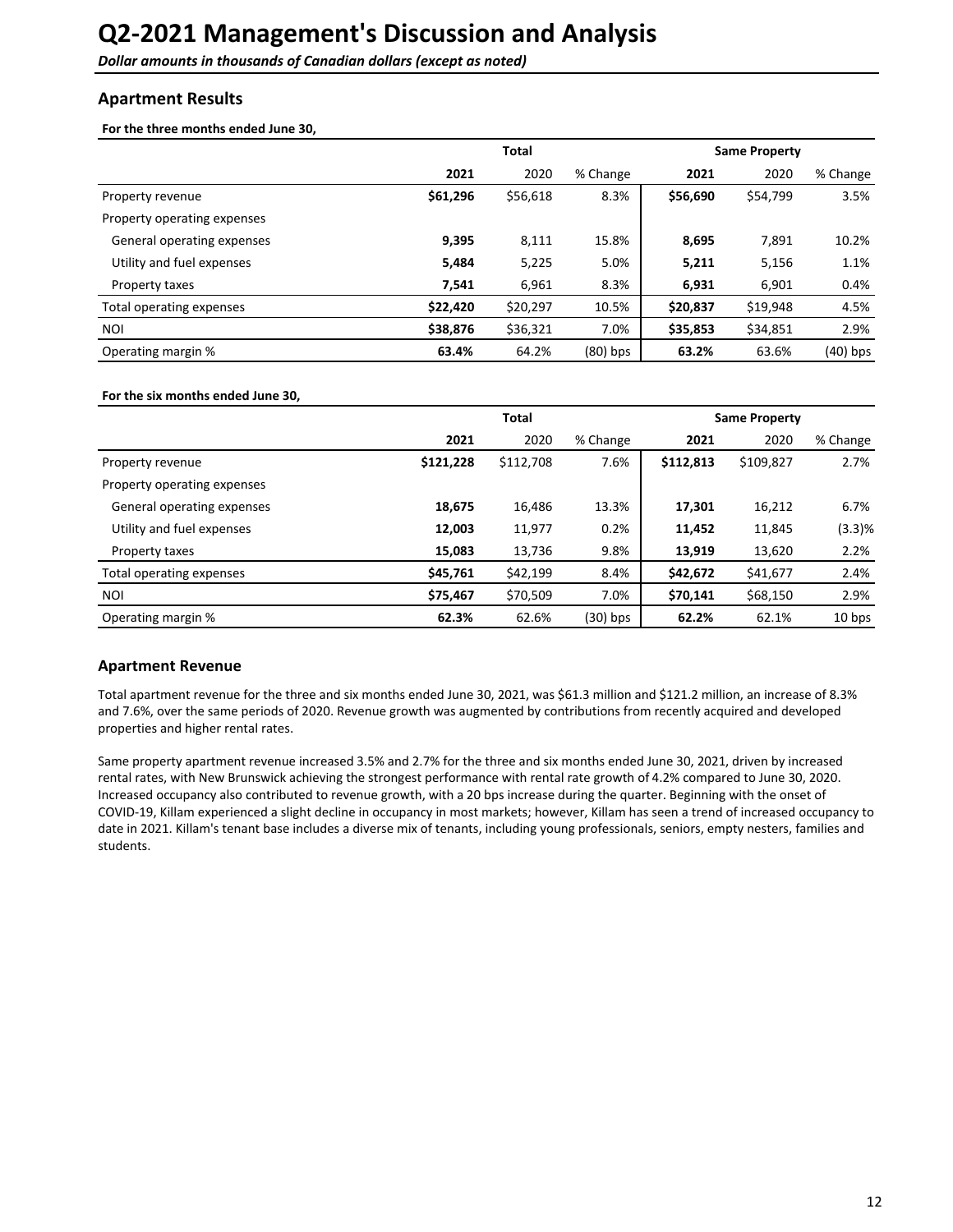<span id="page-11-0"></span>**Dollar amounts in thousands of Canadian dollars (except as noted)** 

### **Apartment Results**

For the three months ended June 30,

|                             |          | <b>Total</b> |            |          | <b>Same Property</b> |          |  |  |
|-----------------------------|----------|--------------|------------|----------|----------------------|----------|--|--|
|                             | 2021     | 2020         | % Change   | 2021     | 2020                 | % Change |  |  |
| Property revenue            | \$61,296 | \$56,618     | 8.3%       | \$56,690 | \$54,799             | 3.5%     |  |  |
| Property operating expenses |          |              |            |          |                      |          |  |  |
| General operating expenses  | 9,395    | 8,111        | 15.8%      | 8,695    | 7,891                | 10.2%    |  |  |
| Utility and fuel expenses   | 5,484    | 5,225        | 5.0%       | 5,211    | 5,156                | 1.1%     |  |  |
| Property taxes              | 7,541    | 6,961        | 8.3%       | 6,931    | 6,901                | 0.4%     |  |  |
| Total operating expenses    | \$22,420 | \$20,297     | 10.5%      | \$20,837 | \$19,948             | 4.5%     |  |  |
| NOI                         | \$38,876 | \$36,321     | 7.0%       | \$35,853 | \$34,851             | 2.9%     |  |  |
| Operating margin %          | 63.4%    | 64.2%        | $(80)$ bps | 63.2%    | 63.6%                | (40) bps |  |  |

#### For the six months ended June 30,

|                             |           | <b>Total</b> |            |           | <b>Same Property</b> |          |
|-----------------------------|-----------|--------------|------------|-----------|----------------------|----------|
|                             | 2021      | 2020         | % Change   | 2021      | 2020                 | % Change |
| Property revenue            | \$121,228 | \$112,708    | 7.6%       | \$112,813 | \$109,827            | 2.7%     |
| Property operating expenses |           |              |            |           |                      |          |
| General operating expenses  | 18,675    | 16,486       | 13.3%      | 17,301    | 16,212               | 6.7%     |
| Utility and fuel expenses   | 12,003    | 11,977       | 0.2%       | 11,452    | 11,845               | (3.3)%   |
| Property taxes              | 15,083    | 13,736       | 9.8%       | 13,919    | 13,620               | 2.2%     |
| Total operating expenses    | \$45,761  | \$42,199     | 8.4%       | \$42,672  | \$41,677             | 2.4%     |
| NOI                         | \$75,467  | \$70,509     | 7.0%       | \$70,141  | \$68,150             | 2.9%     |
| Operating margin %          | 62.3%     | 62.6%        | $(30)$ bps | 62.2%     | 62.1%                | 10 bps   |

### **Apartment Revenue**

Total apartment revenue for the three and six months ended June 30, 2021, was \$61.3 million and \$121.2 million, an increase of 8.3% and 7.6%, over the same periods of 2020. Revenue growth was augmented by contributions from recently acquired and developed properties and higher rental rates.

Same property apartment revenue increased 3.5% and 2.7% for the three and six months ended June 30, 2021, driven by increased rental rates, with New Brunswick achieving the strongest performance with rental rate growth of 4.2% compared to June 30, 2020. Increased occupancy also contributed to revenue growth, with a 20 bps increase during the quarter. Beginning with the onset of COVID-19, Killam experienced a slight decline in occupancy in most markets; however, Killam has seen a trend of increased occupancy to date in 2021. Killam's tenant base includes a diverse mix of tenants, including young professionals, seniors, empty nesters, families and students.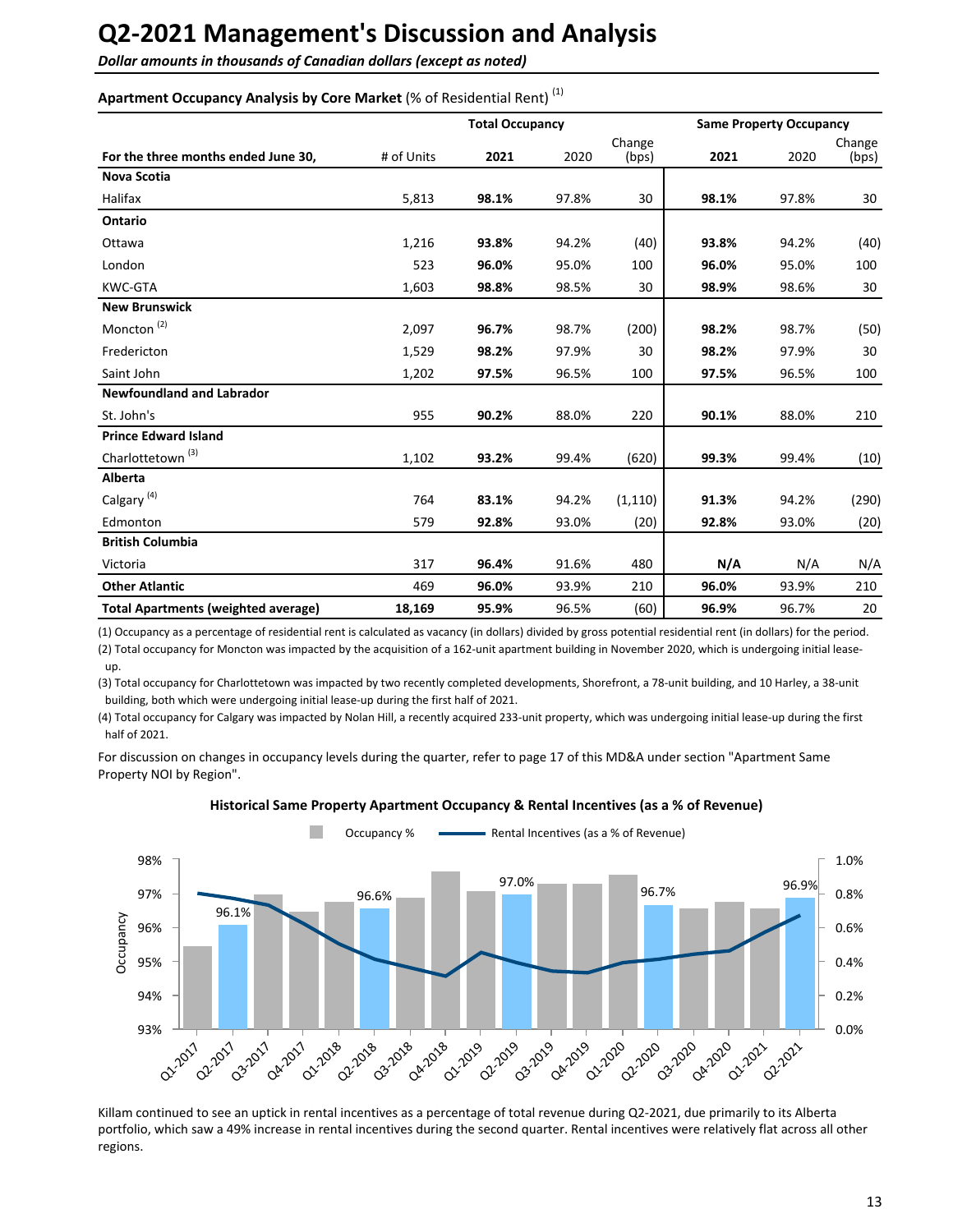**Dollar amounts in thousands of Canadian dollars (except as noted)** 

### Apartment Occupancy Analysis by Core Market (% of Residential Rent)<sup>(1)</sup>

|                                            |            | <b>Total Occupancy</b> |       |                 |       | <b>Same Property Occupancy</b> |                 |  |
|--------------------------------------------|------------|------------------------|-------|-----------------|-------|--------------------------------|-----------------|--|
| For the three months ended June 30,        | # of Units | 2021                   | 2020  | Change<br>(bps) | 2021  | 2020                           | Change<br>(bps) |  |
| <b>Nova Scotia</b>                         |            |                        |       |                 |       |                                |                 |  |
| Halifax                                    | 5,813      | 98.1%                  | 97.8% | 30              | 98.1% | 97.8%                          | 30              |  |
| Ontario                                    |            |                        |       |                 |       |                                |                 |  |
| Ottawa                                     | 1,216      | 93.8%                  | 94.2% | (40)            | 93.8% | 94.2%                          | (40)            |  |
| London                                     | 523        | 96.0%                  | 95.0% | 100             | 96.0% | 95.0%                          | 100             |  |
| <b>KWC-GTA</b>                             | 1,603      | 98.8%                  | 98.5% | 30              | 98.9% | 98.6%                          | 30              |  |
| <b>New Brunswick</b>                       |            |                        |       |                 |       |                                |                 |  |
| Moncton <sup>(2)</sup>                     | 2,097      | 96.7%                  | 98.7% | (200)           | 98.2% | 98.7%                          | (50)            |  |
| Fredericton                                | 1,529      | 98.2%                  | 97.9% | 30              | 98.2% | 97.9%                          | 30              |  |
| Saint John                                 | 1,202      | 97.5%                  | 96.5% | 100             | 97.5% | 96.5%                          | 100             |  |
| <b>Newfoundland and Labrador</b>           |            |                        |       |                 |       |                                |                 |  |
| St. John's                                 | 955        | 90.2%                  | 88.0% | 220             | 90.1% | 88.0%                          | 210             |  |
| <b>Prince Edward Island</b>                |            |                        |       |                 |       |                                |                 |  |
| Charlottetown <sup>(3)</sup>               | 1,102      | 93.2%                  | 99.4% | (620)           | 99.3% | 99.4%                          | (10)            |  |
| Alberta                                    |            |                        |       |                 |       |                                |                 |  |
| Calgary <sup>(4)</sup>                     | 764        | 83.1%                  | 94.2% | (1, 110)        | 91.3% | 94.2%                          | (290)           |  |
| Edmonton                                   | 579        | 92.8%                  | 93.0% | (20)            | 92.8% | 93.0%                          | (20)            |  |
| <b>British Columbia</b>                    |            |                        |       |                 |       |                                |                 |  |
| Victoria                                   | 317        | 96.4%                  | 91.6% | 480             | N/A   | N/A                            | N/A             |  |
| <b>Other Atlantic</b>                      | 469        | 96.0%                  | 93.9% | 210             | 96.0% | 93.9%                          | 210             |  |
| <b>Total Apartments (weighted average)</b> | 18,169     | 95.9%                  | 96.5% | (60)            | 96.9% | 96.7%                          | 20              |  |

(1) Occupancy as a percentage of residential rent is calculated as vacancy (in dollars) divided by gross potential residential rent (in dollars) for the period. (2) Total occupancy for Moncton was impacted by the acquisition of a 162-unit apartment building in November 2020, which is undergoing initial leaseup.

(3) Total occupancy for Charlottetown was impacted by two recently completed developments, Shorefront, a 78-unit building, and 10 Harley, a 38-unit building, both which were undergoing initial lease-up during the first half of 2021.

(4) Total occupancy for Calgary was impacted by Nolan Hill, a recently acquired 233-unit property, which was undergoing initial lease-up during the first half of 2021.

For discussion on changes in occupancy levels during the quarter, refer to page 17 of this MD&A under section "Apartment Same Property NOI by Region".



**Historical Same Property Apartment Occupancy & Rental Incentives (as a % of Revenue)** 

Killam continued to see an uptick in rental incentives as a percentage of total revenue during Q2-2021, due primarily to its Alberta portfolio, which saw a 49% increase in rental incentives during the second quarter. Rental incentives were relatively flat across all other regions.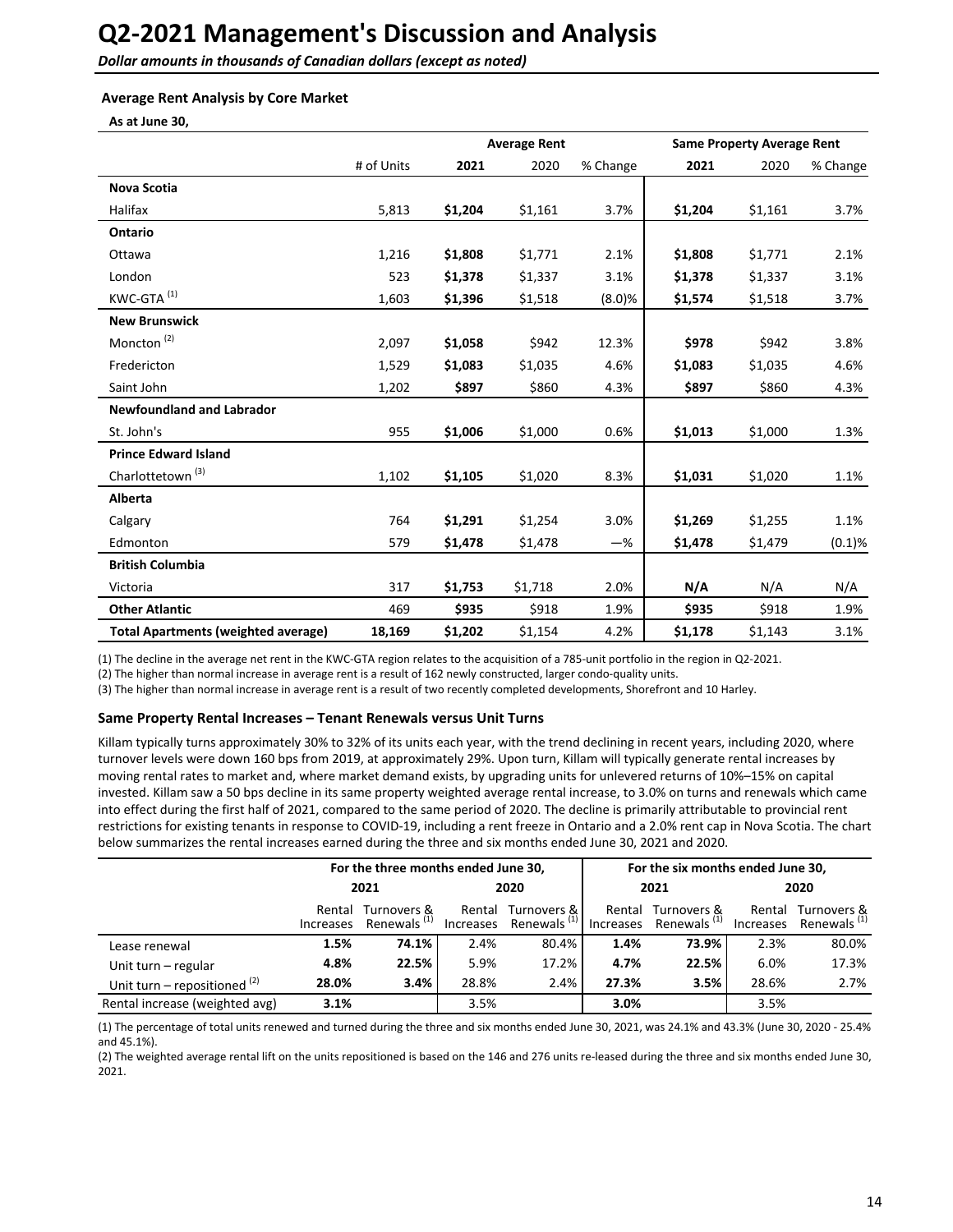**Dollar amounts in thousands of Canadian dollars (except as noted)** 

#### **Average Rent Analysis by Core Market**

**As at June 30,**

|                                            |            | <b>Average Rent</b> |         |          |         | <b>Same Property Average Rent</b> |          |
|--------------------------------------------|------------|---------------------|---------|----------|---------|-----------------------------------|----------|
|                                            | # of Units | 2021                | 2020    | % Change | 2021    | 2020                              | % Change |
| <b>Nova Scotia</b>                         |            |                     |         |          |         |                                   |          |
| Halifax                                    | 5,813      | \$1,204             | \$1,161 | 3.7%     | \$1,204 | \$1,161                           | 3.7%     |
| Ontario                                    |            |                     |         |          |         |                                   |          |
| Ottawa                                     | 1,216      | \$1,808             | \$1,771 | 2.1%     | \$1,808 | \$1,771                           | 2.1%     |
| London                                     | 523        | \$1,378             | \$1,337 | 3.1%     | \$1,378 | \$1,337                           | 3.1%     |
| KWC-GTA <sup>(1)</sup>                     | 1,603      | \$1,396             | \$1,518 | (8.0)%   | \$1,574 | \$1,518                           | 3.7%     |
| <b>New Brunswick</b>                       |            |                     |         |          |         |                                   |          |
| Moncton <sup>(2)</sup>                     | 2,097      | \$1,058             | \$942   | 12.3%    | \$978   | \$942                             | 3.8%     |
| Fredericton                                | 1,529      | \$1,083             | \$1,035 | 4.6%     | \$1,083 | \$1,035                           | 4.6%     |
| Saint John                                 | 1,202      | \$897               | \$860   | 4.3%     | \$897   | \$860                             | 4.3%     |
| <b>Newfoundland and Labrador</b>           |            |                     |         |          |         |                                   |          |
| St. John's                                 | 955        | \$1,006             | \$1,000 | 0.6%     | \$1,013 | \$1,000                           | 1.3%     |
| <b>Prince Edward Island</b>                |            |                     |         |          |         |                                   |          |
| Charlottetown <sup>(3)</sup>               | 1,102      | \$1,105             | \$1,020 | 8.3%     | \$1,031 | \$1,020                           | 1.1%     |
| Alberta                                    |            |                     |         |          |         |                                   |          |
| Calgary                                    | 764        | \$1,291             | \$1,254 | 3.0%     | \$1,269 | \$1,255                           | 1.1%     |
| Edmonton                                   | 579        | \$1,478             | \$1,478 | $-\%$    | \$1,478 | \$1,479                           | (0.1)%   |
| <b>British Columbia</b>                    |            |                     |         |          |         |                                   |          |
| Victoria                                   | 317        | \$1,753             | \$1,718 | 2.0%     | N/A     | N/A                               | N/A      |
| <b>Other Atlantic</b>                      | 469        | \$935               | \$918   | 1.9%     | \$935   | \$918                             | 1.9%     |
| <b>Total Apartments (weighted average)</b> | 18,169     | \$1,202             | \$1,154 | 4.2%     | \$1,178 | \$1,143                           | 3.1%     |

(1) The decline in the average net rent in the KWC-GTA region relates to the acquisition of a 785-unit portfolio in the region in Q2-2021.

(2) The higher than normal increase in average rent is a result of 162 newly constructed, larger condo-quality units.

(3) The higher than normal increase in average rent is a result of two recently completed developments, Shorefront and 10 Harley.

#### Same Property Rental Increases - Tenant Renewals versus Unit Turns

Killam typically turns approximately 30% to 32% of its units each year, with the trend declining in recent years, including 2020, where turnover levels were down 160 bps from 2019, at approximately 29%. Upon turn, Killam will typically generate rental increases by moving rental rates to market and, where market demand exists, by upgrading units for unlevered returns of 10%–15% on capital invested. Killam saw a 50 bps decline in its same property weighted average rental increase, to 3.0% on turns and renewals which came into effect during the first half of 2021, compared to the same period of 2020. The decline is primarily attributable to provincial rent restrictions for existing tenants in response to COVID-19, including a rent freeze in Ontario and a 2.0% rent cap in Nova Scotia. The chart below summarizes the rental increases earned during the three and six months ended June 30, 2021 and 2020.

|                                |                     | For the three months ended June 30,    |        |                                                                                      | For the six months ended June 30, |                    |        |                                                  |
|--------------------------------|---------------------|----------------------------------------|--------|--------------------------------------------------------------------------------------|-----------------------------------|--------------------|--------|--------------------------------------------------|
|                                | 2021                |                                        | 2020   |                                                                                      | 2021                              |                    | 2020   |                                                  |
|                                | Rental<br>Increases | Turnovers &<br>Renewals <sup>(1)</sup> | Rental | Turnovers & I<br>Increases Renewals <sup>(1)</sup> Increases Renewals <sup>(1)</sup> |                                   | Rental Turnovers & | Rental | Turnovers &<br>Increases Renewals <sup>(1)</sup> |
| Lease renewal                  | 1.5%                | 74.1%                                  | 2.4%   | 80.4%                                                                                | 1.4%                              | 73.9%              | 2.3%   | 80.0%                                            |
| Unit turn - regular            | 4.8%                | 22.5%                                  | 5.9%   | 17.2%                                                                                | 4.7%                              | 22.5%              | 6.0%   | 17.3%                                            |
| Unit turn – repositioned $(2)$ | 28.0%               | 3.4%                                   | 28.8%  | 2.4%                                                                                 | 27.3%                             | 3.5%               | 28.6%  | 2.7%                                             |
| Rental increase (weighted avg) | 3.1%                |                                        | 3.5%   |                                                                                      | 3.0%                              |                    | 3.5%   |                                                  |

(1) The percentage of total units renewed and turned during the three and six months ended June 30, 2021, was 24.1% and 43.3% (June 30, 2020 - 25.4% and 45.1%).

(2) The weighted average rental lift on the units repositioned is based on the 146 and 276 units re-leased during the three and six months ended June 30, 2021.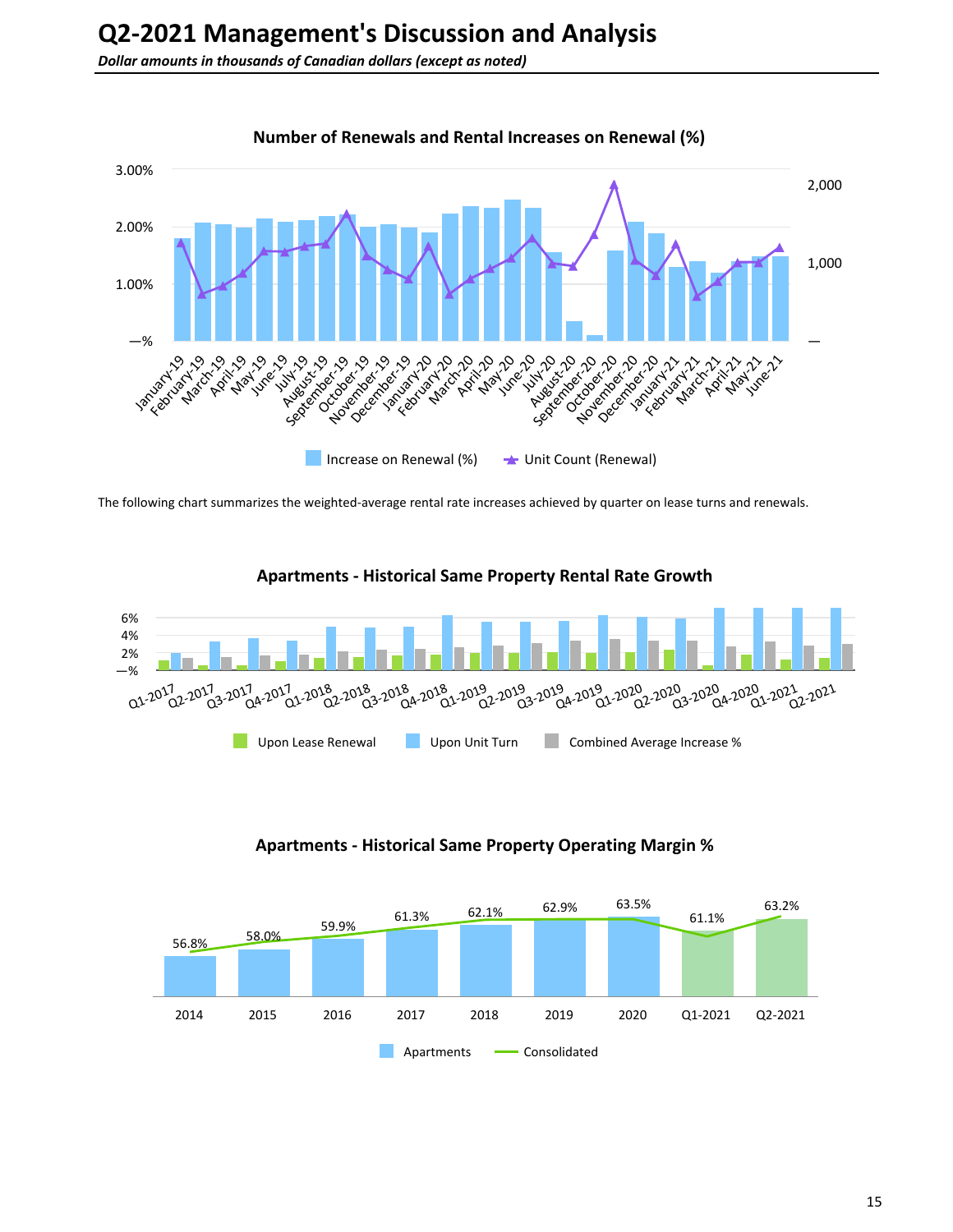

The following chart summarizes the weighted-average rental rate increases achieved by quarter on lease turns and renewals.





**Apartments - Historical Same Property Operating Margin %**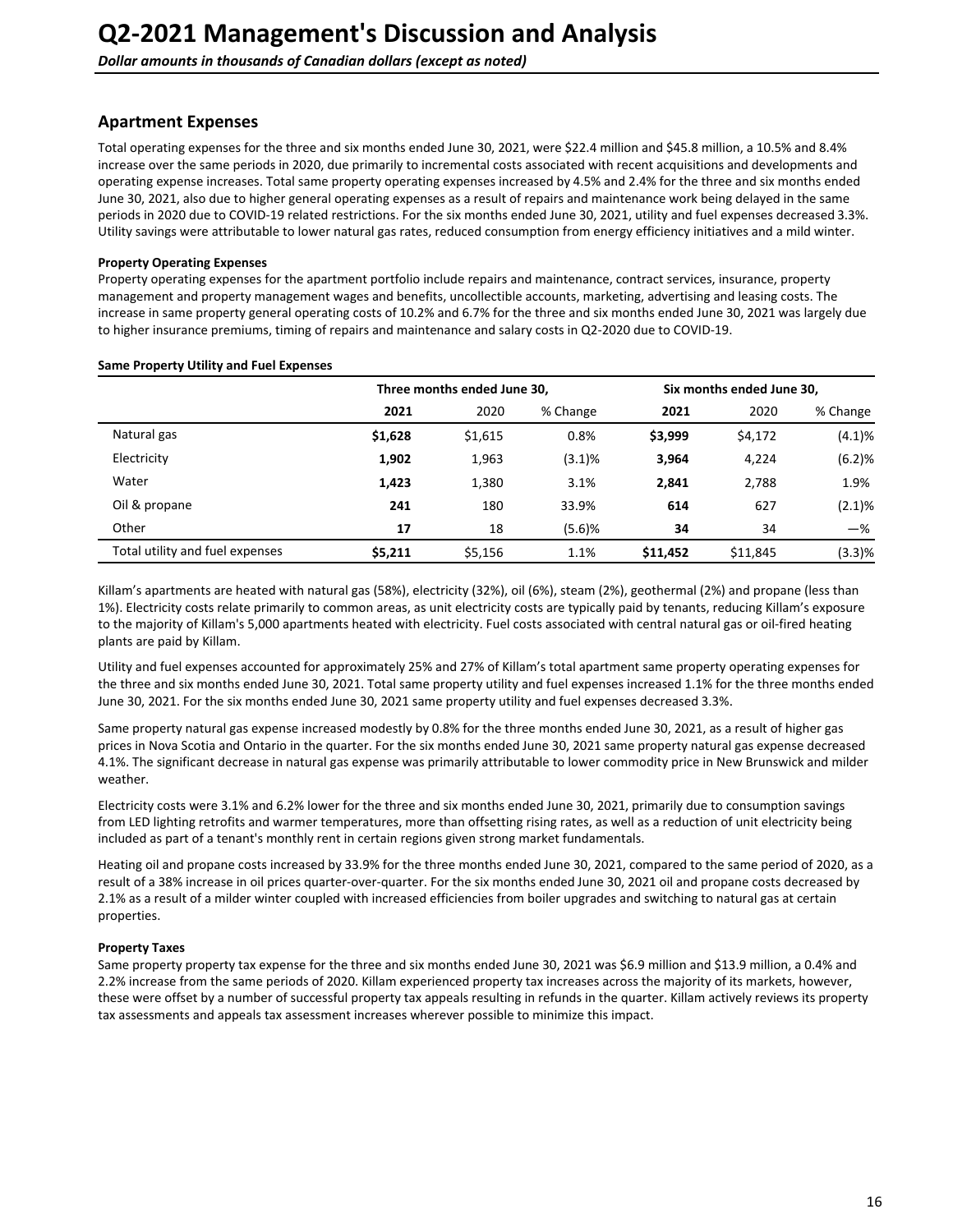## **Apartment Expenses**

Total operating expenses for the three and six months ended June 30, 2021, were \$22.4 million and \$45.8 million, a 10.5% and 8.4% increase over the same periods in 2020, due primarily to incremental costs associated with recent acquisitions and developments and operating expense increases. Total same property operating expenses increased by 4.5% and 2.4% for the three and six months ended June 30, 2021, also due to higher general operating expenses as a result of repairs and maintenance work being delayed in the same periods in 2020 due to COVID-19 related restrictions. For the six months ended June 30, 2021, utility and fuel expenses decreased 3.3%. Utility savings were attributable to lower natural gas rates, reduced consumption from energy efficiency initiatives and a mild winter.

#### **Property Operating Expenses**

Property operating expenses for the apartment portfolio include repairs and maintenance, contract services, insurance, property management and property management wages and benefits, uncollectible accounts, marketing, advertising and leasing costs. The increase in same property general operating costs of 10.2% and 6.7% for the three and six months ended June 30, 2021 was largely due to higher insurance premiums, timing of repairs and maintenance and salary costs in Q2-2020 due to COVID-19.

|                                 |         | Three months ended June 30, |          | Six months ended June 30, |          |           |  |
|---------------------------------|---------|-----------------------------|----------|---------------------------|----------|-----------|--|
|                                 | 2021    | 2020                        | % Change | 2021                      | 2020     | % Change  |  |
| Natural gas                     | \$1,628 | \$1,615                     | 0.8%     | \$3,999                   | \$4,172  | (4.1)%    |  |
| Electricity                     | 1,902   | 1,963                       | (3.1)%   | 3,964                     | 4,224    | (6.2)%    |  |
| Water                           | 1,423   | 1,380                       | 3.1%     | 2.841                     | 2,788    | 1.9%      |  |
| Oil & propane                   | 241     | 180                         | 33.9%    | 614                       | 627      | $(2.1)\%$ |  |
| Other                           | 17      | 18                          | (5.6)%   | 34                        | 34       | $-\%$     |  |
| Total utility and fuel expenses | \$5,211 | \$5,156                     | 1.1%     | \$11,452                  | \$11,845 | (3.3)%    |  |

#### **Same Property Utility and Fuel Expenses**

Killam's apartments are heated with natural gas (58%), electricity (32%), oil (6%), steam (2%), geothermal (2%) and propane (less than 1%). Electricity costs relate primarily to common areas, as unit electricity costs are typically paid by tenants, reducing Killam's exposure to the majority of Killam's 5,000 apartments heated with electricity. Fuel costs associated with central natural gas or oil-fired heating plants are paid by Killam.

Utility and fuel expenses accounted for approximately 25% and 27% of Killam's total apartment same property operating expenses for the three and six months ended June 30, 2021. Total same property utility and fuel expenses increased 1.1% for the three months ended June 30, 2021. For the six months ended June 30, 2021 same property utility and fuel expenses decreased 3.3%.

Same property natural gas expense increased modestly by 0.8% for the three months ended June 30, 2021, as a result of higher gas prices in Nova Scotia and Ontario in the quarter. For the six months ended June 30, 2021 same property natural gas expense decreased 4.1%. The significant decrease in natural gas expense was primarily attributable to lower commodity price in New Brunswick and milder weather. 

Electricity costs were 3.1% and 6.2% lower for the three and six months ended June 30, 2021, primarily due to consumption savings from LED lighting retrofits and warmer temperatures, more than offsetting rising rates, as well as a reduction of unit electricity being included as part of a tenant's monthly rent in certain regions given strong market fundamentals.

Heating oil and propane costs increased by 33.9% for the three months ended June 30, 2021, compared to the same period of 2020, as a result of a 38% increase in oil prices quarter-over-quarter. For the six months ended June 30, 2021 oil and propane costs decreased by 2.1% as a result of a milder winter coupled with increased efficiencies from boiler upgrades and switching to natural gas at certain properties.

### **Property Taxes**

Same property property tax expense for the three and six months ended June 30, 2021 was \$6.9 million and \$13.9 million, a 0.4% and 2.2% increase from the same periods of 2020. Killam experienced property tax increases across the majority of its markets, however, these were offset by a number of successful property tax appeals resulting in refunds in the quarter. Killam actively reviews its property tax assessments and appeals tax assessment increases wherever possible to minimize this impact.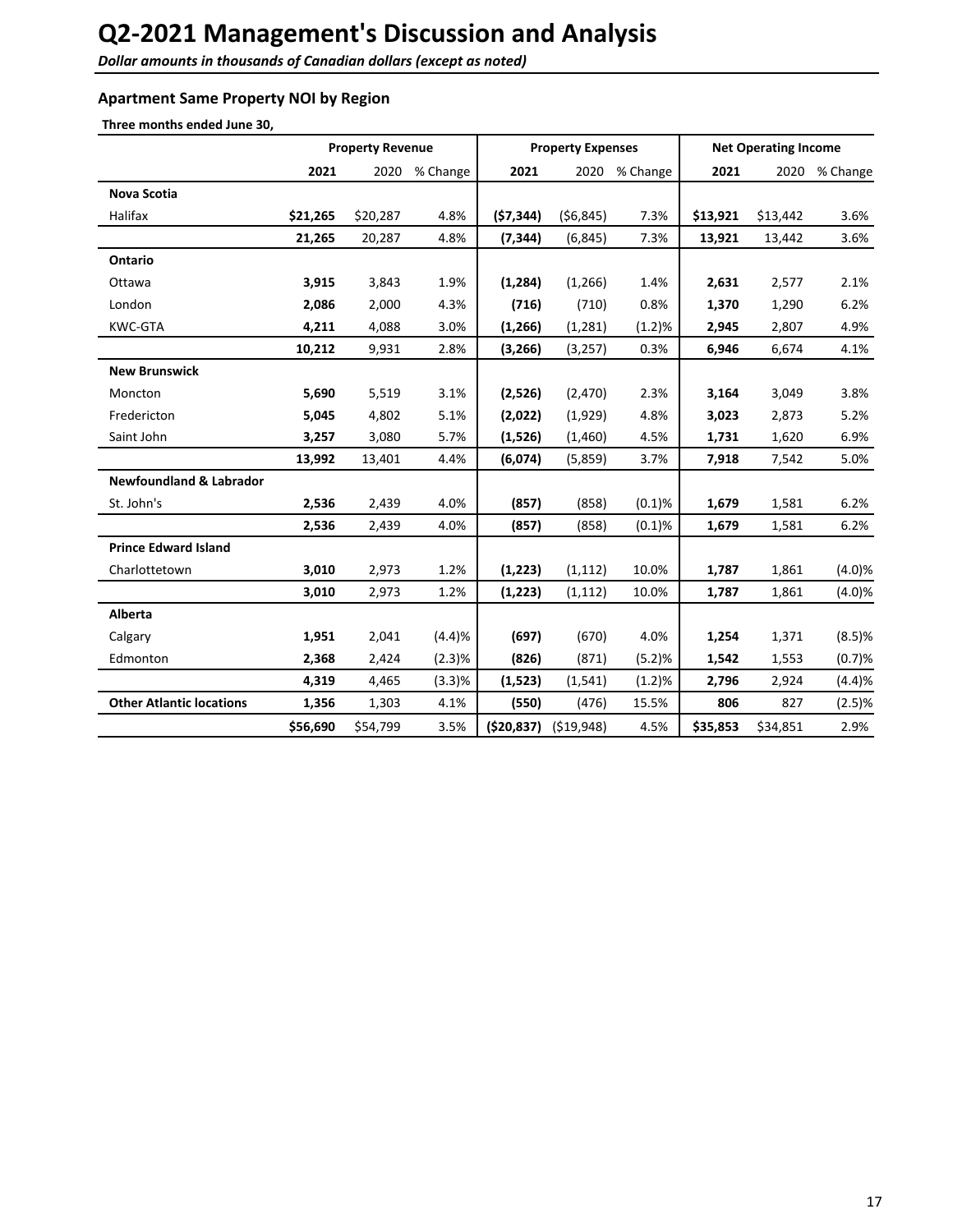Dollar amounts in thousands of Canadian dollars (except as noted)

### **Apartment Same Property NOI by Region**

**Three months ended June 30,**

|                                    |          | <b>Property Revenue</b> |          |              | <b>Property Expenses</b> |          |          | <b>Net Operating Income</b> |          |
|------------------------------------|----------|-------------------------|----------|--------------|--------------------------|----------|----------|-----------------------------|----------|
|                                    | 2021     | 2020                    | % Change | 2021         | 2020                     | % Change | 2021     | 2020                        | % Change |
| <b>Nova Scotia</b>                 |          |                         |          |              |                          |          |          |                             |          |
| Halifax                            | \$21,265 | \$20,287                | 4.8%     | (57, 344)    | (56, 845)                | 7.3%     | \$13,921 | \$13,442                    | 3.6%     |
|                                    | 21,265   | 20,287                  | 4.8%     | (7, 344)     | (6, 845)                 | 7.3%     | 13,921   | 13,442                      | 3.6%     |
| Ontario                            |          |                         |          |              |                          |          |          |                             |          |
| Ottawa                             | 3,915    | 3,843                   | 1.9%     | (1, 284)     | (1,266)                  | 1.4%     | 2,631    | 2,577                       | 2.1%     |
| London                             | 2,086    | 2,000                   | 4.3%     | (716)        | (710)                    | 0.8%     | 1,370    | 1,290                       | 6.2%     |
| <b>KWC-GTA</b>                     | 4,211    | 4,088                   | 3.0%     | (1, 266)     | (1, 281)                 | (1.2)%   | 2,945    | 2,807                       | 4.9%     |
|                                    | 10,212   | 9,931                   | 2.8%     | (3, 266)     | (3,257)                  | 0.3%     | 6,946    | 6,674                       | 4.1%     |
| <b>New Brunswick</b>               |          |                         |          |              |                          |          |          |                             |          |
| Moncton                            | 5,690    | 5,519                   | 3.1%     | (2,526)      | (2, 470)                 | 2.3%     | 3,164    | 3,049                       | 3.8%     |
| Fredericton                        | 5,045    | 4,802                   | 5.1%     | (2,022)      | (1,929)                  | 4.8%     | 3,023    | 2,873                       | 5.2%     |
| Saint John                         | 3,257    | 3,080                   | 5.7%     | (1,526)      | (1,460)                  | 4.5%     | 1,731    | 1,620                       | 6.9%     |
|                                    | 13,992   | 13,401                  | 4.4%     | (6,074)      | (5,859)                  | 3.7%     | 7,918    | 7,542                       | 5.0%     |
| <b>Newfoundland &amp; Labrador</b> |          |                         |          |              |                          |          |          |                             |          |
| St. John's                         | 2,536    | 2,439                   | 4.0%     | (857)        | (858)                    | (0.1)%   | 1,679    | 1,581                       | 6.2%     |
|                                    | 2,536    | 2,439                   | 4.0%     | (857)        | (858)                    | (0.1)%   | 1,679    | 1,581                       | 6.2%     |
| <b>Prince Edward Island</b>        |          |                         |          |              |                          |          |          |                             |          |
| Charlottetown                      | 3,010    | 2,973                   | 1.2%     | (1, 223)     | (1, 112)                 | 10.0%    | 1,787    | 1,861                       | (4.0)%   |
|                                    | 3,010    | 2,973                   | 1.2%     | (1, 223)     | (1, 112)                 | 10.0%    | 1,787    | 1,861                       | (4.0)%   |
| <b>Alberta</b>                     |          |                         |          |              |                          |          |          |                             |          |
| Calgary                            | 1,951    | 2,041                   | (4.4)%   | (697)        | (670)                    | 4.0%     | 1,254    | 1,371                       | (8.5)%   |
| Edmonton                           | 2,368    | 2,424                   | (2.3)%   | (826)        | (871)                    | (5.2)%   | 1,542    | 1,553                       | (0.7)%   |
|                                    | 4,319    | 4,465                   | (3.3)%   | (1,523)      | (1, 541)                 | (1.2)%   | 2,796    | 2,924                       | (4.4)%   |
| <b>Other Atlantic locations</b>    | 1,356    | 1,303                   | 4.1%     | (550)        | (476)                    | 15.5%    | 806      | 827                         | (2.5)%   |
|                                    | \$56,690 | \$54,799                | 3.5%     | ( \$20, 837) | (519, 948)               | 4.5%     | \$35,853 | \$34,851                    | 2.9%     |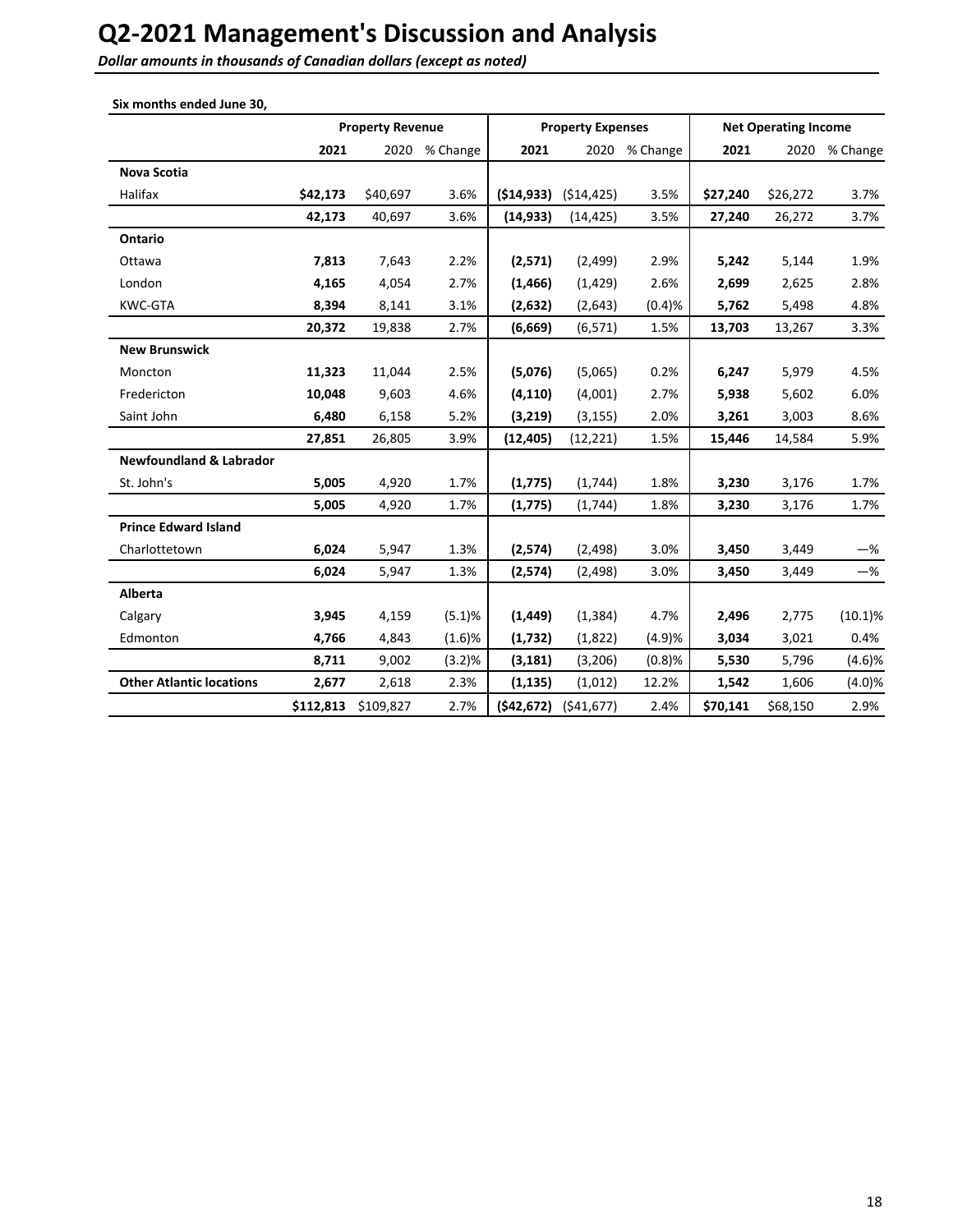**Dollar amounts in thousands of Canadian dollars (except as noted)** 

| Six months ended June 30,          |           |                         |          |            |                          |               |          |                             |               |
|------------------------------------|-----------|-------------------------|----------|------------|--------------------------|---------------|----------|-----------------------------|---------------|
|                                    |           | <b>Property Revenue</b> |          |            | <b>Property Expenses</b> |               |          | <b>Net Operating Income</b> |               |
|                                    | 2021      | 2020                    | % Change | 2021       |                          | 2020 % Change | 2021     |                             | 2020 % Change |
| <b>Nova Scotia</b>                 |           |                         |          |            |                          |               |          |                             |               |
| Halifax                            | \$42,173  | \$40,697                | 3.6%     | (514, 933) | (514, 425)               | 3.5%          | \$27,240 | \$26,272                    | 3.7%          |
|                                    | 42,173    | 40,697                  | 3.6%     | (14, 933)  | (14, 425)                | 3.5%          | 27,240   | 26,272                      | 3.7%          |
| Ontario                            |           |                         |          |            |                          |               |          |                             |               |
| Ottawa                             | 7,813     | 7,643                   | 2.2%     | (2,571)    | (2,499)                  | 2.9%          | 5,242    | 5,144                       | 1.9%          |
| London                             | 4,165     | 4,054                   | 2.7%     | (1, 466)   | (1, 429)                 | 2.6%          | 2,699    | 2,625                       | 2.8%          |
| KWC-GTA                            | 8,394     | 8,141                   | 3.1%     | (2,632)    | (2,643)                  | (0.4)%        | 5,762    | 5,498                       | 4.8%          |
|                                    | 20,372    | 19,838                  | 2.7%     | (6,669)    | (6, 571)                 | 1.5%          | 13,703   | 13,267                      | 3.3%          |
| <b>New Brunswick</b>               |           |                         |          |            |                          |               |          |                             |               |
| Moncton                            | 11,323    | 11,044                  | 2.5%     | (5,076)    | (5,065)                  | 0.2%          | 6,247    | 5,979                       | 4.5%          |
| Fredericton                        | 10,048    | 9,603                   | 4.6%     | (4, 110)   | (4,001)                  | 2.7%          | 5,938    | 5,602                       | 6.0%          |
| Saint John                         | 6,480     | 6,158                   | 5.2%     | (3,219)    | (3, 155)                 | 2.0%          | 3,261    | 3,003                       | 8.6%          |
|                                    | 27,851    | 26,805                  | 3.9%     | (12, 405)  | (12, 221)                | 1.5%          | 15,446   | 14,584                      | 5.9%          |
| <b>Newfoundland &amp; Labrador</b> |           |                         |          |            |                          |               |          |                             |               |
| St. John's                         | 5,005     | 4,920                   | 1.7%     | (1, 775)   | (1,744)                  | 1.8%          | 3,230    | 3,176                       | 1.7%          |
|                                    | 5,005     | 4,920                   | 1.7%     | (1,775)    | (1,744)                  | 1.8%          | 3,230    | 3,176                       | 1.7%          |
| <b>Prince Edward Island</b>        |           |                         |          |            |                          |               |          |                             |               |
| Charlottetown                      | 6,024     | 5,947                   | 1.3%     | (2, 574)   | (2, 498)                 | 3.0%          | 3,450    | 3,449                       | $-\%$         |
|                                    | 6,024     | 5,947                   | 1.3%     | (2,574)    | (2, 498)                 | 3.0%          | 3,450    | 3,449                       | $-$ %         |
| Alberta                            |           |                         |          |            |                          |               |          |                             |               |
| Calgary                            | 3,945     | 4,159                   | (5.1)%   | (1, 449)   | (1, 384)                 | 4.7%          | 2,496    | 2,775                       | $(10.1)\%$    |
| Edmonton                           | 4,766     | 4,843                   | (1.6)%   | (1,732)    | (1,822)                  | (4.9)%        | 3,034    | 3,021                       | 0.4%          |
|                                    | 8,711     | 9,002                   | (3.2)%   | (3, 181)   | (3,206)                  | (0.8)%        | 5,530    | 5,796                       | (4.6)%        |
| <b>Other Atlantic locations</b>    | 2,677     | 2,618                   | 2.3%     | (1, 135)   | (1,012)                  | 12.2%         | 1,542    | 1,606                       | (4.0)%        |
|                                    | \$112,813 | \$109,827               | 2.7%     | (542, 672) | (541, 677)               | 2.4%          | \$70,141 | \$68,150                    | 2.9%          |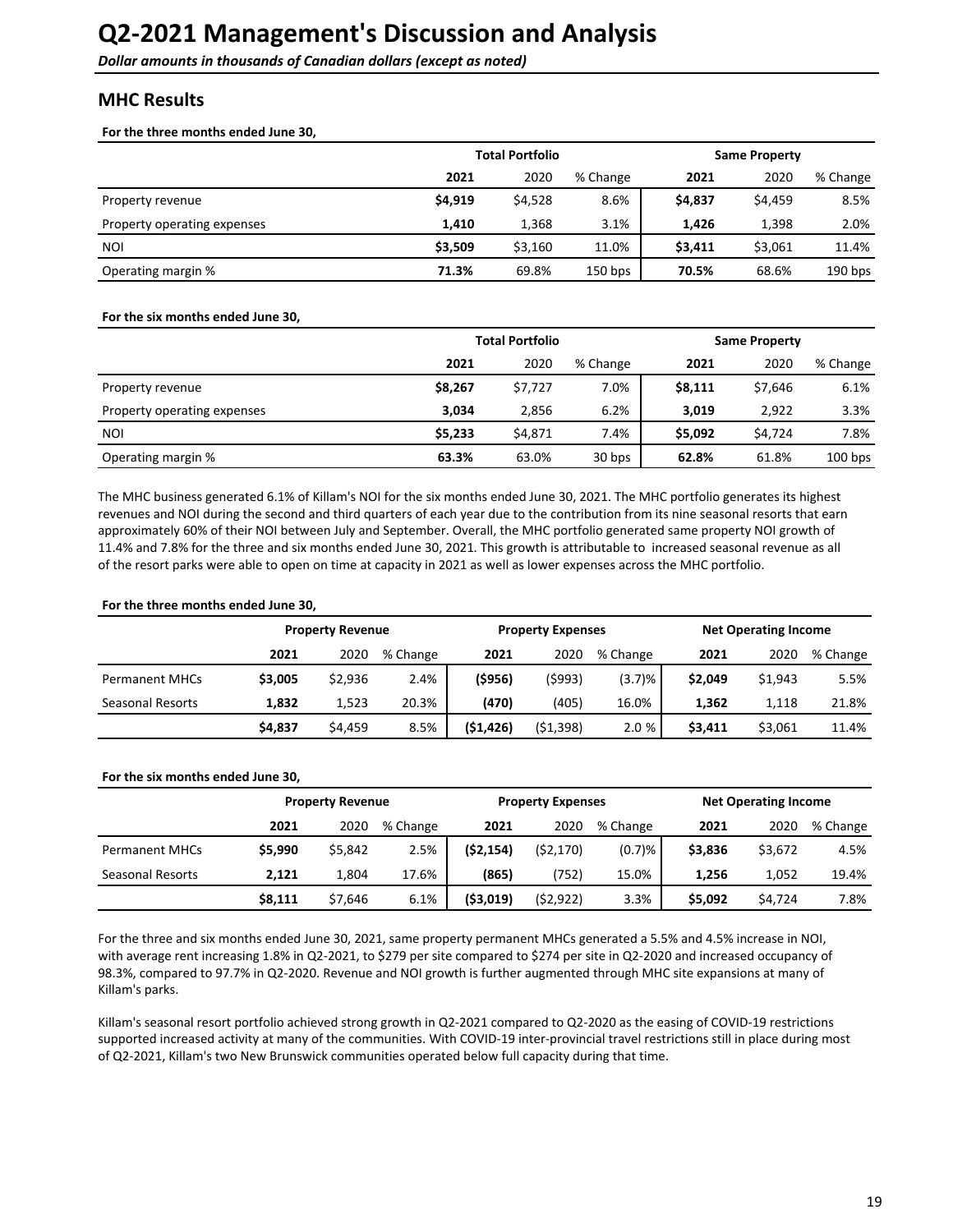## <span id="page-18-0"></span>**MHC Results**

For the three months ended June 30,

|                             |         | <b>Total Portfolio</b> |           | <b>Same Property</b> |         |           |  |
|-----------------------------|---------|------------------------|-----------|----------------------|---------|-----------|--|
|                             | 2021    | 2020                   | % Change  | 2021                 | 2020    | % Change  |  |
| Property revenue            | \$4,919 | \$4,528                | 8.6%      | \$4,837              | \$4,459 | 8.5%      |  |
| Property operating expenses | 1.410   | 1,368                  | 3.1%      | 1.426                | 1,398   | 2.0%      |  |
| <b>NOI</b>                  | \$3,509 | \$3,160                | 11.0%     | \$3,411              | \$3,061 | 11.4%     |  |
| Operating margin %          | 71.3%   | 69.8%                  | $150$ bps | 70.5%                | 68.6%   | $190$ bps |  |

#### For the six months ended June 30,

|                             | <b>Total Portfolio</b> | <b>Same Property</b> |          |         |         |           |
|-----------------------------|------------------------|----------------------|----------|---------|---------|-----------|
|                             | 2021                   | 2020                 | % Change | 2021    | 2020    | % Change  |
| Property revenue            | \$8,267                | \$7,727              | 7.0%     | \$8,111 | \$7,646 | 6.1%      |
| Property operating expenses | 3.034                  | 2,856                | 6.2%     | 3.019   | 2.922   | 3.3%      |
| <b>NOI</b>                  | \$5,233                | \$4,871              | 7.4%     | \$5,092 | \$4,724 | 7.8%      |
| Operating margin %          | 63.3%                  | 63.0%                | 30 bps   | 62.8%   | 61.8%   | $100$ bps |

The MHC business generated 6.1% of Killam's NOI for the six months ended June 30, 2021. The MHC portfolio generates its highest revenues and NOI during the second and third quarters of each year due to the contribution from its nine seasonal resorts that earn approximately 60% of their NOI between July and September. Overall, the MHC portfolio generated same property NOI growth of 11.4% and 7.8% for the three and six months ended June 30, 2021. This growth is attributable to increased seasonal revenue as all of the resort parks were able to open on time at capacity in 2021 as well as lower expenses across the MHC portfolio.

#### For the three months ended June 30,

|                       |         | <b>Property Revenue</b> |          |           | <b>Property Expenses</b> |          | <b>Net Operating Income</b> |         |          |
|-----------------------|---------|-------------------------|----------|-----------|--------------------------|----------|-----------------------------|---------|----------|
|                       | 2021    | 2020                    | % Change | 2021      | 2020                     | % Change | 2021                        | 2020    | % Change |
| <b>Permanent MHCs</b> | \$3,005 | \$2,936                 | 2.4%     | (\$956)   | (\$993)                  | (3.7)%   | \$2,049                     | \$1,943 | 5.5%     |
| Seasonal Resorts      | 1.832   | 1.523                   | 20.3%    | (470)     | (405)                    | 16.0%    | 1,362                       | 1,118   | 21.8%    |
|                       | \$4,837 | \$4.459                 | 8.5%     | (51, 426) | (51, 398)                | 2.0%     | \$3,411                     | \$3,061 | 11.4%    |

#### For the six months ended June 30,

|                       |         | <b>Property Revenue</b> |          |            | <b>Property Expenses</b> |          | <b>Net Operating Income</b> |         |          |
|-----------------------|---------|-------------------------|----------|------------|--------------------------|----------|-----------------------------|---------|----------|
|                       | 2021    | 2020                    | % Change | 2021       | 2020                     | % Change | 2021                        | 2020    | % Change |
| <b>Permanent MHCs</b> | \$5,990 | \$5,842                 | 2.5%     | (\$2,154)  | (52, 170)                | (0.7)%   | \$3.836                     | \$3,672 | 4.5%     |
| Seasonal Resorts      | 2.121   | 1.804                   | 17.6%    | (865)      | (752)                    | 15.0%    | 1.256                       | 1,052   | 19.4%    |
|                       | \$8,111 | \$7.646                 | 6.1%     | ( \$3,019) | (52, 922)                | 3.3%     | \$5,092                     | \$4,724 | 7.8%     |

For the three and six months ended June 30, 2021, same property permanent MHCs generated a 5.5% and 4.5% increase in NOI, with average rent increasing 1.8% in Q2-2021, to \$279 per site compared to \$274 per site in Q2-2020 and increased occupancy of 98.3%, compared to 97.7% in Q2-2020. Revenue and NOI growth is further augmented through MHC site expansions at many of Killam's parks.

Killam's seasonal resort portfolio achieved strong growth in Q2-2021 compared to Q2-2020 as the easing of COVID-19 restrictions supported increased activity at many of the communities. With COVID-19 inter-provincial travel restrictions still in place during most of Q2-2021, Killam's two New Brunswick communities operated below full capacity during that time.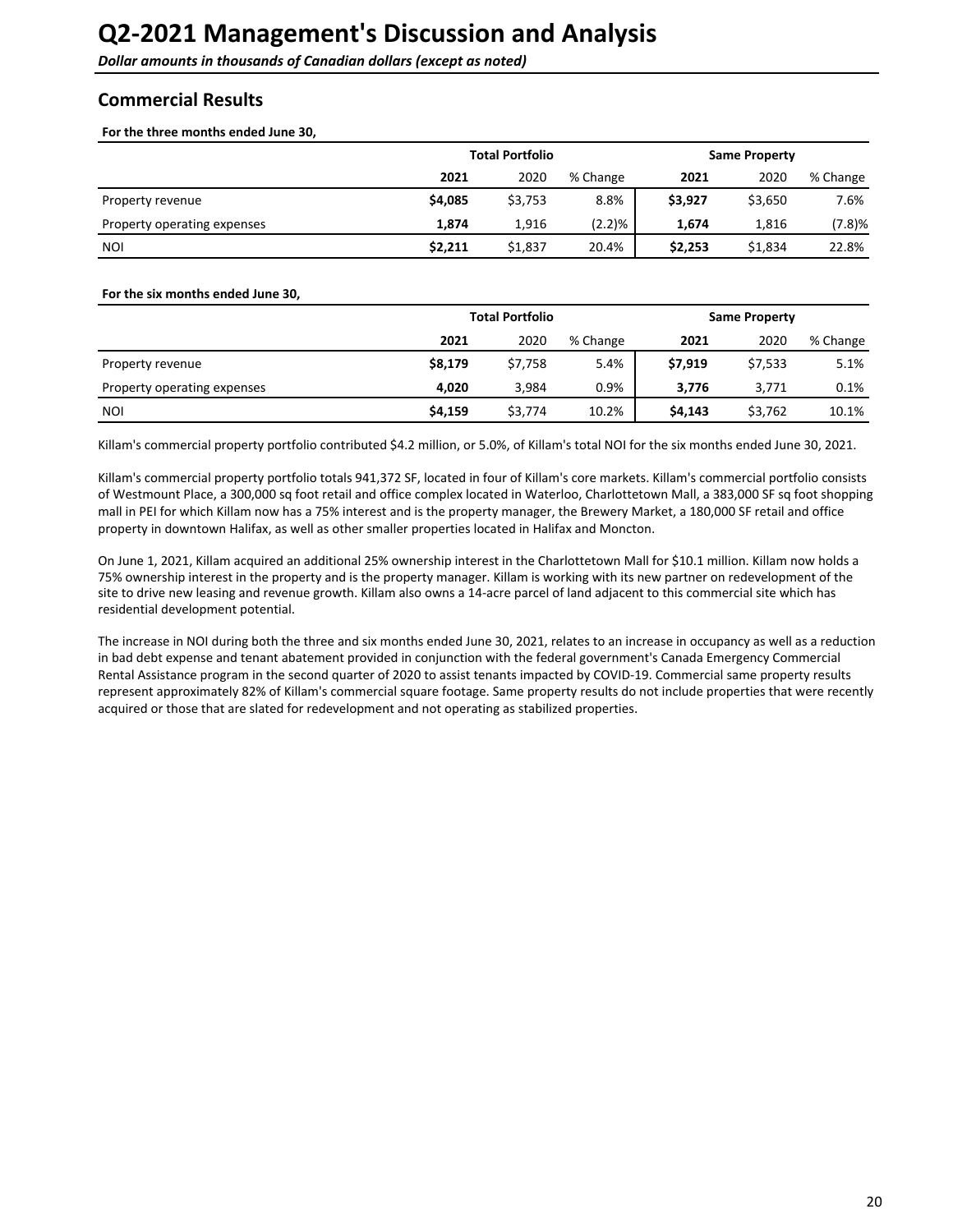<span id="page-19-0"></span>**Dollar amounts in thousands of Canadian dollars (except as noted)** 

## **Commercial Results**

For the three months ended June 30.

|                             |         | <b>Total Portfolio</b> |          | <b>Same Property</b> |         |          |
|-----------------------------|---------|------------------------|----------|----------------------|---------|----------|
|                             | 2021    | 2020                   | % Change | 2021                 | 2020    | % Change |
| Property revenue            | \$4,085 | \$3,753                | 8.8%     | \$3,927              | \$3,650 | 7.6%     |
| Property operating expenses | 1.874   | 1,916                  | (2.2)%   | 1.674                | 1,816   | (7.8)%   |
| <b>NOI</b>                  | \$2,211 | \$1,837                | 20.4%    | \$2,253              | \$1,834 | 22.8%    |

#### For the six months ended June 30,

|                             |         | <b>Total Portfolio</b> | <b>Same Property</b> |         |         |          |
|-----------------------------|---------|------------------------|----------------------|---------|---------|----------|
|                             | 2021    | 2020                   | % Change             | 2021    | 2020    | % Change |
| Property revenue            | \$8,179 | \$7,758                | 5.4%                 | \$7,919 | \$7,533 | 5.1%     |
| Property operating expenses | 4.020   | 3.984                  | 0.9%                 | 3.776   | 3.771   | 0.1%     |
| <b>NOI</b>                  | \$4,159 | \$3,774                | 10.2%                | \$4,143 | \$3,762 | 10.1%    |

Killam's commercial property portfolio contributed \$4.2 million, or 5.0%, of Killam's total NOI for the six months ended June 30, 2021.

Killam's commercial property portfolio totals 941,372 SF, located in four of Killam's core markets. Killam's commercial portfolio consists of Westmount Place, a 300,000 sq foot retail and office complex located in Waterloo, Charlottetown Mall, a 383,000 SF sq foot shopping mall in PEI for which Killam now has a 75% interest and is the property manager, the Brewery Market, a 180,000 SF retail and office property in downtown Halifax, as well as other smaller properties located in Halifax and Moncton.

On June 1, 2021, Killam acquired an additional 25% ownership interest in the Charlottetown Mall for \$10.1 million. Killam now holds a 75% ownership interest in the property and is the property manager. Killam is working with its new partner on redevelopment of the site to drive new leasing and revenue growth. Killam also owns a 14-acre parcel of land adjacent to this commercial site which has residential development potential.

The increase in NOI during both the three and six months ended June 30, 2021, relates to an increase in occupancy as well as a reduction in bad debt expense and tenant abatement provided in conjunction with the federal government's Canada Emergency Commercial Rental Assistance program in the second quarter of 2020 to assist tenants impacted by COVID-19. Commercial same property results represent approximately 82% of Killam's commercial square footage. Same property results do not include properties that were recently acquired or those that are slated for redevelopment and not operating as stabilized properties.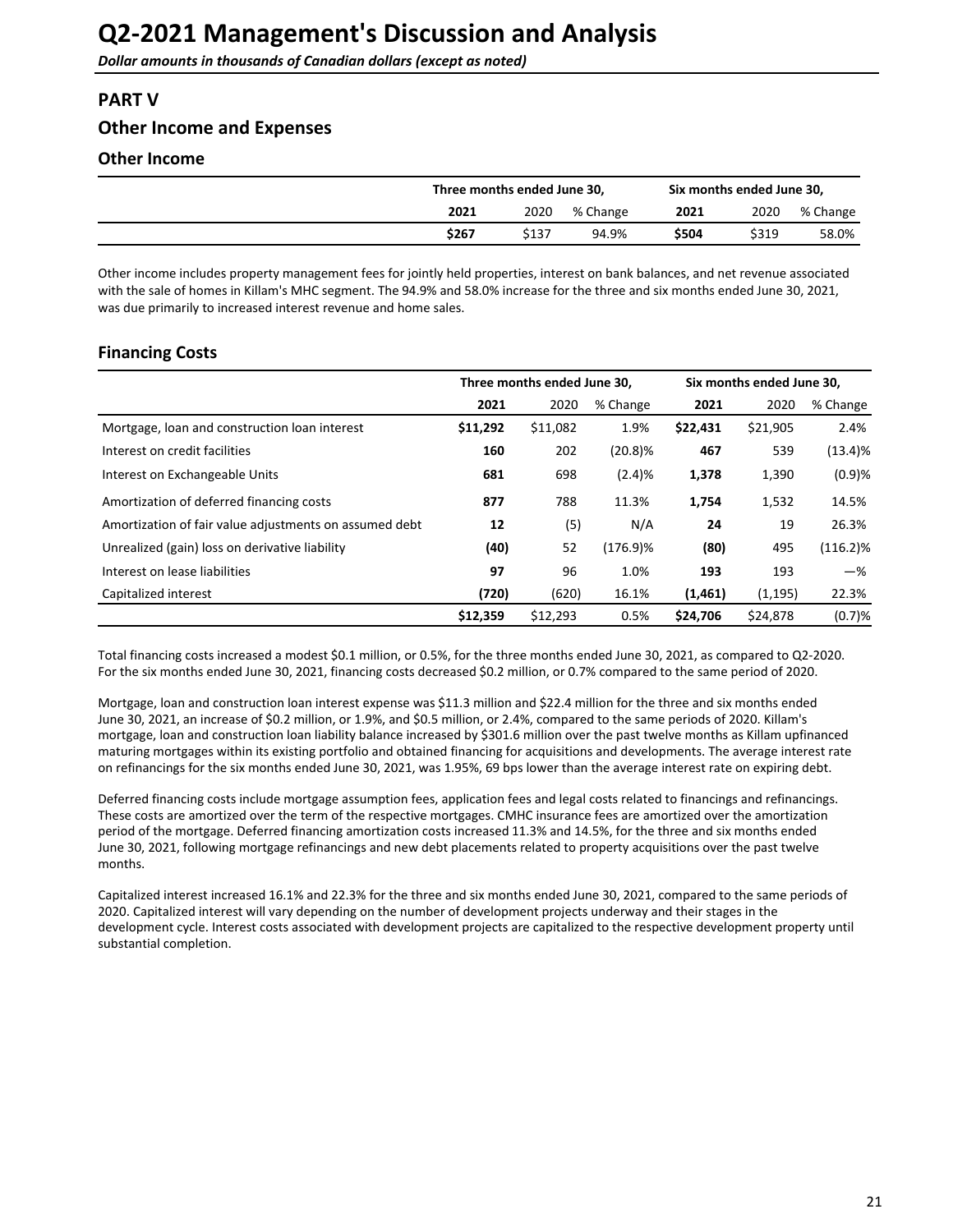## <span id="page-20-0"></span>**PART V**

## **Other Income and Expenses**

## **Other Income**

|       | Three months ended June 30. |          |       | Six months ended June 30, |          |  |
|-------|-----------------------------|----------|-------|---------------------------|----------|--|
| 2021  | 2020                        | % Change | 2021  | 2020                      | % Change |  |
| \$267 | \$137                       | 94.9%    | \$504 | \$319                     | 58.0%    |  |

Other income includes property management fees for jointly held properties, interest on bank balances, and net revenue associated with the sale of homes in Killam's MHC segment. The 94.9% and 58.0% increase for the three and six months ended June 30, 2021, was due primarily to increased interest revenue and home sales.

## **Financing Costs**

|                                                        | Three months ended June 30, |          |             | Six months ended June 30, |          |             |
|--------------------------------------------------------|-----------------------------|----------|-------------|---------------------------|----------|-------------|
|                                                        | 2021                        | 2020     | % Change    | 2021                      | 2020     | % Change    |
| Mortgage, loan and construction loan interest          | \$11,292                    | \$11,082 | 1.9%        | \$22,431                  | \$21,905 | 2.4%        |
| Interest on credit facilities                          | 160                         | 202      | $(20.8)\%$  | 467                       | 539      | (13.4)%     |
| Interest on Exchangeable Units                         | 681                         | 698      | (2.4)%      | 1,378                     | 1,390    | (0.9)%      |
| Amortization of deferred financing costs               | 877                         | 788      | 11.3%       | 1,754                     | 1,532    | 14.5%       |
| Amortization of fair value adjustments on assumed debt | 12                          | (5)      | N/A         | 24                        | 19       | 26.3%       |
| Unrealized (gain) loss on derivative liability         | (40)                        | 52       | $(176.9)$ % | (80)                      | 495      | $(116.2)\%$ |
| Interest on lease liabilities                          | 97                          | 96       | 1.0%        | 193                       | 193      | $-\%$       |
| Capitalized interest                                   | (720)                       | (620)    | 16.1%       | (1,461)                   | (1, 195) | 22.3%       |
|                                                        | \$12,359                    | \$12,293 | 0.5%        | \$24,706                  | \$24,878 | (0.7)%      |

Total financing costs increased a modest \$0.1 million, or 0.5%, for the three months ended June 30, 2021, as compared to Q2-2020. For the six months ended June 30, 2021, financing costs decreased \$0.2 million, or 0.7% compared to the same period of 2020.

Mortgage, loan and construction loan interest expense was \$11.3 million and \$22.4 million for the three and six months ended June 30, 2021, an increase of \$0.2 million, or 1.9%, and \$0.5 million, or 2.4%, compared to the same periods of 2020. Killam's mortgage, loan and construction loan liability balance increased by \$301.6 million over the past twelve months as Killam upfinanced maturing mortgages within its existing portfolio and obtained financing for acquisitions and developments. The average interest rate on refinancings for the six months ended June 30, 2021, was 1.95%, 69 bps lower than the average interest rate on expiring debt.

Deferred financing costs include mortgage assumption fees, application fees and legal costs related to financings and refinancings. These costs are amortized over the term of the respective mortgages. CMHC insurance fees are amortized over the amortization period of the mortgage. Deferred financing amortization costs increased 11.3% and 14.5%, for the three and six months ended June 30, 2021, following mortgage refinancings and new debt placements related to property acquisitions over the past twelve months. 

Capitalized interest increased 16.1% and 22.3% for the three and six months ended June 30, 2021, compared to the same periods of 2020. Capitalized interest will vary depending on the number of development projects underway and their stages in the development cycle. Interest costs associated with development projects are capitalized to the respective development property until substantial completion.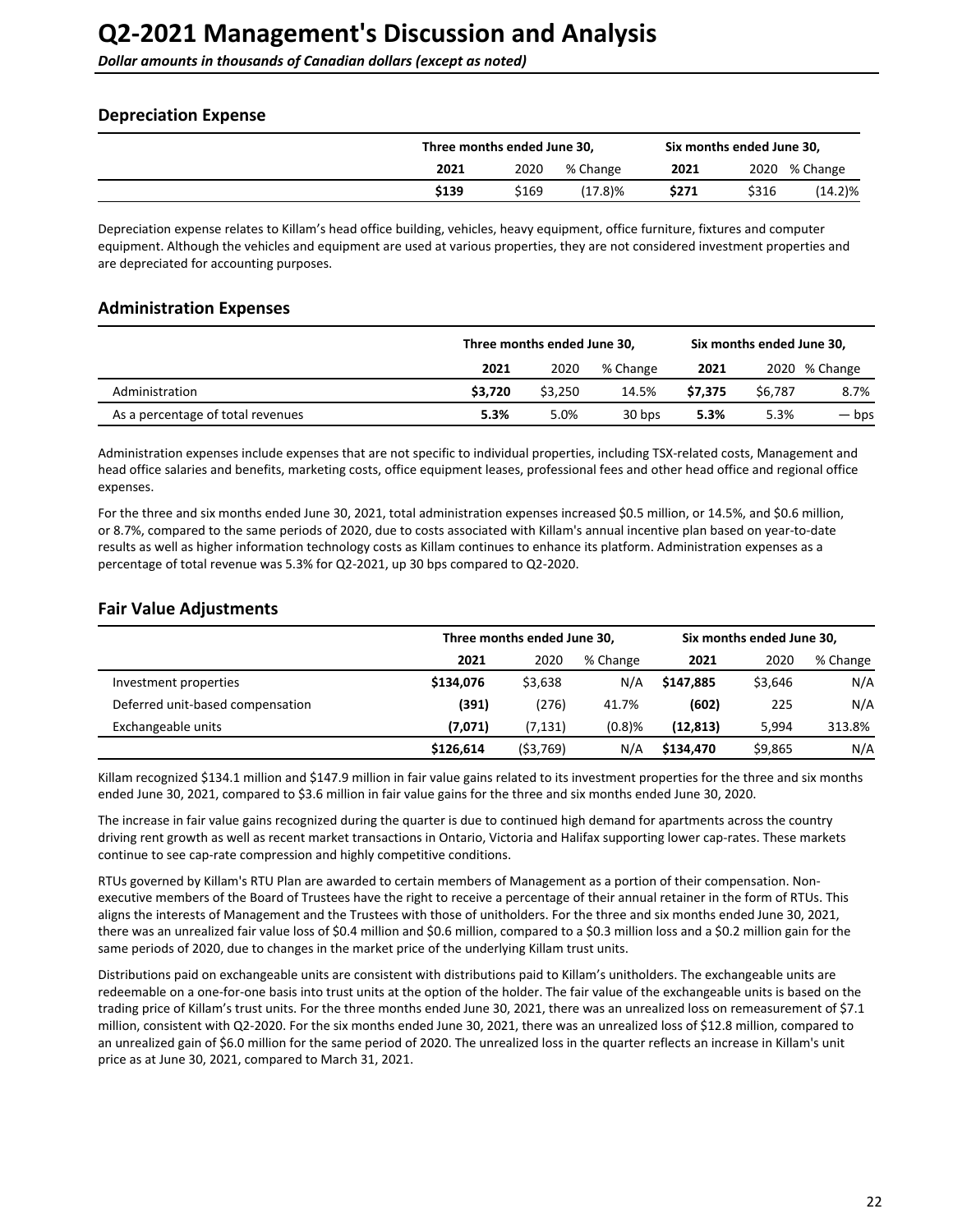## <span id="page-21-0"></span>**Depreciation Expense**

|       | Three months ended June 30, |            |       | Six months ended June 30, |            |  |
|-------|-----------------------------|------------|-------|---------------------------|------------|--|
| 2021  | 2020                        | % Change   | 2021  | 2020                      | % Change   |  |
| \$139 | \$169                       | $(17.8)$ % | \$271 | \$316                     | $(14.2)\%$ |  |

Depreciation expense relates to Killam's head office building, vehicles, heavy equipment, office furniture, fixtures and computer equipment. Although the vehicles and equipment are used at various properties, they are not considered investment properties and are depreciated for accounting purposes.

### **Administration Expenses**

|                                   |         | Three months ended June 30, |          |         |         | Six months ended June 30, |
|-----------------------------------|---------|-----------------------------|----------|---------|---------|---------------------------|
|                                   | 2021    | 2020                        | % Change | 2021    |         | 2020 % Change             |
| Administration                    | \$3.720 | \$3.250                     | 14.5%    | \$7.375 | \$6.787 | 8.7%                      |
| As a percentage of total revenues | 5.3%    | 5.0%                        | 30 bps   | 5.3%    | 5.3%    | — bps                     |

Administration expenses include expenses that are not specific to individual properties, including TSX-related costs, Management and head office salaries and benefits, marketing costs, office equipment leases, professional fees and other head office and regional office expenses. 

For the three and six months ended June 30, 2021, total administration expenses increased \$0.5 million, or 14.5%, and \$0.6 million, or 8.7%, compared to the same periods of 2020, due to costs associated with Killam's annual incentive plan based on year-to-date results as well as higher information technology costs as Killam continues to enhance its platform. Administration expenses as a percentage of total revenue was 5.3% for Q2-2021, up 30 bps compared to Q2-2020.

## **Fair Value Adjustments**

|                                  | Three months ended June 30, |          |          | Six months ended June 30, |         |          |
|----------------------------------|-----------------------------|----------|----------|---------------------------|---------|----------|
|                                  | 2021                        | 2020     | % Change | 2021                      | 2020    | % Change |
| Investment properties            | \$134,076                   | \$3,638  | N/A      | \$147.885                 | \$3.646 | N/A      |
| Deferred unit-based compensation | (391)                       | (276)    | 41.7%    | (602)                     | 225     | N/A      |
| Exchangeable units               | (7,071)                     | (7,131)  | (0.8)%   | (12, 813)                 | 5.994   | 313.8%   |
|                                  | \$126,614                   | (53,769) | N/A      | \$134,470                 | \$9,865 | N/A      |

Killam recognized \$134.1 million and \$147.9 million in fair value gains related to its investment properties for the three and six months ended June 30, 2021, compared to \$3.6 million in fair value gains for the three and six months ended June 30, 2020.

The increase in fair value gains recognized during the quarter is due to continued high demand for apartments across the country driving rent growth as well as recent market transactions in Ontario, Victoria and Halifax supporting lower cap-rates. These markets continue to see cap-rate compression and highly competitive conditions.

RTUs governed by Killam's RTU Plan are awarded to certain members of Management as a portion of their compensation. Nonexecutive members of the Board of Trustees have the right to receive a percentage of their annual retainer in the form of RTUs. This aligns the interests of Management and the Trustees with those of unitholders. For the three and six months ended June 30, 2021, there was an unrealized fair value loss of \$0.4 million and \$0.6 million, compared to a \$0.3 million loss and a \$0.2 million gain for the same periods of 2020, due to changes in the market price of the underlying Killam trust units.

Distributions paid on exchangeable units are consistent with distributions paid to Killam's unitholders. The exchangeable units are redeemable on a one-for-one basis into trust units at the option of the holder. The fair value of the exchangeable units is based on the trading price of Killam's trust units. For the three months ended June 30, 2021, there was an unrealized loss on remeasurement of \$7.1 million, consistent with Q2-2020. For the six months ended June 30, 2021, there was an unrealized loss of \$12.8 million, compared to an unrealized gain of \$6.0 million for the same period of 2020. The unrealized loss in the quarter reflects an increase in Killam's unit price as at June 30, 2021, compared to March 31, 2021.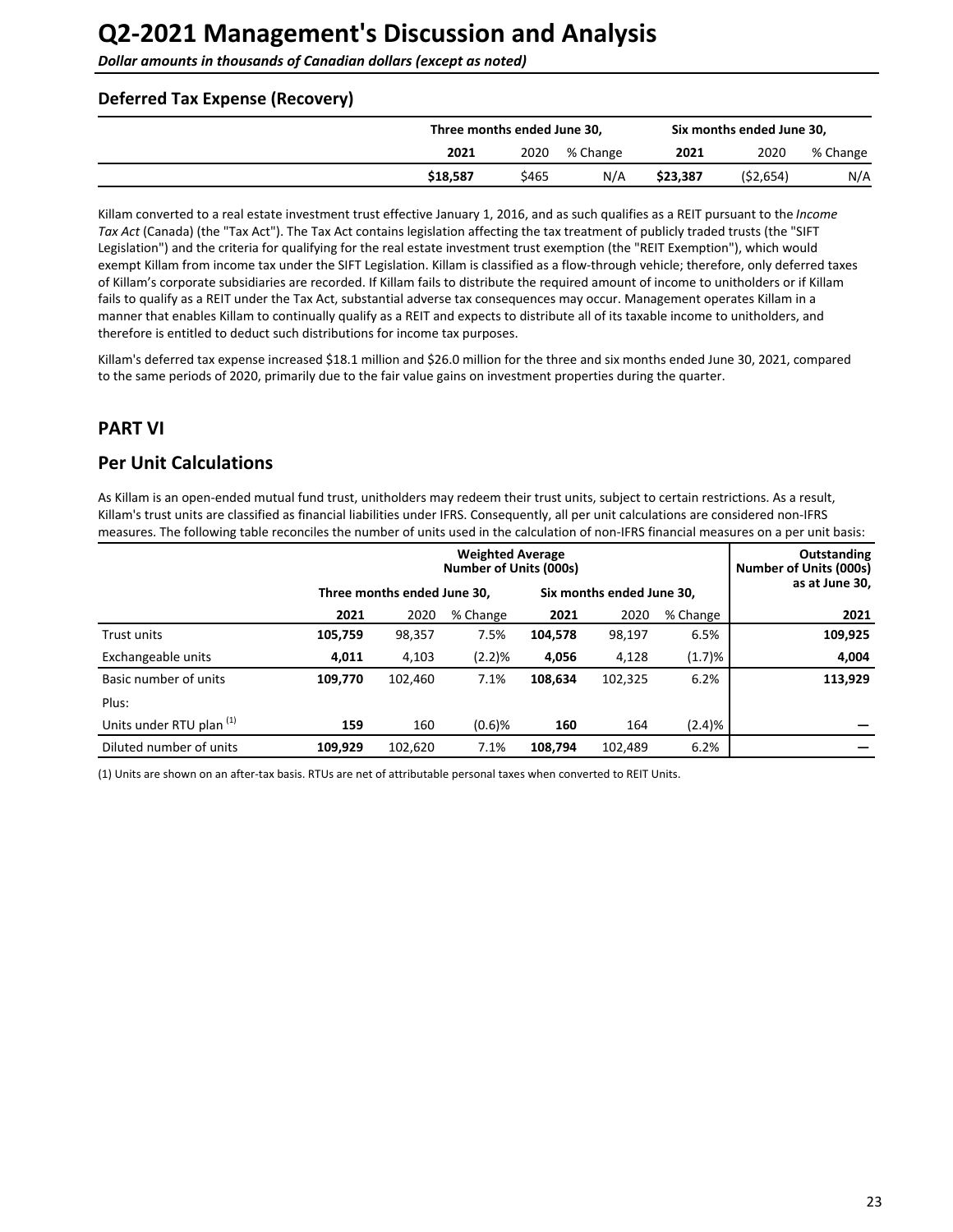<span id="page-22-0"></span>**Dollar amounts in thousands of Canadian dollars (except as noted)** 

### **Deferred Tax Expense (Recovery)**

|          | Three months ended June 30, |          |          | Six months ended June 30, |          |  |
|----------|-----------------------------|----------|----------|---------------------------|----------|--|
| 2021     | 2020                        | % Change | 2021     | 2020                      | % Change |  |
| \$18.587 | \$465                       | N/A      | \$23.387 | (52, 654)                 | N/A      |  |

Killam converted to a real estate investment trust effective January 1, 2016, and as such qualifies as a REIT pursuant to the Income Tax Act (Canada) (the "Tax Act"). The Tax Act contains legislation affecting the tax treatment of publicly traded trusts (the "SIFT Legislation") and the criteria for qualifying for the real estate investment trust exemption (the "REIT Exemption"), which would exempt Killam from income tax under the SIFT Legislation. Killam is classified as a flow-through vehicle; therefore, only deferred taxes of Killam's corporate subsidiaries are recorded. If Killam fails to distribute the required amount of income to unitholders or if Killam fails to qualify as a REIT under the Tax Act, substantial adverse tax consequences may occur. Management operates Killam in a manner that enables Killam to continually qualify as a REIT and expects to distribute all of its taxable income to unitholders, and therefore is entitled to deduct such distributions for income tax purposes.

Killam's deferred tax expense increased \$18.1 million and \$26.0 million for the three and six months ended June 30, 2021, compared to the same periods of 2020, primarily due to the fair value gains on investment properties during the quarter.

## **PART VI**

## **Per Unit Calculations**

As Killam is an open-ended mutual fund trust, unitholders may redeem their trust units, subject to certain restrictions. As a result, Killam's trust units are classified as financial liabilities under IFRS. Consequently, all per unit calculations are considered non-IFRS measures. The following table reconciles the number of units used in the calculation of non-IFRS financial measures on a per unit basis:

|                                     |         |                             | Outstanding<br>Number of Units (000s) |                           |         |          |                |  |
|-------------------------------------|---------|-----------------------------|---------------------------------------|---------------------------|---------|----------|----------------|--|
|                                     |         | Three months ended June 30, |                                       | Six months ended June 30, |         |          | as at June 30, |  |
|                                     | 2021    | 2020                        | % Change                              | 2021                      | 2020    | % Change | 2021           |  |
| <b>Trust units</b>                  | 105,759 | 98,357                      | 7.5%                                  | 104,578                   | 98,197  | 6.5%     | 109,925        |  |
| Exchangeable units                  | 4,011   | 4,103                       | (2.2)%                                | 4,056                     | 4,128   | (1.7)%   | 4,004          |  |
| Basic number of units               | 109,770 | 102,460                     | 7.1%                                  | 108,634                   | 102,325 | 6.2%     | 113,929        |  |
| Plus:                               |         |                             |                                       |                           |         |          |                |  |
| Units under RTU plan <sup>(1)</sup> | 159     | 160                         | $(0.6)$ %                             | 160                       | 164     | (2.4)%   |                |  |
| Diluted number of units             | 109,929 | 102,620                     | 7.1%                                  | 108.794                   | 102,489 | 6.2%     |                |  |

(1) Units are shown on an after-tax basis. RTUs are net of attributable personal taxes when converted to REIT Units.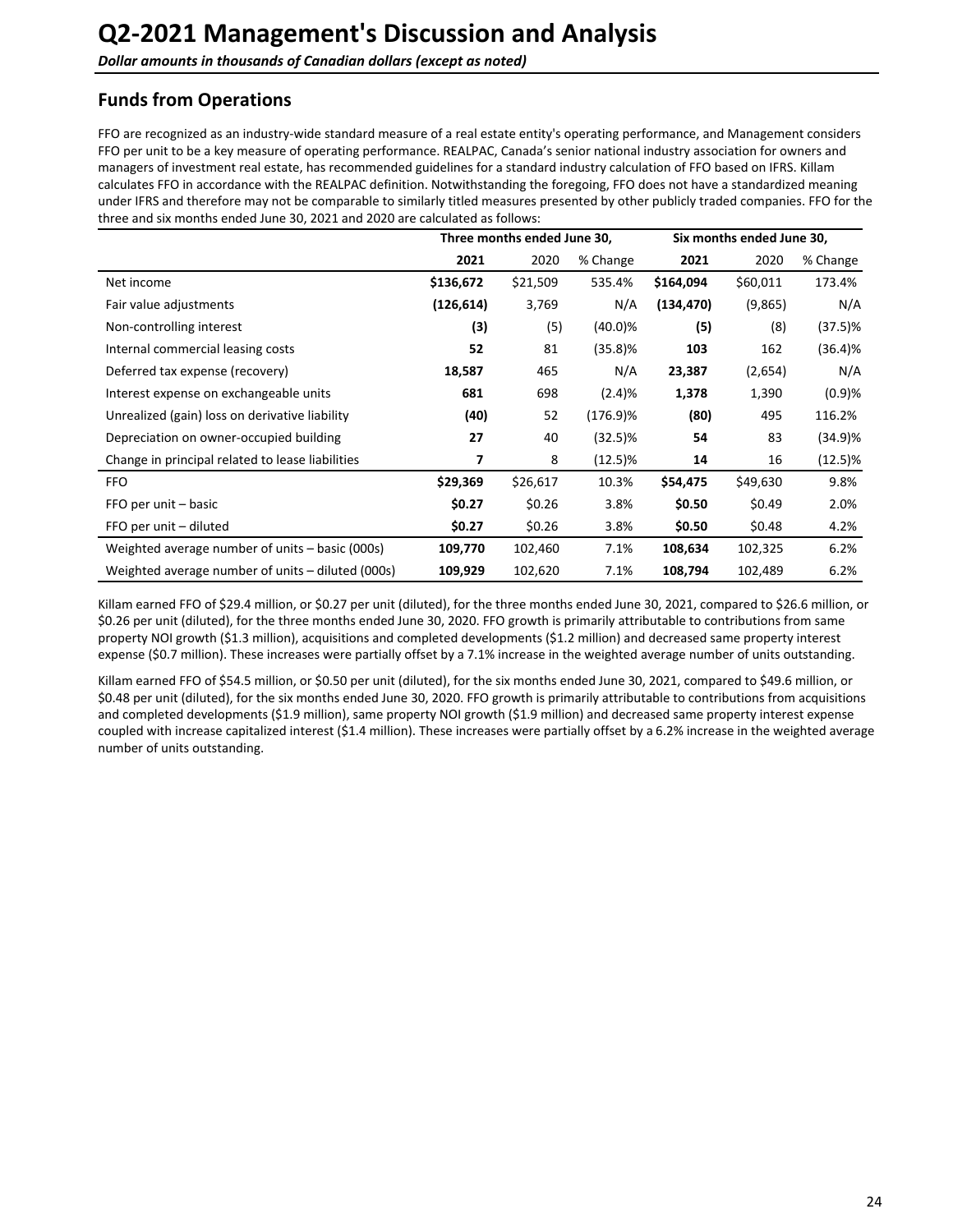## <span id="page-23-0"></span>**Funds from Operations**

FFO are recognized as an industry-wide standard measure of a real estate entity's operating performance, and Management considers FFO per unit to be a key measure of operating performance. REALPAC, Canada's senior national industry association for owners and managers of investment real estate, has recommended guidelines for a standard industry calculation of FFO based on IFRS. Killam calculates FFO in accordance with the REALPAC definition. Notwithstanding the foregoing, FFO does not have a standardized meaning under IFRS and therefore may not be comparable to similarly titled measures presented by other publicly traded companies. FFO for the three and six months ended June 30, 2021 and 2020 are calculated as follows:

|                                                   |            | Three months ended June 30, |            | Six months ended June 30, |          |            |
|---------------------------------------------------|------------|-----------------------------|------------|---------------------------|----------|------------|
|                                                   | 2021       | 2020                        | % Change   | 2021                      | 2020     | % Change   |
| Net income                                        | \$136,672  | \$21,509                    | 535.4%     | \$164,094                 | \$60,011 | 173.4%     |
| Fair value adjustments                            | (126, 614) | 3,769                       | N/A        | (134, 470)                | (9,865)  | N/A        |
| Non-controlling interest                          | (3)        | (5)                         | (40.0)%    | (5)                       | (8)      | (37.5)%    |
| Internal commercial leasing costs                 | 52         | 81                          | (35.8)%    | 103                       | 162      | (36.4)%    |
| Deferred tax expense (recovery)                   | 18,587     | 465                         | N/A        | 23,387                    | (2,654)  | N/A        |
| Interest expense on exchangeable units            | 681        | 698                         | (2.4)%     | 1,378                     | 1,390    | (0.9)%     |
| Unrealized (gain) loss on derivative liability    | (40)       | 52                          | (176.9)%   | (80)                      | 495      | 116.2%     |
| Depreciation on owner-occupied building           | 27         | 40                          | (32.5)%    | 54                        | 83       | (34.9)%    |
| Change in principal related to lease liabilities  | 7          | 8                           | $(12.5)\%$ | 14                        | 16       | $(12.5)\%$ |
| <b>FFO</b>                                        | \$29,369   | \$26,617                    | 10.3%      | \$54,475                  | \$49,630 | 9.8%       |
| FFO per unit - basic                              | \$0.27     | \$0.26                      | 3.8%       | \$0.50                    | \$0.49   | 2.0%       |
| FFO per unit - diluted                            | \$0.27     | \$0.26                      | 3.8%       | \$0.50                    | \$0.48   | 4.2%       |
| Weighted average number of units – basic (000s)   | 109,770    | 102,460                     | 7.1%       | 108,634                   | 102,325  | 6.2%       |
| Weighted average number of units - diluted (000s) | 109,929    | 102,620                     | 7.1%       | 108,794                   | 102,489  | 6.2%       |

Killam earned FFO of \$29.4 million, or \$0.27 per unit (diluted), for the three months ended June 30, 2021, compared to \$26.6 million, or \$0.26 per unit (diluted), for the three months ended June 30, 2020. FFO growth is primarily attributable to contributions from same property NOI growth (\$1.3 million), acquisitions and completed developments (\$1.2 million) and decreased same property interest expense (\$0.7 million). These increases were partially offset by a 7.1% increase in the weighted average number of units outstanding.

Killam earned FFO of \$54.5 million, or \$0.50 per unit (diluted), for the six months ended June 30, 2021, compared to \$49.6 million, or \$0.48 per unit (diluted), for the six months ended June 30, 2020. FFO growth is primarily attributable to contributions from acquisitions and completed developments (\$1.9 million), same property NOI growth (\$1.9 million) and decreased same property interest expense coupled with increase capitalized interest (\$1.4 million). These increases were partially offset by a 6.2% increase in the weighted average number of units outstanding.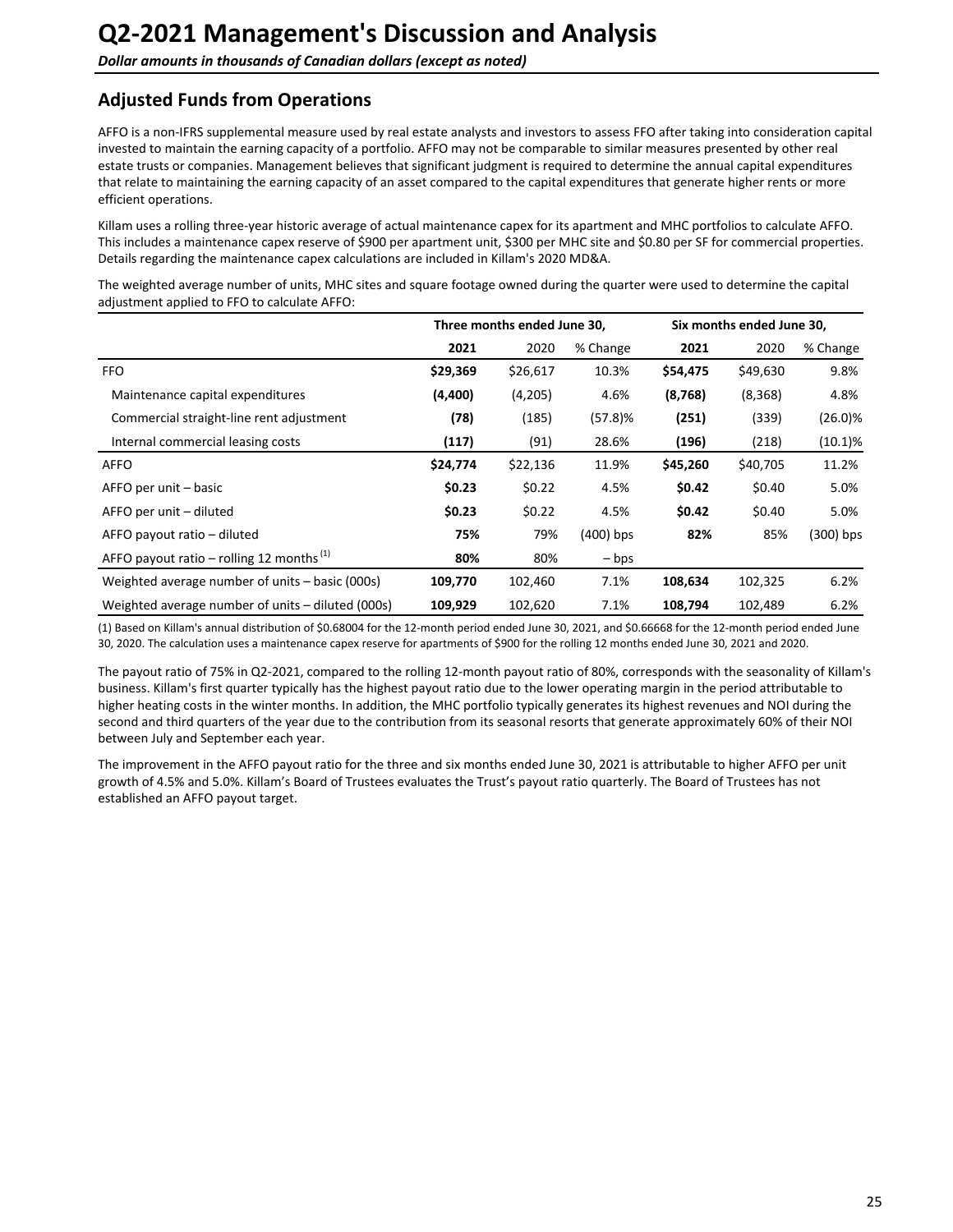## <span id="page-24-0"></span>**Adjusted Funds from Operations**

AFFO is a non-IFRS supplemental measure used by real estate analysts and investors to assess FFO after taking into consideration capital invested to maintain the earning capacity of a portfolio. AFFO may not be comparable to similar measures presented by other real estate trusts or companies. Management believes that significant judgment is required to determine the annual capital expenditures that relate to maintaining the earning capacity of an asset compared to the capital expenditures that generate higher rents or more efficient operations.

Killam uses a rolling three-year historic average of actual maintenance capex for its apartment and MHC portfolios to calculate AFFO. This includes a maintenance capex reserve of \$900 per apartment unit, \$300 per MHC site and \$0.80 per SF for commercial properties. Details regarding the maintenance capex calculations are included in Killam's 2020 MD&A.

The weighted average number of units, MHC sites and square footage owned during the quarter were used to determine the capital adjustment applied to FFO to calculate AFFO:

|                                                      |          | Three months ended June 30, |                 | Six months ended June 30, |          |             |  |
|------------------------------------------------------|----------|-----------------------------|-----------------|---------------------------|----------|-------------|--|
|                                                      | 2021     | 2020                        | % Change        | 2021                      | 2020     | % Change    |  |
| <b>FFO</b>                                           | \$29,369 | \$26,617                    | 10.3%           | \$54,475                  | \$49,630 | 9.8%        |  |
| Maintenance capital expenditures                     | (4,400)  | (4,205)                     | 4.6%            | (8,768)                   | (8, 368) | 4.8%        |  |
| Commercial straight-line rent adjustment             | (78)     | (185)                       | (57.8)%         | (251)                     | (339)    | $(26.0)\%$  |  |
| Internal commercial leasing costs                    | (117)    | (91)                        | 28.6%           | (196)                     | (218)    | $(10.1)\%$  |  |
| <b>AFFO</b>                                          | \$24,774 | \$22,136                    | 11.9%           | \$45,260                  | \$40,705 | 11.2%       |  |
| AFFO per unit – basic                                | \$0.23   | \$0.22                      | 4.5%            | \$0.42                    | \$0.40   | 5.0%        |  |
| AFFO per unit – diluted                              | \$0.23   | \$0.22                      | 4.5%            | \$0.42                    | \$0.40   | 5.0%        |  |
| AFFO payout ratio – diluted                          | 75%      | 79%                         | $(400)$ bps     | 82%                       | 85%      | $(300)$ bps |  |
| AFFO payout ratio – rolling 12 months <sup>(1)</sup> | 80%      | 80%                         | $-\mathsf{bps}$ |                           |          |             |  |
| Weighted average number of units - basic (000s)      | 109,770  | 102,460                     | 7.1%            | 108,634                   | 102,325  | 6.2%        |  |
| Weighted average number of units - diluted (000s)    | 109,929  | 102,620                     | 7.1%            | 108,794                   | 102,489  | 6.2%        |  |

(1) Based on Killam's annual distribution of \$0.68004 for the 12-month period ended June 30, 2021, and \$0.66668 for the 12-month period ended June 30, 2020. The calculation uses a maintenance capex reserve for apartments of \$900 for the rolling 12 months ended June 30, 2021 and 2020.

The payout ratio of 75% in Q2-2021, compared to the rolling 12-month payout ratio of 80%, corresponds with the seasonality of Killam's business. Killam's first quarter typically has the highest payout ratio due to the lower operating margin in the period attributable to higher heating costs in the winter months. In addition, the MHC portfolio typically generates its highest revenues and NOI during the second and third quarters of the year due to the contribution from its seasonal resorts that generate approximately 60% of their NOI between July and September each year.

The improvement in the AFFO payout ratio for the three and six months ended June 30, 2021 is attributable to higher AFFO per unit growth of 4.5% and 5.0%. Killam's Board of Trustees evaluates the Trust's payout ratio quarterly. The Board of Trustees has not established an AFFO payout target.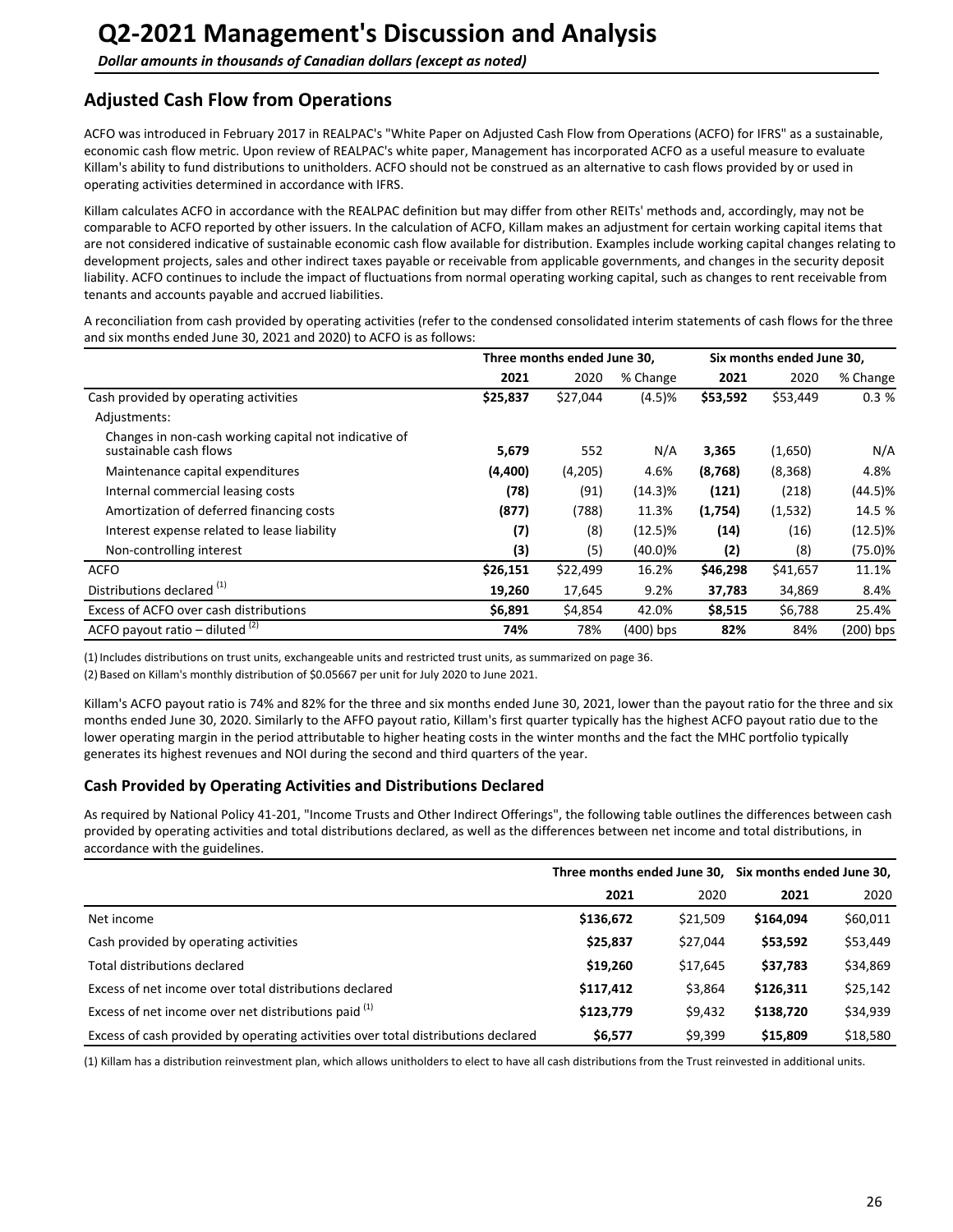## <span id="page-25-0"></span>**Adjusted Cash Flow from Operations**

ACFO was introduced in February 2017 in REALPAC's "White Paper on Adjusted Cash Flow from Operations (ACFO) for IFRS" as a sustainable, economic cash flow metric. Upon review of REALPAC's white paper, Management has incorporated ACFO as a useful measure to evaluate Killam's ability to fund distributions to unitholders. ACFO should not be construed as an alternative to cash flows provided by or used in operating activities determined in accordance with IFRS.

Killam calculates ACFO in accordance with the REALPAC definition but may differ from other REITs' methods and, accordingly, may not be comparable to ACFO reported by other issuers. In the calculation of ACFO, Killam makes an adjustment for certain working capital items that are not considered indicative of sustainable economic cash flow available for distribution. Examples include working capital changes relating to development projects, sales and other indirect taxes payable or receivable from applicable governments, and changes in the security deposit liability. ACFO continues to include the impact of fluctuations from normal operating working capital, such as changes to rent receivable from tenants and accounts payable and accrued liabilities.

A reconciliation from cash provided by operating activities (refer to the condensed consolidated interim statements of cash flows for the three and six months ended June 30, 2021 and 2020) to ACFO is as follows:

|                                                                                 | Three months ended June 30, |          |             | Six months ended June 30, |          |            |
|---------------------------------------------------------------------------------|-----------------------------|----------|-------------|---------------------------|----------|------------|
|                                                                                 | 2021                        | 2020     | % Change    | 2021                      | 2020     | % Change   |
| Cash provided by operating activities                                           | \$25,837                    | \$27,044 | (4.5)%      | \$53,592                  | \$53,449 | 0.3%       |
| Adjustments:                                                                    |                             |          |             |                           |          |            |
| Changes in non-cash working capital not indicative of<br>sustainable cash flows | 5,679                       | 552      | N/A         | 3,365                     | (1,650)  | N/A        |
| Maintenance capital expenditures                                                | (4,400)                     | (4,205)  | 4.6%        | (8,768)                   | (8, 368) | 4.8%       |
| Internal commercial leasing costs                                               | (78)                        | (91)     | $(14.3)\%$  | (121)                     | (218)    | (44.5)%    |
| Amortization of deferred financing costs                                        | (877)                       | (788)    | 11.3%       | (1,754)                   | (1,532)  | 14.5 %     |
| Interest expense related to lease liability                                     | (7)                         | (8)      | $(12.5)\%$  | (14)                      | (16)     | $(12.5)\%$ |
| Non-controlling interest                                                        | (3)                         | (5)      | $(40.0)\%$  | (2)                       | (8)      | (75.0)%    |
| <b>ACFO</b>                                                                     | \$26,151                    | \$22,499 | 16.2%       | \$46,298                  | \$41,657 | 11.1%      |
| Distributions declared <sup>(1)</sup>                                           | 19,260                      | 17,645   | 9.2%        | 37,783                    | 34,869   | 8.4%       |
| Excess of ACFO over cash distributions                                          | \$6,891                     | \$4,854  | 42.0%       | \$8,515                   | \$6,788  | 25.4%      |
| ACFO payout ratio – diluted $(2)$                                               | 74%                         | 78%      | $(400)$ bps | 82%                       | 84%      | (200) bps  |

(1) Includes distributions on trust units, exchangeable units and restricted trust units, as summarized on page 36.

(2) Based on Killam's monthly distribution of \$0.05667 per unit for July 2020 to June 2021.

Killam's ACFO payout ratio is 74% and 82% for the three and six months ended June 30, 2021, lower than the payout ratio for the three and six months ended June 30, 2020. Similarly to the AFFO payout ratio, Killam's first quarter typically has the highest ACFO payout ratio due to the lower operating margin in the period attributable to higher heating costs in the winter months and the fact the MHC portfolio typically generates its highest revenues and NOI during the second and third quarters of the year.

### **Cash Provided by Operating Activities and Distributions Declared**

As required by National Policy 41-201, "Income Trusts and Other Indirect Offerings", the following table outlines the differences between cash provided by operating activities and total distributions declared, as well as the differences between net income and total distributions, in accordance with the guidelines.

|                                                                                   |           |          | Three months ended June 30, Six months ended June 30, |          |  |
|-----------------------------------------------------------------------------------|-----------|----------|-------------------------------------------------------|----------|--|
|                                                                                   | 2021      | 2020     | 2021                                                  | 2020     |  |
| Net income                                                                        | \$136,672 | \$21,509 | \$164,094                                             | \$60,011 |  |
| Cash provided by operating activities                                             | \$25,837  | \$27,044 | \$53,592                                              | \$53,449 |  |
| Total distributions declared                                                      | \$19,260  | \$17,645 | \$37,783                                              | \$34,869 |  |
| Excess of net income over total distributions declared                            | \$117,412 | \$3,864  | \$126,311                                             | \$25,142 |  |
| Excess of net income over net distributions paid (1)                              | \$123,779 | \$9,432  | \$138,720                                             | \$34,939 |  |
| Excess of cash provided by operating activities over total distributions declared | \$6,577   | \$9,399  | \$15,809                                              | \$18,580 |  |

(1) Killam has a distribution reinvestment plan, which allows unitholders to elect to have all cash distributions from the Trust reinvested in additional units.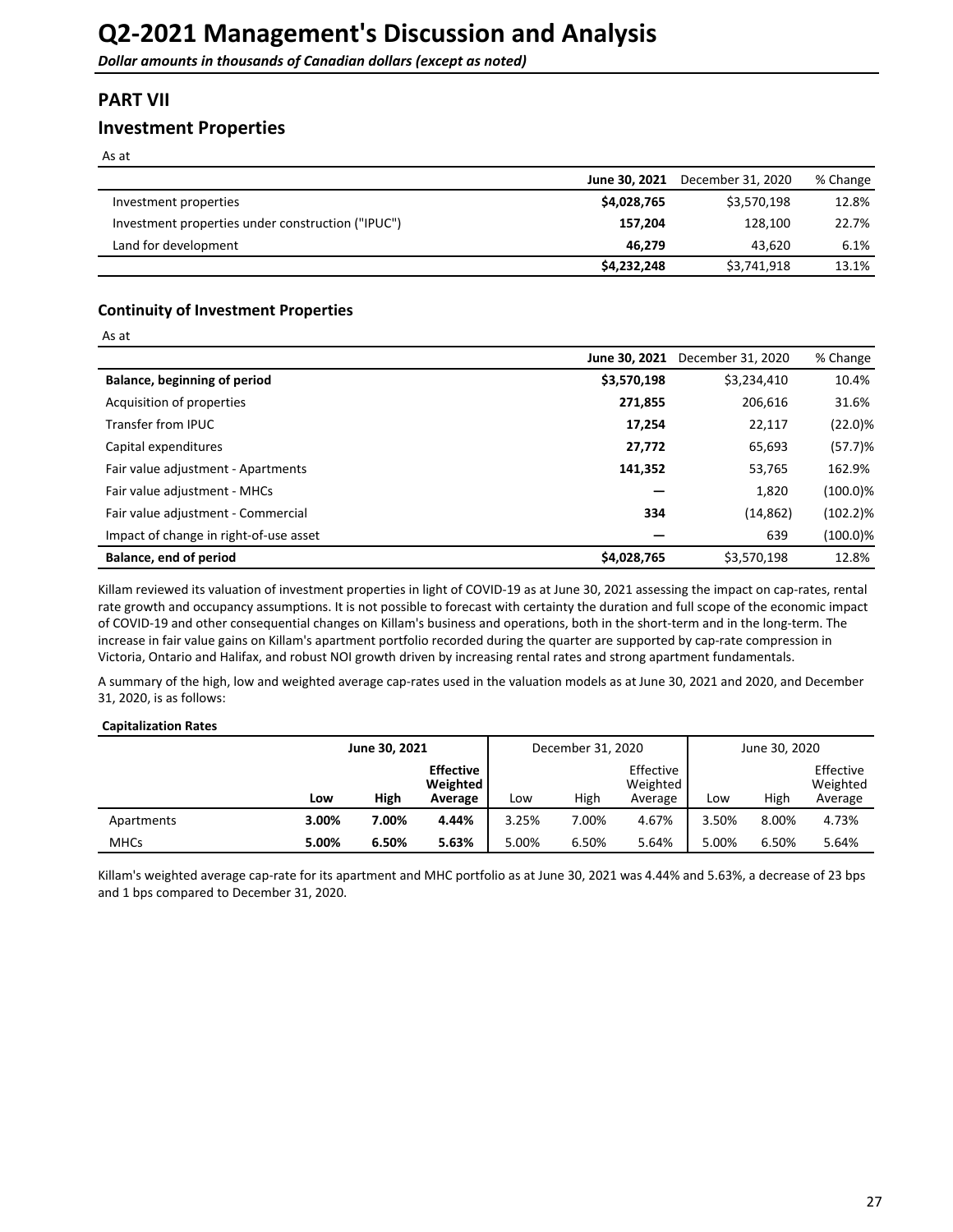## <span id="page-26-0"></span>**PART VII**

## **Investment Properties**

As at

 $Ac$  at

|                                                   | June 30, 2021 | December 31, 2020 | % Change |
|---------------------------------------------------|---------------|-------------------|----------|
| Investment properties                             | \$4,028,765   | \$3,570,198       | 12.8%    |
| Investment properties under construction ("IPUC") | 157.204       | 128.100           | 22.7%    |
| Land for development                              | 46.279        | 43.620            | 6.1%     |
|                                                   | \$4,232,248   | \$3,741,918       | 13.1%    |

### **Continuity of Investment Properties**

| As ac                                  |               |                   |             |
|----------------------------------------|---------------|-------------------|-------------|
|                                        | June 30, 2021 | December 31, 2020 | % Change    |
| Balance, beginning of period           | \$3,570,198   | \$3,234,410       | 10.4%       |
| Acquisition of properties              | 271,855       | 206,616           | 31.6%       |
| Transfer from IPUC                     | 17,254        | 22,117            | $(22.0)\%$  |
| Capital expenditures                   | 27,772        | 65,693            | (57.7)%     |
| Fair value adjustment - Apartments     | 141,352       | 53,765            | 162.9%      |
| Fair value adjustment - MHCs           |               | 1,820             | $(100.0)\%$ |
| Fair value adjustment - Commercial     | 334           | (14, 862)         | $(102.2)\%$ |
| Impact of change in right-of-use asset |               | 639               | $(100.0)\%$ |
| Balance, end of period                 | \$4,028,765   | \$3,570,198       | 12.8%       |

Killam reviewed its valuation of investment properties in light of COVID-19 as at June 30, 2021 assessing the impact on cap-rates, rental rate growth and occupancy assumptions. It is not possible to forecast with certainty the duration and full scope of the economic impact of COVID-19 and other consequential changes on Killam's business and operations, both in the short-term and in the long-term. The increase in fair value gains on Killam's apartment portfolio recorded during the quarter are supported by cap-rate compression in Victoria, Ontario and Halifax, and robust NOI growth driven by increasing rental rates and strong apartment fundamentals.

A summary of the high, low and weighted average cap-rates used in the valuation models as at June 30, 2021 and 2020, and December 31, 2020, is as follows:

#### **Capitalization Rates**

|             | June 30, 2021 |       | December 31, 2020                       |       |       | June 30, 2020                    |       |       |                                  |
|-------------|---------------|-------|-----------------------------------------|-------|-------|----------------------------------|-------|-------|----------------------------------|
|             | Low           | High  | <b>Effective</b><br>Weighted<br>Average | Low   | High  | Effective<br>Weighted<br>Average | Low   | High  | Effective<br>Weighted<br>Average |
| Apartments  | 3.00%         | 7.00% | 4.44%                                   | 3.25% | 7.00% | 4.67%                            | 3.50% | 8.00% | 4.73%                            |
| <b>MHCs</b> | 5.00%         | 6.50% | 5.63%                                   | 5.00% | 6.50% | 5.64%                            | 5.00% | 6.50% | 5.64%                            |

Killam's weighted average cap-rate for its apartment and MHC portfolio as at June 30, 2021 was 4.44% and 5.63%, a decrease of 23 bps and 1 bps compared to December 31, 2020.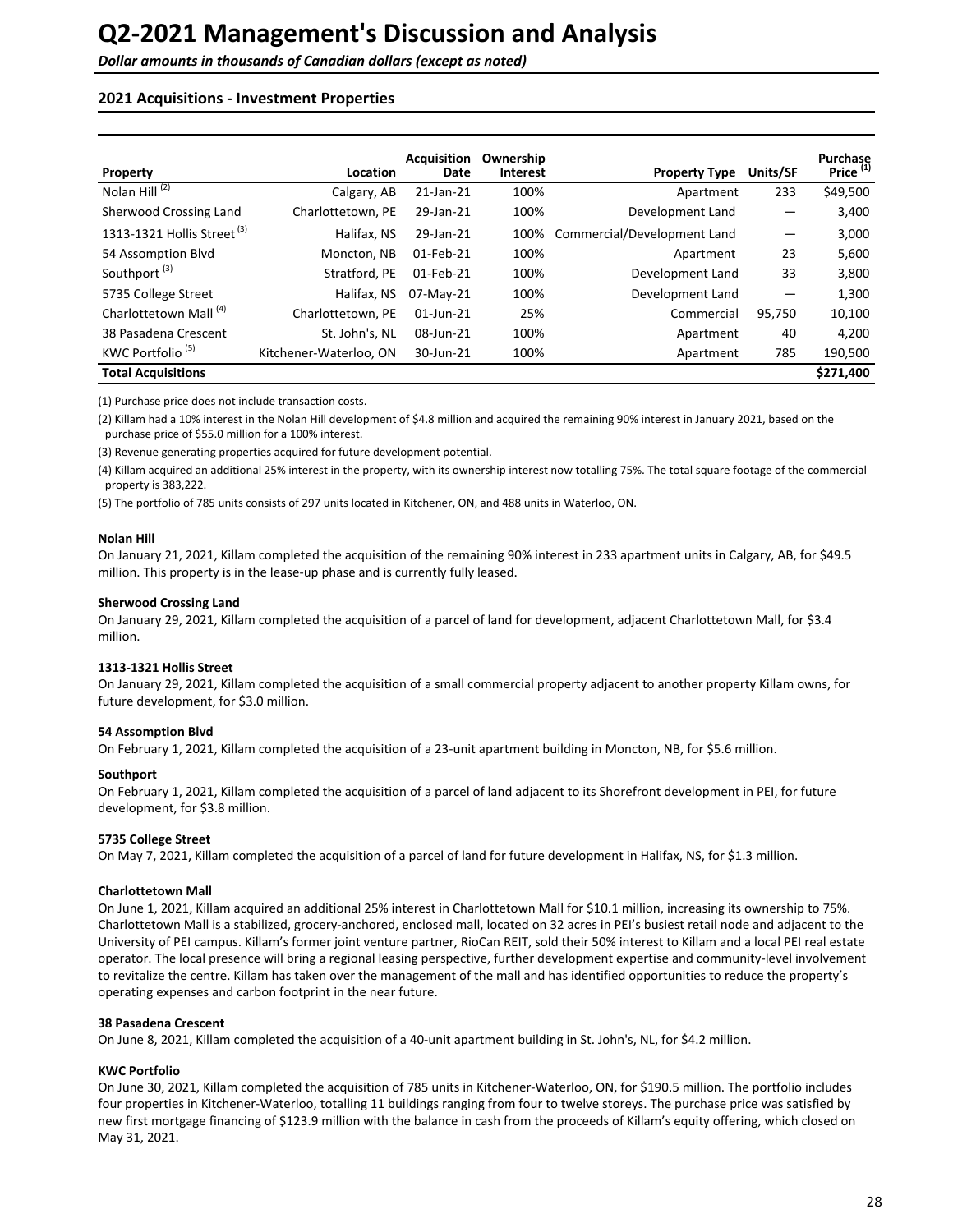#### **2021 Acquisitions - Investment Properties**

| Property                               | Location               | <b>Acquisition</b><br>Date | Ownership<br><b>Interest</b> | <b>Property Type</b>        | Units/SF | Purchase<br>Price <sup>(1)</sup> |
|----------------------------------------|------------------------|----------------------------|------------------------------|-----------------------------|----------|----------------------------------|
| Nolan Hill <sup>(2)</sup>              | Calgary, AB            | 21-Jan-21                  | 100%                         | Apartment                   | 233      | \$49,500                         |
| Sherwood Crossing Land                 | Charlottetown, PE      | 29-Jan-21                  | 100%                         | Development Land            |          | 3,400                            |
| 1313-1321 Hollis Street <sup>(3)</sup> | Halifax. NS            | 29-Jan-21                  | 100%                         | Commercial/Development Land | —        | 3,000                            |
| 54 Assomption Blvd                     | Moncton, NB            | 01-Feb-21                  | 100%                         | Apartment                   | 23       | 5,600                            |
| Southport <sup>(3)</sup>               | Stratford, PE          | 01-Feb-21                  | 100%                         | Development Land            | 33       | 3,800                            |
| 5735 College Street                    | Halifax, NS            | 07-May-21                  | 100%                         | Development Land            | –        | 1,300                            |
| Charlottetown Mall <sup>(4)</sup>      | Charlottetown, PE      | $01$ -Jun-21               | 25%                          | Commercial                  | 95,750   | 10,100                           |
| 38 Pasadena Crescent                   | St. John's, NL         | 08-Jun-21                  | 100%                         | Apartment                   | 40       | 4.200                            |
| KWC Portfolio <sup>(5)</sup>           | Kitchener-Waterloo, ON | 30-Jun-21                  | 100%                         | Apartment                   | 785      | 190,500                          |
| <b>Total Acquisitions</b>              |                        |                            |                              |                             |          | \$271,400                        |

(1) Purchase price does not include transaction costs.

(2) Killam had a 10% interest in the Nolan Hill development of \$4.8 million and acquired the remaining 90% interest in January 2021, based on the purchase price of \$55.0 million for a 100% interest.

(3) Revenue generating properties acquired for future development potential.

(4) Killam acquired an additional 25% interest in the property, with its ownership interest now totalling 75%. The total square footage of the commercial property is 383,222.

(5) The portfolio of 785 units consists of 297 units located in Kitchener, ON, and 488 units in Waterloo, ON.

#### **Nolan Hill**

On January 21, 2021, Killam completed the acquisition of the remaining 90% interest in 233 apartment units in Calgary, AB, for \$49.5 million. This property is in the lease-up phase and is currently fully leased.

#### **Sherwood Crossing Land**

On January 29, 2021, Killam completed the acquisition of a parcel of land for development, adjacent Charlottetown Mall, for \$3.4 million. 

#### **1313-1321 Hollis Street**

On January 29, 2021, Killam completed the acquisition of a small commercial property adjacent to another property Killam owns, for future development, for \$3.0 million.

#### **54 Assomption Blvd**

On February 1, 2021, Killam completed the acquisition of a 23-unit apartment building in Moncton, NB, for \$5.6 million.

#### **Southport**

On February 1, 2021, Killam completed the acquisition of a parcel of land adjacent to its Shorefront development in PEI, for future development, for \$3.8 million.

#### **5735 College Street**

On May 7, 2021, Killam completed the acquisition of a parcel of land for future development in Halifax, NS, for \$1.3 million.

#### **Charlottetown Mall**

On June 1, 2021, Killam acquired an additional 25% interest in Charlottetown Mall for \$10.1 million, increasing its ownership to 75%. Charlottetown Mall is a stabilized, grocery-anchored, enclosed mall, located on 32 acres in PEI's busiest retail node and adjacent to the University of PEI campus. Killam's former joint venture partner, RioCan REIT, sold their 50% interest to Killam and a local PEI real estate operator. The local presence will bring a regional leasing perspective, further development expertise and community-level involvement to revitalize the centre. Killam has taken over the management of the mall and has identified opportunities to reduce the property's operating expenses and carbon footprint in the near future.

#### **38 Pasadena Crescent**

On June 8, 2021, Killam completed the acquisition of a 40-unit apartment building in St. John's, NL, for \$4.2 million.

#### **KWC Portfolio**

On June 30, 2021, Killam completed the acquisition of 785 units in Kitchener-Waterloo, ON, for \$190.5 million. The portfolio includes four properties in Kitchener-Waterloo, totalling 11 buildings ranging from four to twelve storeys. The purchase price was satisfied by new first mortgage financing of \$123.9 million with the balance in cash from the proceeds of Killam's equity offering, which closed on May 31, 2021.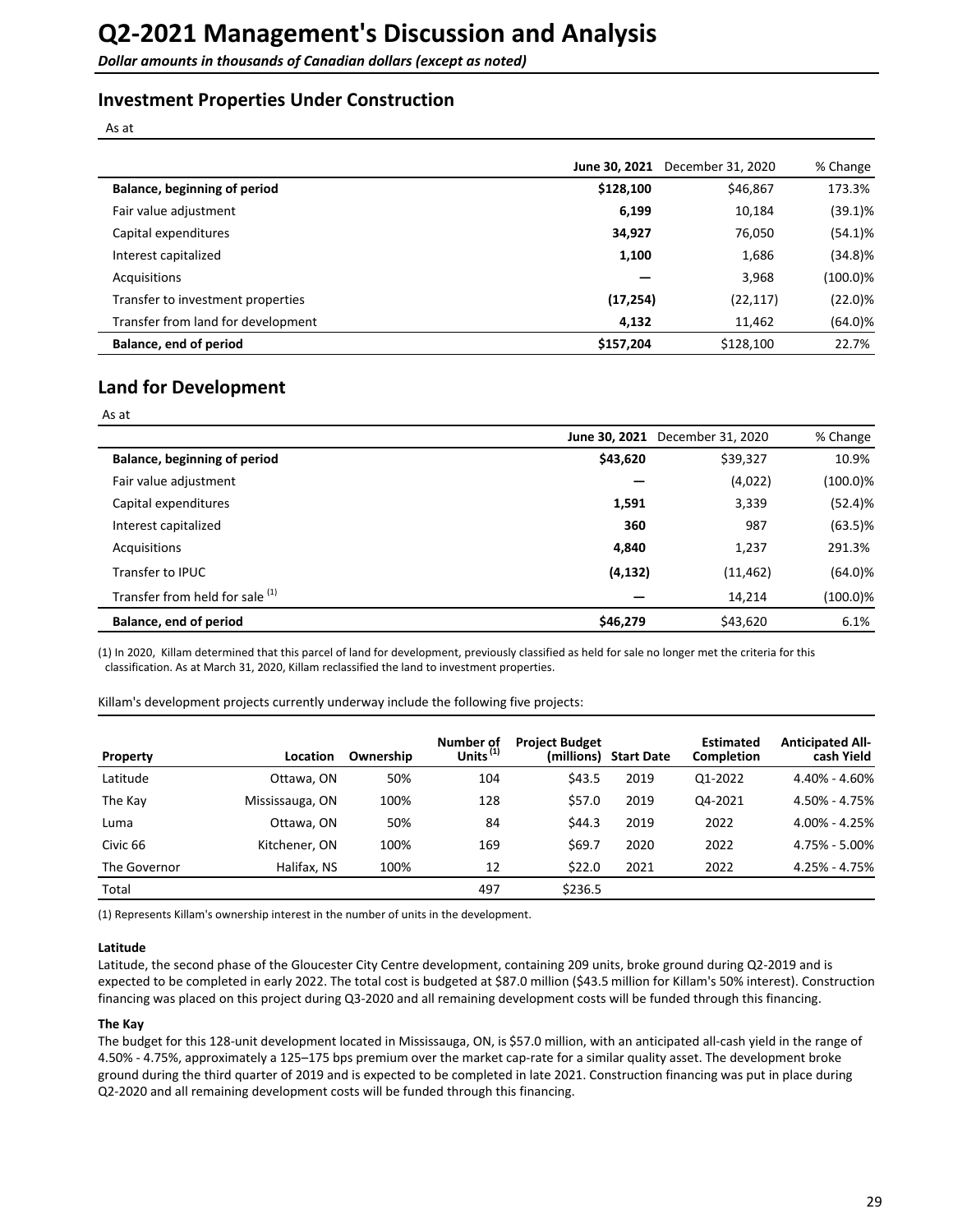## **Investment Properties Under Construction**

As at

|                                    | June 30, 2021 | December 31, 2020 | % Change    |
|------------------------------------|---------------|-------------------|-------------|
| Balance, beginning of period       | \$128,100     | \$46,867          | 173.3%      |
| Fair value adjustment              | 6,199         | 10,184            | $(39.1)\%$  |
| Capital expenditures               | 34,927        | 76,050            | $(54.1)\%$  |
| Interest capitalized               | 1,100         | 1,686             | $(34.8)\%$  |
| Acquisitions                       |               | 3,968             | $(100.0)\%$ |
| Transfer to investment properties  | (17, 254)     | (22, 117)         | $(22.0)\%$  |
| Transfer from land for development | 4,132         | 11,462            | $(64.0)\%$  |
| Balance, end of period             | \$157,204     | \$128,100         | 22.7%       |

## **Land for Development**

| $\sim$<br>× | <br>× |
|-------------|-------|
|-------------|-------|

|                                 | June 30, 2021 | December 31, 2020 | % Change    |
|---------------------------------|---------------|-------------------|-------------|
| Balance, beginning of period    | \$43,620      | \$39,327          | 10.9%       |
| Fair value adjustment           |               | (4,022)           | $(100.0)\%$ |
| Capital expenditures            | 1,591         | 3,339             | (52.4)%     |
| Interest capitalized            | 360           | 987               | $(63.5)\%$  |
| Acquisitions                    | 4,840         | 1,237             | 291.3%      |
| Transfer to IPUC                | (4, 132)      | (11, 462)         | $(64.0)\%$  |
| Transfer from held for sale (1) |               | 14,214            | $(100.0)\%$ |
| Balance, end of period          | \$46,279      | \$43,620          | 6.1%        |

(1) In 2020, Killam determined that this parcel of land for development, previously classified as held for sale no longer met the criteria for this classification. As at March 31, 2020, Killam reclassified the land to investment properties.

Killam's development projects currently underway include the following five projects:

| Property     | Location        | Ownership | Number of<br>Units $^{(1)}$ | <b>Project Budget</b><br>(millions) | <b>Start Date</b> | <b>Estimated</b><br><b>Completion</b> | <b>Anticipated All-</b><br>cash Yield |
|--------------|-----------------|-----------|-----------------------------|-------------------------------------|-------------------|---------------------------------------|---------------------------------------|
| Latitude     | Ottawa, ON      | 50%       | 104                         | \$43.5                              | 2019              | Q1-2022                               | 4.40% - 4.60%                         |
| The Kay      | Mississauga, ON | 100%      | 128                         | \$57.0                              | 2019              | Q4-2021                               | $4.50\% - 4.75\%$                     |
| Luma         | Ottawa, ON      | 50%       | 84                          | \$44.3                              | 2019              | 2022                                  | $4.00\% - 4.25\%$                     |
| Civic 66     | Kitchener, ON   | 100%      | 169                         | \$69.7                              | 2020              | 2022                                  | $4.75\% - 5.00\%$                     |
| The Governor | Halifax, NS     | 100%      | 12                          | \$22.0                              | 2021              | 2022                                  | 4.25% - 4.75%                         |
| Total        |                 |           | 497                         | \$236.5                             |                   |                                       |                                       |

(1) Represents Killam's ownership interest in the number of units in the development.

#### **Latitude**

Latitude, the second phase of the Gloucester City Centre development, containing 209 units, broke ground during Q2-2019 and is expected to be completed in early 2022. The total cost is budgeted at \$87.0 million (\$43.5 million for Killam's 50% interest). Construction financing was placed on this project during Q3-2020 and all remaining development costs will be funded through this financing.

#### **The Kay**

The budget for this 128-unit development located in Mississauga, ON, is \$57.0 million, with an anticipated all-cash yield in the range of 4.50% - 4.75%, approximately a 125–175 bps premium over the market cap-rate for a similar quality asset. The development broke ground during the third quarter of 2019 and is expected to be completed in late 2021. Construction financing was put in place during Q2-2020 and all remaining development costs will be funded through this financing.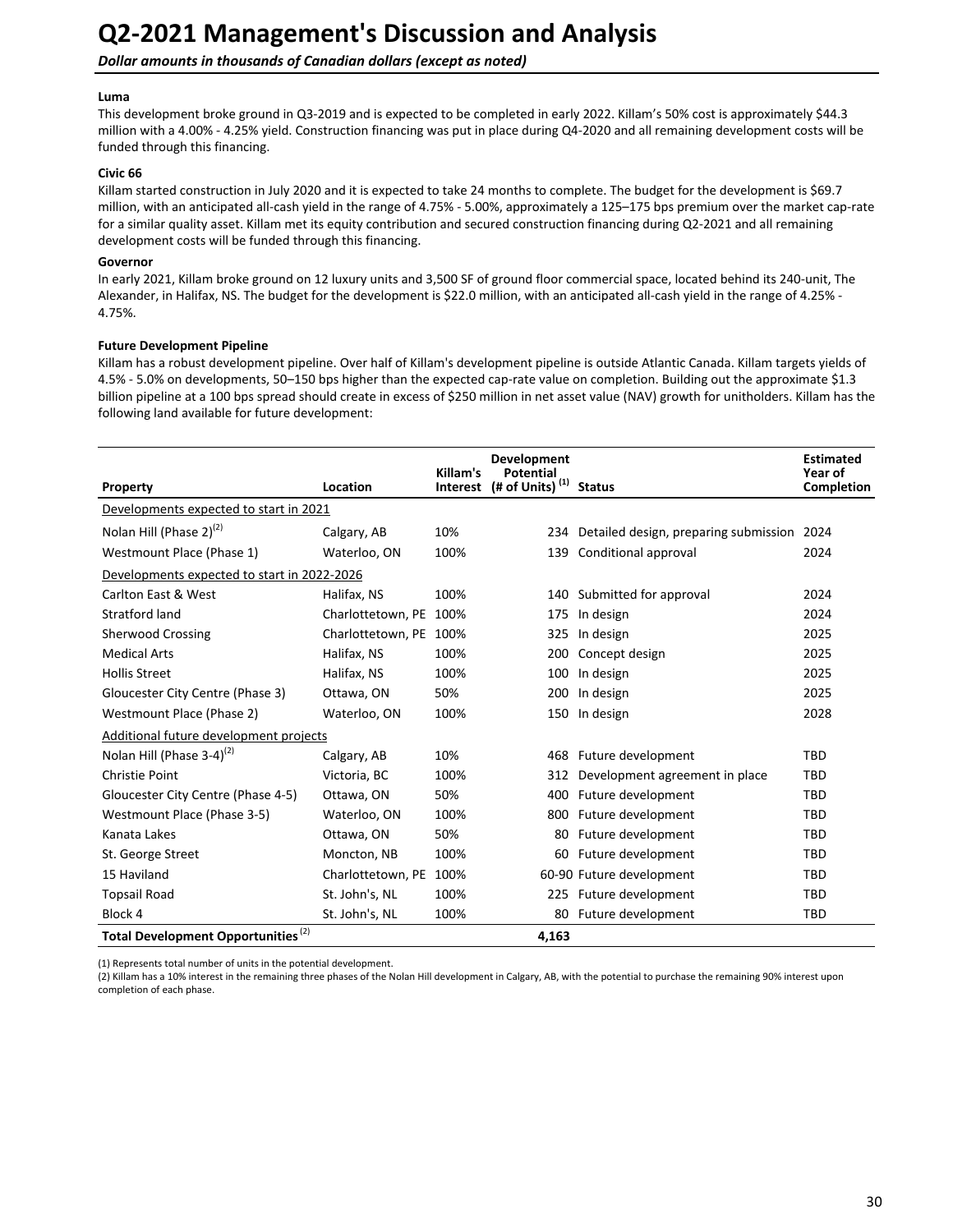#### **Luma**

This development broke ground in Q3-2019 and is expected to be completed in early 2022. Killam's 50% cost is approximately \$44.3 million with a 4.00% - 4.25% yield. Construction financing was put in place during Q4-2020 and all remaining development costs will be funded through this financing.

#### **Civic 66**

Killam started construction in July 2020 and it is expected to take 24 months to complete. The budget for the development is \$69.7 million, with an anticipated all-cash yield in the range of 4.75% - 5.00%, approximately a 125-175 bps premium over the market cap-rate for a similar quality asset. Killam met its equity contribution and secured construction financing during Q2-2021 and all remaining development costs will be funded through this financing.

#### **Governor**

In early 2021, Killam broke ground on 12 luxury units and 3,500 SF of ground floor commercial space, located behind its 240-unit, The Alexander, in Halifax, NS. The budget for the development is \$22.0 million, with an anticipated all-cash yield in the range of 4.25% -4.75%. 

#### **Future Development Pipeline**

Killam has a robust development pipeline. Over half of Killam's development pipeline is outside Atlantic Canada. Killam targets yields of 4.5% - 5.0% on developments, 50–150 bps higher than the expected cap-rate value on completion. Building out the approximate \$1.3 billion pipeline at a 100 bps spread should create in excess of \$250 million in net asset value (NAV) growth for unitholders. Killam has the following land available for future development:

| Property                                       | Location               | Killam's<br>Interest | <b>Development</b><br><b>Potential</b><br>(# of Units) $(1)$ | <b>Status</b>                         | <b>Estimated</b><br>Year of<br><b>Completion</b> |
|------------------------------------------------|------------------------|----------------------|--------------------------------------------------------------|---------------------------------------|--------------------------------------------------|
| Developments expected to start in 2021         |                        |                      |                                                              |                                       |                                                  |
| Nolan Hill (Phase 2) <sup>(2)</sup>            | Calgary, AB            | 10%                  | 234                                                          | Detailed design, preparing submission | 2024                                             |
| Westmount Place (Phase 1)                      | Waterloo, ON           | 100%                 | 139                                                          | Conditional approval                  | 2024                                             |
| Developments expected to start in 2022-2026    |                        |                      |                                                              |                                       |                                                  |
| Carlton East & West                            | Halifax, NS            | 100%                 | 140                                                          | Submitted for approval                | 2024                                             |
| Stratford land                                 | Charlottetown, PE      | 100%                 | 175                                                          | In design                             | 2024                                             |
| <b>Sherwood Crossing</b>                       | Charlottetown, PE 100% |                      | 325                                                          | In design                             | 2025                                             |
| <b>Medical Arts</b>                            | Halifax, NS            | 100%                 | 200                                                          | Concept design                        | 2025                                             |
| <b>Hollis Street</b>                           | Halifax, NS            | 100%                 | 100                                                          | In design                             | 2025                                             |
| Gloucester City Centre (Phase 3)               | Ottawa, ON             | 50%                  | 200                                                          | In design                             | 2025                                             |
| Westmount Place (Phase 2)                      | Waterloo, ON           | 100%                 | 150                                                          | In design                             | 2028                                             |
| Additional future development projects         |                        |                      |                                                              |                                       |                                                  |
| Nolan Hill (Phase 3-4) <sup>(2)</sup>          | Calgary, AB            | 10%                  |                                                              | 468 Future development                | <b>TBD</b>                                       |
| <b>Christie Point</b>                          | Victoria, BC           | 100%                 | 312                                                          | Development agreement in place        | <b>TBD</b>                                       |
| Gloucester City Centre (Phase 4-5)             | Ottawa, ON             | 50%                  | 400                                                          | Future development                    | TBD                                              |
| Westmount Place (Phase 3-5)                    | Waterloo, ON           | 100%                 | 800                                                          | Future development                    | TBD                                              |
| Kanata Lakes                                   | Ottawa, ON             | 50%                  | 80                                                           | Future development                    | <b>TBD</b>                                       |
| St. George Street                              | Moncton, NB            | 100%                 | 60                                                           | Future development                    | TBD                                              |
| 15 Haviland                                    | Charlottetown, PE      | 100%                 |                                                              | 60-90 Future development              | TBD                                              |
| <b>Topsail Road</b>                            | St. John's, NL         | 100%                 | 225                                                          | Future development                    | TBD                                              |
| Block 4                                        | St. John's, NL         | 100%                 | 80                                                           | Future development                    | <b>TBD</b>                                       |
| Total Development Opportunities <sup>(2)</sup> |                        |                      | 4,163                                                        |                                       |                                                  |

(1) Represents total number of units in the potential development.

(2) Killam has a 10% interest in the remaining three phases of the Nolan Hill development in Calgary, AB, with the potential to purchase the remaining 90% interest upon completion of each phase.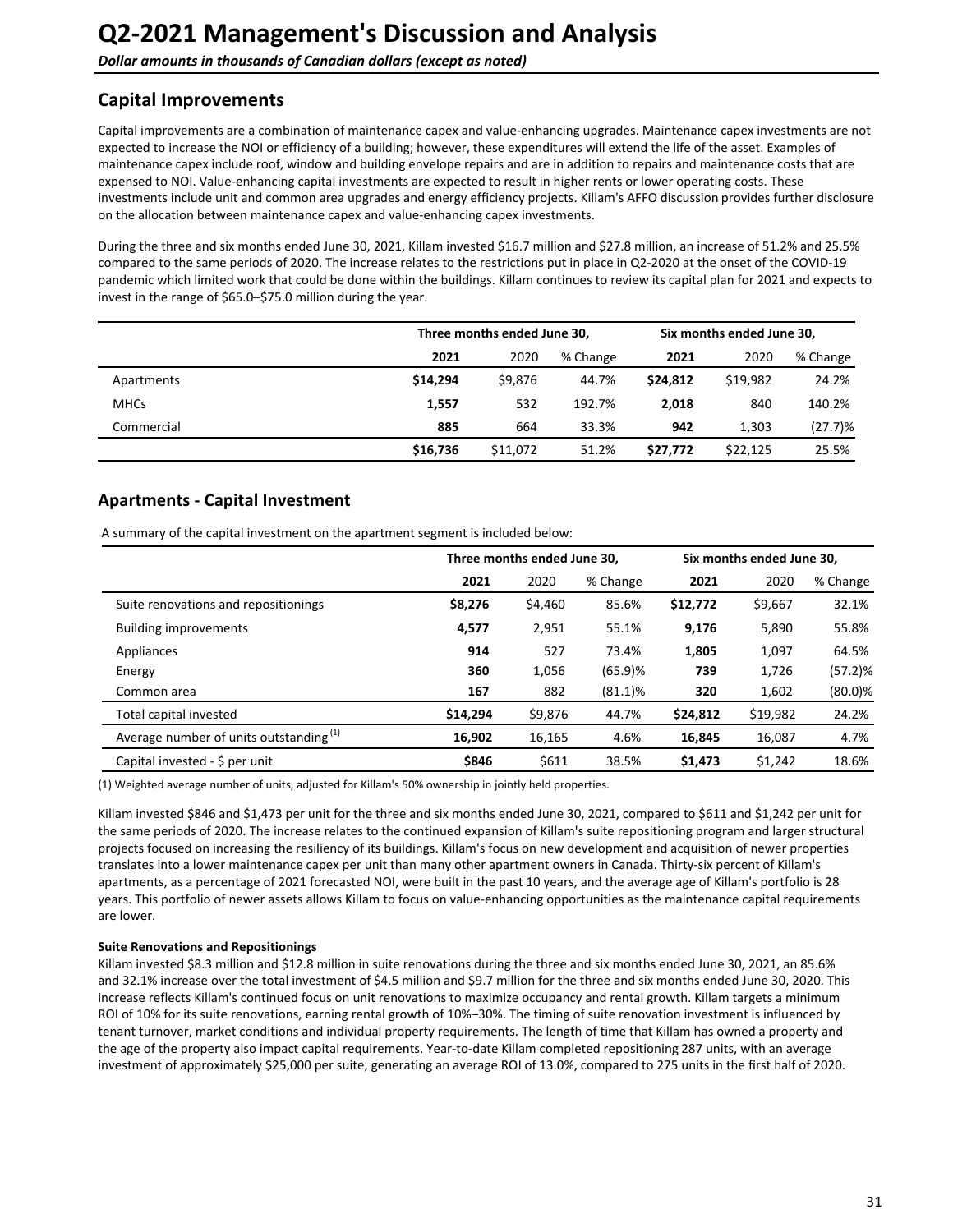## <span id="page-30-0"></span>**Capital Improvements**

Capital improvements are a combination of maintenance capex and value-enhancing upgrades. Maintenance capex investments are not expected to increase the NOI or efficiency of a building; however, these expenditures will extend the life of the asset. Examples of maintenance capex include roof, window and building envelope repairs and are in addition to repairs and maintenance costs that are expensed to NOI. Value-enhancing capital investments are expected to result in higher rents or lower operating costs. These investments include unit and common area upgrades and energy efficiency projects. Killam's AFFO discussion provides further disclosure on the allocation between maintenance capex and value-enhancing capex investments.

During the three and six months ended June 30, 2021, Killam invested \$16.7 million and \$27.8 million, an increase of 51.2% and 25.5% compared to the same periods of 2020. The increase relates to the restrictions put in place in Q2-2020 at the onset of the COVID-19 pandemic which limited work that could be done within the buildings. Killam continues to review its capital plan for 2021 and expects to invest in the range of  $$65.0–$75.0$  million during the year.

|             |          | Three months ended June 30, |          |          | Six months ended June 30, |          |  |
|-------------|----------|-----------------------------|----------|----------|---------------------------|----------|--|
|             | 2021     | 2020                        | % Change | 2021     | 2020                      | % Change |  |
| Apartments  | \$14.294 | \$9,876                     | 44.7%    | \$24.812 | \$19.982                  | 24.2%    |  |
| <b>MHCs</b> | 1,557    | 532                         | 192.7%   | 2,018    | 840                       | 140.2%   |  |
| Commercial  | 885      | 664                         | 33.3%    | 942      | 1.303                     | (27.7)%  |  |
|             | \$16,736 | \$11,072                    | 51.2%    | \$27,772 | \$22,125                  | 25.5%    |  |

## **Apartments - Capital Investment**

A summary of the capital investment on the apartment segment is included below:

|                                                    |          | Three months ended June 30, |            |          | Six months ended June 30. |            |  |
|----------------------------------------------------|----------|-----------------------------|------------|----------|---------------------------|------------|--|
|                                                    | 2021     | 2020                        | % Change   | 2021     | 2020                      | % Change   |  |
| Suite renovations and repositionings               | \$8,276  | \$4,460                     | 85.6%      | \$12,772 | \$9,667                   | 32.1%      |  |
| <b>Building improvements</b>                       | 4,577    | 2,951                       | 55.1%      | 9,176    | 5,890                     | 55.8%      |  |
| Appliances                                         | 914      | 527                         | 73.4%      | 1,805    | 1,097                     | 64.5%      |  |
| Energy                                             | 360      | 1,056                       | (65.9)%    | 739      | 1,726                     | (57.2)%    |  |
| Common area                                        | 167      | 882                         | $(81.1)\%$ | 320      | 1,602                     | $(80.0)$ % |  |
| Total capital invested                             | \$14,294 | \$9,876                     | 44.7%      | \$24,812 | \$19,982                  | 24.2%      |  |
| Average number of units outstanding <sup>(1)</sup> | 16,902   | 16,165                      | 4.6%       | 16,845   | 16,087                    | 4.7%       |  |
| Capital invested - \$ per unit                     | \$846    | \$611                       | 38.5%      | \$1,473  | \$1.242                   | 18.6%      |  |

(1) Weighted average number of units, adjusted for Killam's 50% ownership in jointly held properties.

Killam invested \$846 and \$1,473 per unit for the three and six months ended June 30, 2021, compared to \$611 and \$1,242 per unit for the same periods of 2020. The increase relates to the continued expansion of Killam's suite repositioning program and larger structural projects focused on increasing the resiliency of its buildings. Killam's focus on new development and acquisition of newer properties translates into a lower maintenance capex per unit than many other apartment owners in Canada. Thirty-six percent of Killam's apartments, as a percentage of 2021 forecasted NOI, were built in the past 10 years, and the average age of Killam's portfolio is 28 years. This portfolio of newer assets allows Killam to focus on value-enhancing opportunities as the maintenance capital requirements are lower.

#### **Suite Renovations and Repositionings**

Killam invested \$8.3 million and \$12.8 million in suite renovations during the three and six months ended June 30, 2021, an 85.6% and 32.1% increase over the total investment of \$4.5 million and \$9.7 million for the three and six months ended June 30, 2020. This increase reflects Killam's continued focus on unit renovations to maximize occupancy and rental growth. Killam targets a minimum ROI of 10% for its suite renovations, earning rental growth of 10%–30%. The timing of suite renovation investment is influenced by tenant turnover, market conditions and individual property requirements. The length of time that Killam has owned a property and the age of the property also impact capital requirements. Year-to-date Killam completed repositioning 287 units, with an average investment of approximately \$25,000 per suite, generating an average ROI of 13.0%, compared to 275 units in the first half of 2020.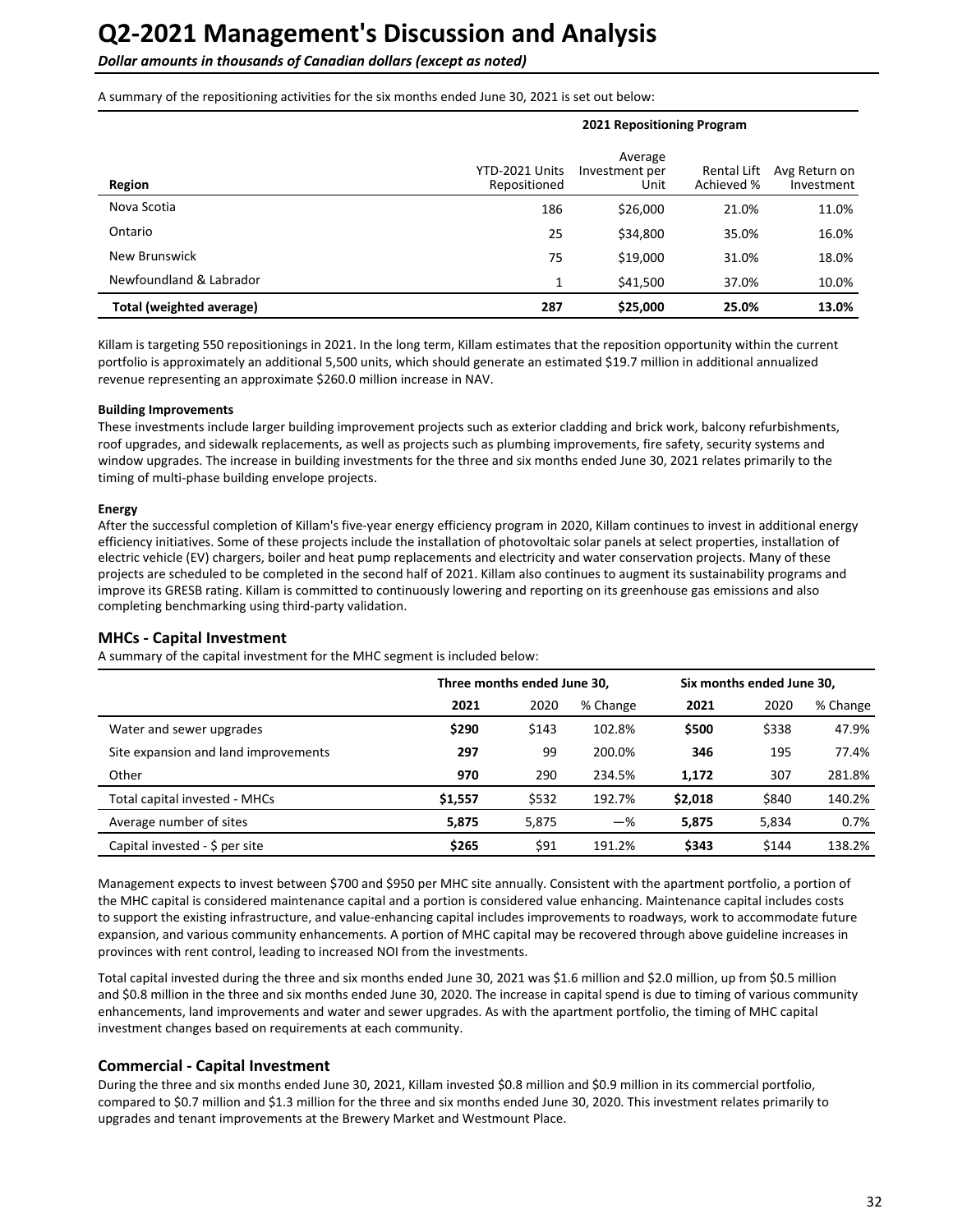**Dollar amounts in thousands of Canadian dollars (except as noted)** 

A summary of the repositioning activities for the six months ended June 30, 2021 is set out below:

| Region                   | YTD-2021 Units<br>Repositioned | Average<br>Investment per<br>Unit | Rental Lift<br>Achieved % | Avg Return on<br>Investment |  |
|--------------------------|--------------------------------|-----------------------------------|---------------------------|-----------------------------|--|
| Nova Scotia              | 186                            | \$26,000                          | 21.0%                     | 11.0%                       |  |
| Ontario                  | 25                             | \$34,800                          | 35.0%                     | 16.0%                       |  |
| New Brunswick            | 75                             | \$19,000                          | 31.0%                     | 18.0%                       |  |
| Newfoundland & Labrador  | 1                              | \$41,500                          | 37.0%                     | 10.0%                       |  |
| Total (weighted average) | 287                            | \$25,000                          | 25.0%                     | 13.0%                       |  |

**2021 Repositioning Program**

Killam is targeting 550 repositionings in 2021. In the long term, Killam estimates that the reposition opportunity within the current portfolio is approximately an additional 5,500 units, which should generate an estimated \$19.7 million in additional annualized revenue representing an approximate \$260.0 million increase in NAV.

#### **Building Improvements**

These investments include larger building improvement projects such as exterior cladding and brick work, balcony refurbishments, roof upgrades, and sidewalk replacements, as well as projects such as plumbing improvements, fire safety, security systems and window upgrades. The increase in building investments for the three and six months ended June 30, 2021 relates primarily to the timing of multi-phase building envelope projects.

#### **Energy**

After the successful completion of Killam's five-year energy efficiency program in 2020, Killam continues to invest in additional energy efficiency initiatives. Some of these projects include the installation of photovoltaic solar panels at select properties, installation of electric vehicle (EV) chargers, boiler and heat pump replacements and electricity and water conservation projects. Many of these projects are scheduled to be completed in the second half of 2021. Killam also continues to augment its sustainability programs and improve its GRESB rating. Killam is committed to continuously lowering and reporting on its greenhouse gas emissions and also completing benchmarking using third-party validation.

#### **MHCs - Capital Investment**

A summary of the capital investment for the MHC segment is included below:

|                                      | Three months ended June 30, |       |          | Six months ended June 30, |       |          |
|--------------------------------------|-----------------------------|-------|----------|---------------------------|-------|----------|
|                                      | 2021                        | 2020  | % Change | 2021                      | 2020  | % Change |
| Water and sewer upgrades             | \$290                       | \$143 | 102.8%   | \$500                     | \$338 | 47.9%    |
| Site expansion and land improvements | 297                         | 99    | 200.0%   | 346                       | 195   | 77.4%    |
| Other                                | 970                         | 290   | 234.5%   | 1.172                     | 307   | 281.8%   |
| Total capital invested - MHCs        | \$1,557                     | \$532 | 192.7%   | \$2,018                   | \$840 | 140.2%   |
| Average number of sites              | 5,875                       | 5,875 | $-\%$    | 5,875                     | 5,834 | 0.7%     |
| Capital invested - \$ per site       | \$265                       | \$91  | 191.2%   | \$343                     | \$144 | 138.2%   |

Management expects to invest between \$700 and \$950 per MHC site annually. Consistent with the apartment portfolio, a portion of the MHC capital is considered maintenance capital and a portion is considered value enhancing. Maintenance capital includes costs to support the existing infrastructure, and value-enhancing capital includes improvements to roadways, work to accommodate future expansion, and various community enhancements. A portion of MHC capital may be recovered through above guideline increases in provinces with rent control, leading to increased NOI from the investments.

Total capital invested during the three and six months ended June 30, 2021 was \$1.6 million and \$2.0 million, up from \$0.5 million and \$0.8 million in the three and six months ended June 30, 2020. The increase in capital spend is due to timing of various community enhancements, land improvements and water and sewer upgrades. As with the apartment portfolio, the timing of MHC capital investment changes based on requirements at each community.

#### **Commercial - Capital Investment**

During the three and six months ended June 30, 2021, Killam invested \$0.8 million and \$0.9 million in its commercial portfolio, compared to \$0.7 million and \$1.3 million for the three and six months ended June 30, 2020. This investment relates primarily to upgrades and tenant improvements at the Brewery Market and Westmount Place.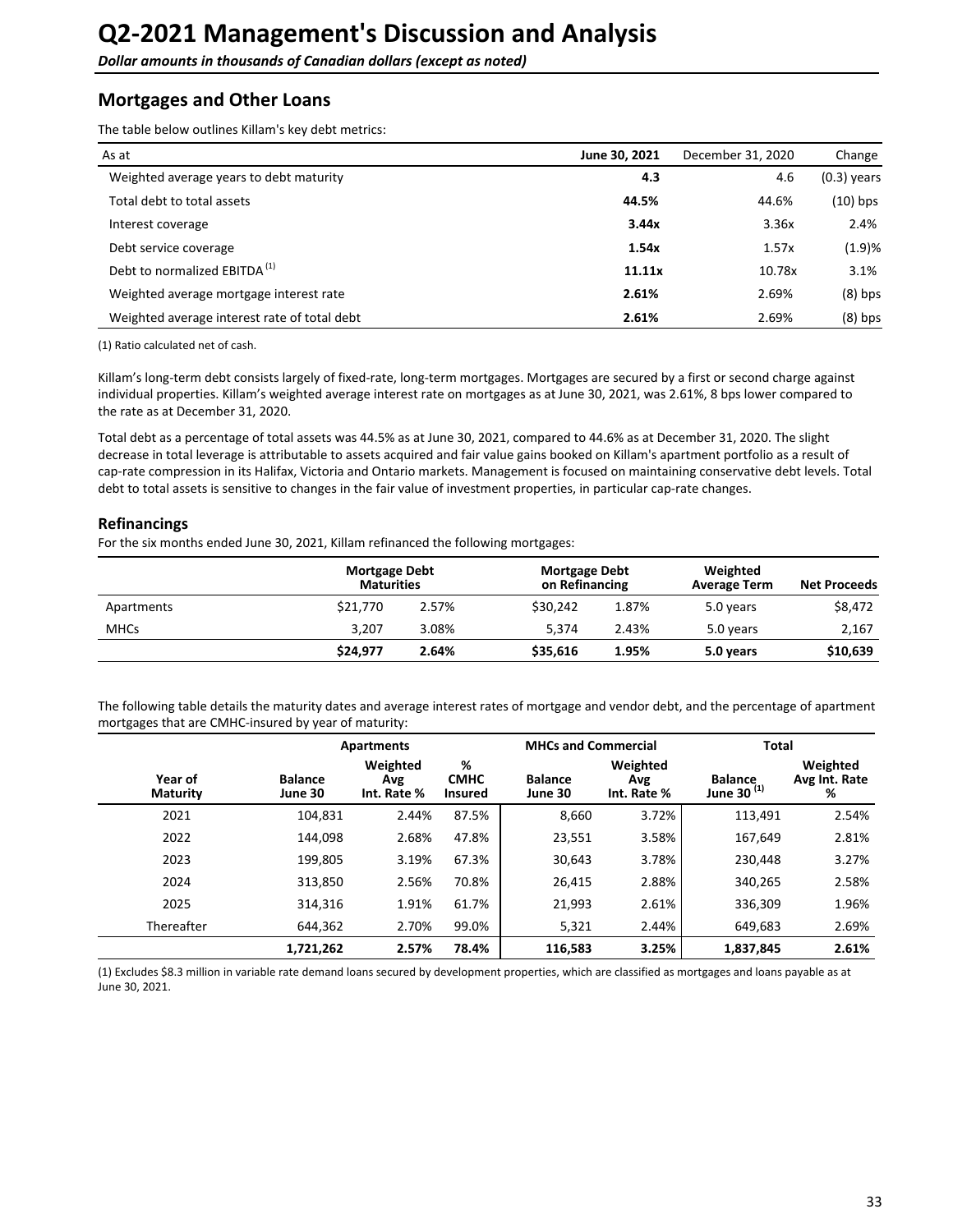## <span id="page-32-0"></span>**Mortgages and Other Loans**

The table below outlines Killam's key debt metrics:

| As at                                        | June 30, 2021 | December 31, 2020 | Change        |
|----------------------------------------------|---------------|-------------------|---------------|
| Weighted average years to debt maturity      | 4.3           | 4.6               | $(0.3)$ years |
| Total debt to total assets                   | 44.5%         | 44.6%             | $(10)$ bps    |
| Interest coverage                            | 3.44x         | 3.36x             | 2.4%          |
| Debt service coverage                        | 1.54x         | 1.57x             | (1.9)%        |
| Debt to normalized EBITDA <sup>(1)</sup>     | 11.11x        | 10.78x            | 3.1%          |
| Weighted average mortgage interest rate      | 2.61%         | 2.69%             | $(8)$ bps     |
| Weighted average interest rate of total debt | 2.61%         | 2.69%             | $(8)$ bps     |

(1) Ratio calculated net of cash.

Killam's long-term debt consists largely of fixed-rate, long-term mortgages. Mortgages are secured by a first or second charge against individual properties. Killam's weighted average interest rate on mortgages as at June 30, 2021, was 2.61%, 8 bps lower compared to the rate as at December 31, 2020.

Total debt as a percentage of total assets was 44.5% as at June 30, 2021, compared to 44.6% as at December 31, 2020. The slight decrease in total leverage is attributable to assets acquired and fair value gains booked on Killam's apartment portfolio as a result of cap-rate compression in its Halifax, Victoria and Ontario markets. Management is focused on maintaining conservative debt levels. Total debt to total assets is sensitive to changes in the fair value of investment properties, in particular cap-rate changes.

### **Refinancings**

For the six months ended June 30, 2021, Killam refinanced the following mortgages:

|             | <b>Mortgage Debt</b><br><b>Maturities</b> |       | Mortgage Debt<br>on Refinancing |       | Weighted<br><b>Average Term</b> | <b>Net Proceeds</b> |
|-------------|-------------------------------------------|-------|---------------------------------|-------|---------------------------------|---------------------|
| Apartments  | \$21,770                                  | 2.57% | \$30.242                        | 1.87% | 5.0 years                       | \$8,472             |
| <b>MHCs</b> | 3.207                                     | 3.08% | 5.374                           | 2.43% | 5.0 years                       | 2,167               |
|             | \$24.977                                  | 2.64% | \$35,616                        | 1.95% | 5.0 years                       | \$10,639            |

The following table details the maturity dates and average interest rates of mortgage and vendor debt, and the percentage of apartment mortgages that are CMHC-insured by year of maturity:

|                     |                           | <b>Apartments</b>              |                                    | <b>MHCs and Commercial</b> |                                | <b>Total</b>                             |                                |
|---------------------|---------------------------|--------------------------------|------------------------------------|----------------------------|--------------------------------|------------------------------------------|--------------------------------|
| Year of<br>Maturity | <b>Balance</b><br>June 30 | Weighted<br>Avg<br>Int. Rate % | %<br><b>CMHC</b><br><b>Insured</b> | <b>Balance</b><br>June 30  | Weighted<br>Avg<br>Int. Rate % | <b>Balance</b><br>June 30 <sup>(1)</sup> | Weighted<br>Avg Int. Rate<br>% |
| 2021                | 104,831                   | 2.44%                          | 87.5%                              | 8,660                      | 3.72%                          | 113,491                                  | 2.54%                          |
| 2022                | 144.098                   | 2.68%                          | 47.8%                              | 23,551                     | 3.58%                          | 167,649                                  | 2.81%                          |
| 2023                | 199,805                   | 3.19%                          | 67.3%                              | 30,643                     | 3.78%                          | 230,448                                  | 3.27%                          |
| 2024                | 313,850                   | 2.56%                          | 70.8%                              | 26,415                     | 2.88%                          | 340,265                                  | 2.58%                          |
| 2025                | 314,316                   | 1.91%                          | 61.7%                              | 21,993                     | 2.61%                          | 336,309                                  | 1.96%                          |
| Thereafter          | 644,362                   | 2.70%                          | 99.0%                              | 5,321                      | 2.44%                          | 649,683                                  | 2.69%                          |
|                     | 1,721,262                 | 2.57%                          | 78.4%                              | 116,583                    | 3.25%                          | 1,837,845                                | 2.61%                          |

(1) Excludes \$8.3 million in variable rate demand loans secured by development properties, which are classified as mortgages and loans payable as at June 30, 2021.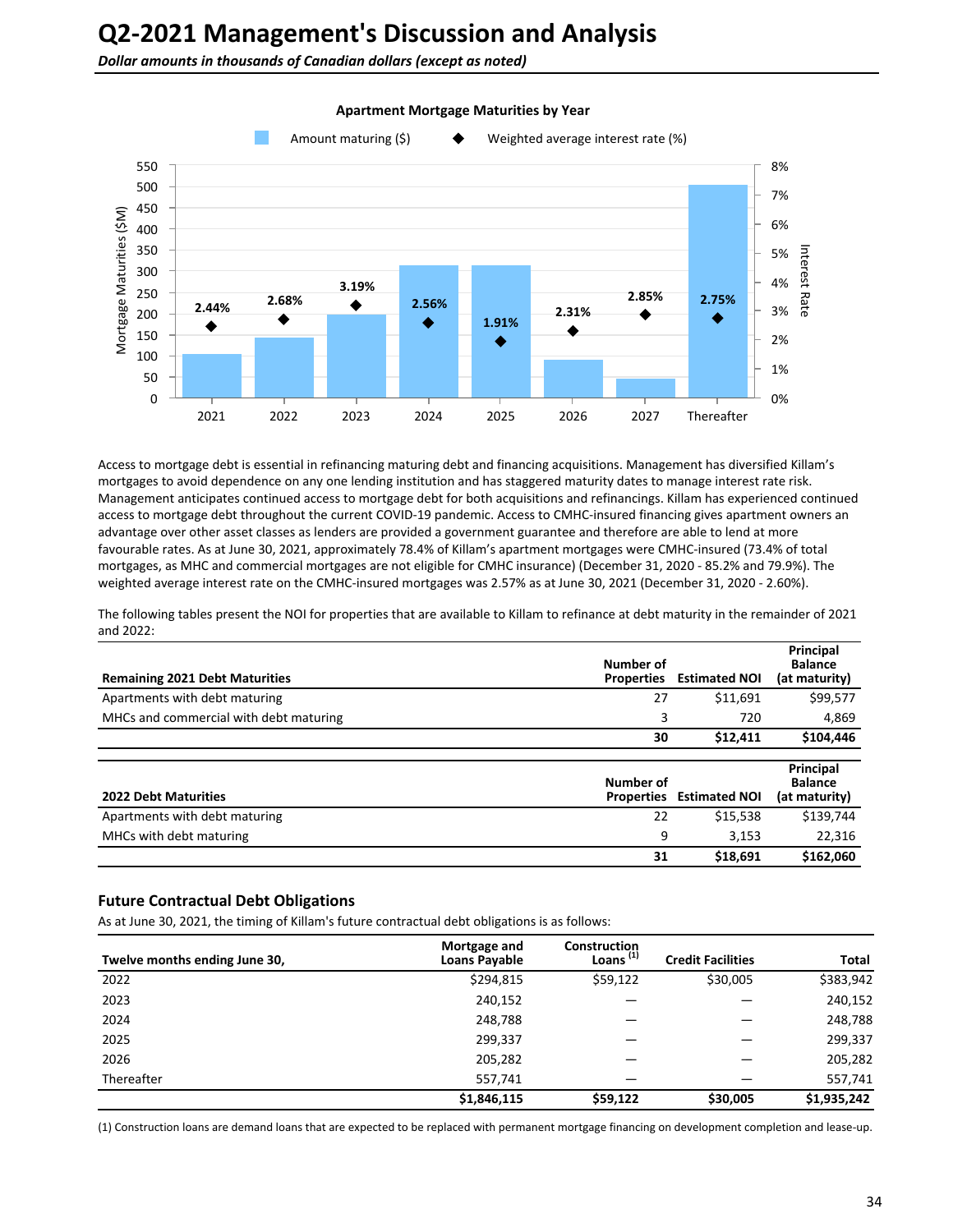**Dollar amounts in thousands of Canadian dollars (except as noted)** 



#### **Apartment Mortgage Maturities by Year**

Access to mortgage debt is essential in refinancing maturing debt and financing acquisitions. Management has diversified Killam's mortgages to avoid dependence on any one lending institution and has staggered maturity dates to manage interest rate risk. Management anticipates continued access to mortgage debt for both acquisitions and refinancings. Killam has experienced continued access to mortgage debt throughout the current COVID-19 pandemic. Access to CMHC-insured financing gives apartment owners an advantage over other asset classes as lenders are provided a government guarantee and therefore are able to lend at more favourable rates. As at June 30, 2021, approximately 78.4% of Killam's apartment mortgages were CMHC-insured (73.4% of total mortgages, as MHC and commercial mortgages are not eligible for CMHC insurance) (December 31, 2020 - 85.2% and 79.9%). The weighted average interest rate on the CMHC-insured mortgages was 2.57% as at June 30, 2021 (December 31, 2020 - 2.60%).

The following tables present the NOI for properties that are available to Killam to refinance at debt maturity in the remainder of 2021 and 2022:

| <b>Remaining 2021 Debt Maturities</b>  | Number of<br><b>Properties</b> | <b>Estimated NOI</b> | Principal<br><b>Balance</b><br>(at maturity) |
|----------------------------------------|--------------------------------|----------------------|----------------------------------------------|
| Apartments with debt maturing          | 27                             | \$11,691             | \$99,577                                     |
| MHCs and commercial with debt maturing | 3                              | 720                  | 4,869                                        |
|                                        | 30                             | \$12,411             | \$104,446                                    |
|                                        |                                |                      | Principal                                    |
|                                        | Number of                      |                      | <b>Balance</b>                               |
| <b>2022 Debt Maturities</b>            | <b>Properties</b>              | <b>Estimated NOI</b> | (at maturity)                                |
| Apartments with debt maturing          | 22                             | \$15,538             | \$139,744                                    |
| MHCs with debt maturing                | 9                              | 3.153                | 22,316                                       |

#### **Future Contractual Debt Obligations**

As at June 30, 2021, the timing of Killam's future contractual debt obligations is as follows:

| Twelve months ending June 30, | Mortgage and<br><b>Loans Payable</b> | Construction<br>Loans $(1)$ | <b>Credit Facilities</b> | Total       |
|-------------------------------|--------------------------------------|-----------------------------|--------------------------|-------------|
| 2022                          | \$294,815                            | \$59,122                    | \$30,005                 | \$383,942   |
| 2023                          | 240,152                              |                             |                          | 240,152     |
| 2024                          | 248,788                              |                             |                          | 248,788     |
| 2025                          | 299,337                              |                             |                          | 299,337     |
| 2026                          | 205,282                              |                             |                          | 205,282     |
| Thereafter                    | 557,741                              |                             |                          | 557,741     |
|                               | \$1,846,115                          | \$59,122                    | \$30,005                 | \$1,935,242 |

(1) Construction loans are demand loans that are expected to be replaced with permanent mortgage financing on development completion and lease-up.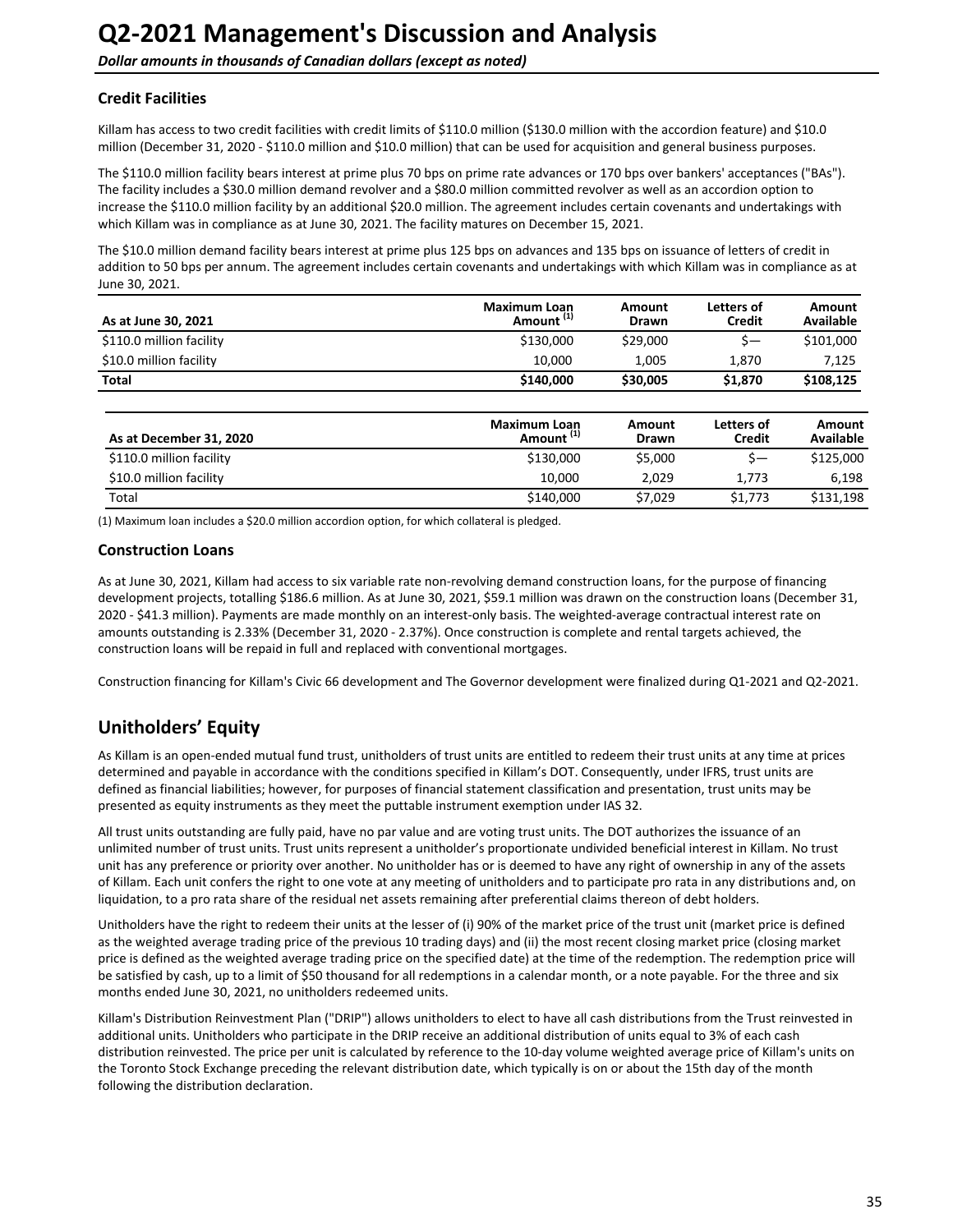### <span id="page-34-0"></span>**Credit Facilities**

Killam has access to two credit facilities with credit limits of \$110.0 million (\$130.0 million with the accordion feature) and \$10.0 million (December 31, 2020 - \$110.0 million and \$10.0 million) that can be used for acquisition and general business purposes.

The \$110.0 million facility bears interest at prime plus 70 bps on prime rate advances or 170 bps over bankers' acceptances ("BAs"). The facility includes a \$30.0 million demand revolver and a \$80.0 million committed revolver as well as an accordion option to increase the \$110.0 million facility by an additional \$20.0 million. The agreement includes certain covenants and undertakings with which Killam was in compliance as at June 30, 2021. The facility matures on December 15, 2021.

The \$10.0 million demand facility bears interest at prime plus 125 bps on advances and 135 bps on issuance of letters of credit in addition to 50 bps per annum. The agreement includes certain covenants and undertakings with which Killam was in compliance as at June 30, 2021.

| As at June 30, 2021      | <b>Maximum Loan</b><br>Amount <sup>(1)</sup> | Amount<br><b>Drawn</b> | Letters of<br><b>Credit</b> | Amount<br><b>Available</b> |
|--------------------------|----------------------------------------------|------------------------|-----------------------------|----------------------------|
| \$110.0 million facility | \$130,000                                    | \$29,000               | $S-$                        | \$101,000                  |
| \$10.0 million facility  | 10.000                                       | 1.005                  | 1.870                       | 7.125                      |
| Total                    | \$140,000                                    | \$30,005               | \$1,870                     | \$108,125                  |

| As at December 31, 2020  | <b>Maximum Loan</b><br>Amount <sup>(1)</sup> | Amount<br><b>Drawn</b> | Letters of<br>Credit | Amount<br>Available |
|--------------------------|----------------------------------------------|------------------------|----------------------|---------------------|
| \$110.0 million facility | \$130,000                                    | \$5,000                |                      | \$125,000           |
| \$10.0 million facility  | 10.000                                       | 2.029                  | 1.773                | 6.198               |
| Total                    | \$140,000                                    | \$7.029                | \$1,773              | \$131.198           |

(1) Maximum loan includes a \$20.0 million accordion option, for which collateral is pledged.

### **Construction Loans**

As at June 30, 2021, Killam had access to six variable rate non-revolving demand construction loans, for the purpose of financing development projects, totalling \$186.6 million. As at June 30, 2021, \$59.1 million was drawn on the construction loans (December 31, 2020 - \$41.3 million). Payments are made monthly on an interest-only basis. The weighted-average contractual interest rate on amounts outstanding is 2.33% (December 31, 2020 - 2.37%). Once construction is complete and rental targets achieved, the construction loans will be repaid in full and replaced with conventional mortgages.

Construction financing for Killam's Civic 66 development and The Governor development were finalized during Q1-2021 and Q2-2021.

## **Unitholders' Equity**

As Killam is an open-ended mutual fund trust, unitholders of trust units are entitled to redeem their trust units at any time at prices determined and payable in accordance with the conditions specified in Killam's DOT. Consequently, under IFRS, trust units are defined as financial liabilities; however, for purposes of financial statement classification and presentation, trust units may be presented as equity instruments as they meet the puttable instrument exemption under IAS 32.

All trust units outstanding are fully paid, have no par value and are voting trust units. The DOT authorizes the issuance of an unlimited number of trust units. Trust units represent a unitholder's proportionate undivided beneficial interest in Killam. No trust unit has any preference or priority over another. No unitholder has or is deemed to have any right of ownership in any of the assets of Killam. Each unit confers the right to one vote at any meeting of unitholders and to participate pro rata in any distributions and, on liquidation, to a pro rata share of the residual net assets remaining after preferential claims thereon of debt holders.

Unitholders have the right to redeem their units at the lesser of (i) 90% of the market price of the trust unit (market price is defined as the weighted average trading price of the previous 10 trading days) and (ii) the most recent closing market price (closing market price is defined as the weighted average trading price on the specified date) at the time of the redemption. The redemption price will be satisfied by cash, up to a limit of \$50 thousand for all redemptions in a calendar month, or a note payable. For the three and six months ended June 30, 2021, no unitholders redeemed units.

Killam's Distribution Reinvestment Plan ("DRIP") allows unitholders to elect to have all cash distributions from the Trust reinvested in additional units. Unitholders who participate in the DRIP receive an additional distribution of units equal to 3% of each cash distribution reinvested. The price per unit is calculated by reference to the 10-day volume weighted average price of Killam's units on the Toronto Stock Exchange preceding the relevant distribution date, which typically is on or about the 15th day of the month following the distribution declaration.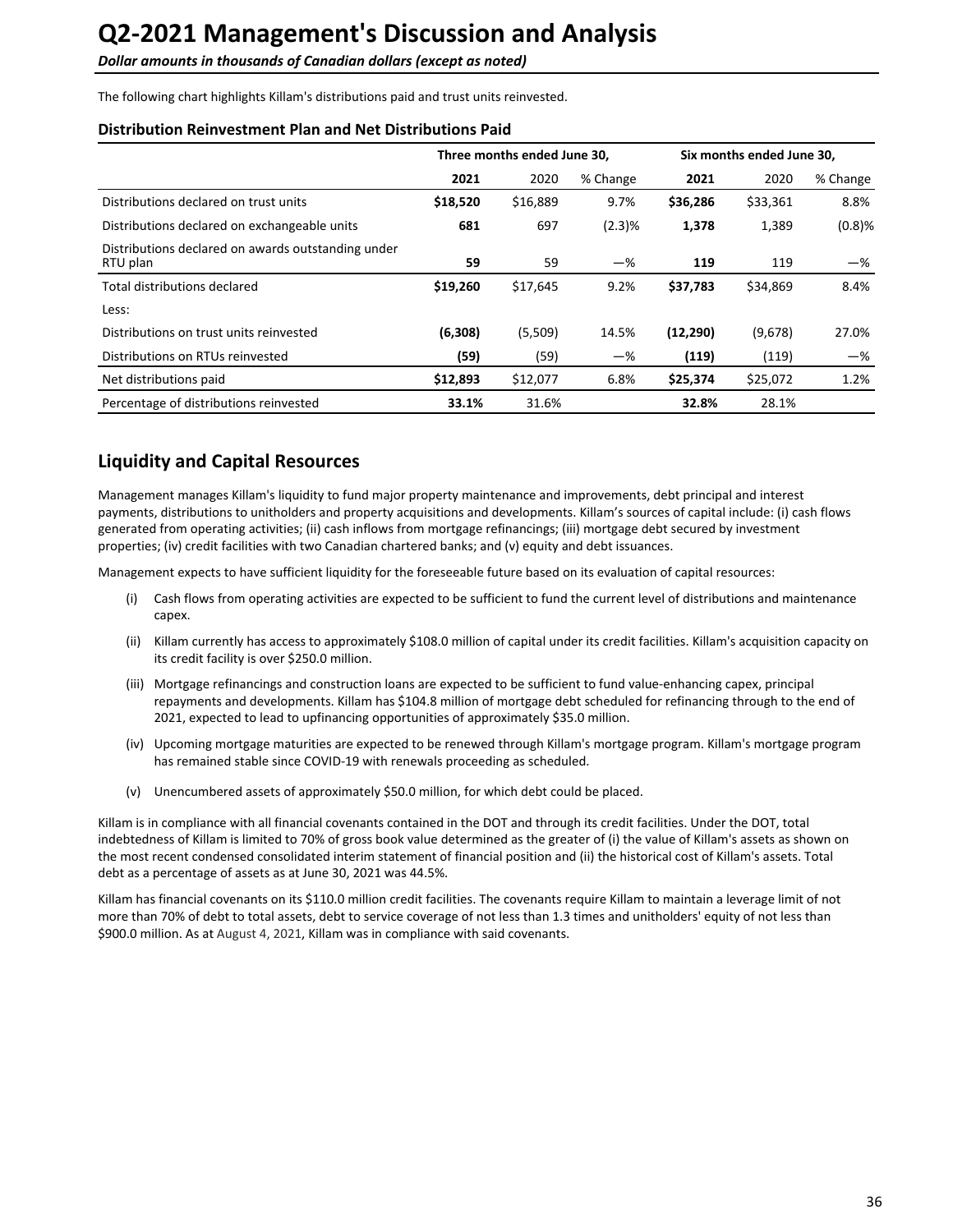<span id="page-35-0"></span>**Dollar amounts in thousands of Canadian dollars (except as noted)** 

The following chart highlights Killam's distributions paid and trust units reinvested.

#### **Distribution Reinvestment Plan and Net Distributions Paid**

|                                                                | Three months ended June 30, |          |          | Six months ended June 30, |          |           |
|----------------------------------------------------------------|-----------------------------|----------|----------|---------------------------|----------|-----------|
|                                                                | 2021                        | 2020     | % Change | 2021                      | 2020     | % Change  |
| Distributions declared on trust units                          | \$18,520                    | \$16,889 | 9.7%     | \$36,286                  | \$33,361 | 8.8%      |
| Distributions declared on exchangeable units                   | 681                         | 697      | (2.3)%   | 1,378                     | 1,389    | $(0.8)$ % |
| Distributions declared on awards outstanding under<br>RTU plan | 59                          | 59       | $-\%$    | 119                       | 119      | -%        |
| Total distributions declared                                   | \$19,260                    | \$17,645 | 9.2%     | \$37,783                  | \$34,869 | 8.4%      |
| Less:                                                          |                             |          |          |                           |          |           |
| Distributions on trust units reinvested                        | (6,308)                     | (5,509)  | 14.5%    | (12, 290)                 | (9,678)  | 27.0%     |
| Distributions on RTUs reinvested                               | (59)                        | (59)     | $-\%$    | (119)                     | (119)    | -%        |
| Net distributions paid                                         | \$12,893                    | \$12,077 | 6.8%     | \$25,374                  | \$25,072 | 1.2%      |
| Percentage of distributions reinvested                         | 33.1%                       | 31.6%    |          | 32.8%                     | 28.1%    |           |

## **Liquidity and Capital Resources**

Management manages Killam's liquidity to fund major property maintenance and improvements, debt principal and interest payments, distributions to unitholders and property acquisitions and developments. Killam's sources of capital include: (i) cash flows generated from operating activities; (ii) cash inflows from mortgage refinancings; (iii) mortgage debt secured by investment properties; (iv) credit facilities with two Canadian chartered banks; and (v) equity and debt issuances.

Management expects to have sufficient liquidity for the foreseeable future based on its evaluation of capital resources:

- (i) Cash flows from operating activities are expected to be sufficient to fund the current level of distributions and maintenance capex.
- (ii) Killam currently has access to approximately \$108.0 million of capital under its credit facilities. Killam's acquisition capacity on its credit facility is over \$250.0 million.
- (iii) Mortgage refinancings and construction loans are expected to be sufficient to fund value-enhancing capex, principal repayments and developments. Killam has \$104.8 million of mortgage debt scheduled for refinancing through to the end of 2021, expected to lead to upfinancing opportunities of approximately \$35.0 million.
- (iv) Upcoming mortgage maturities are expected to be renewed through Killam's mortgage program. Killam's mortgage program has remained stable since COVID-19 with renewals proceeding as scheduled.
- (v) Unencumbered assets of approximately \$50.0 million, for which debt could be placed.

Killam is in compliance with all financial covenants contained in the DOT and through its credit facilities. Under the DOT, total indebtedness of Killam is limited to 70% of gross book value determined as the greater of (i) the value of Killam's assets as shown on the most recent condensed consolidated interim statement of financial position and (ii) the historical cost of Killam's assets. Total debt as a percentage of assets as at June 30, 2021 was 44.5%.

Killam has financial covenants on its \$110.0 million credit facilities. The covenants require Killam to maintain a leverage limit of not more than 70% of debt to total assets, debt to service coverage of not less than 1.3 times and unitholders' equity of not less than \$900.0 million. As at August 4, 2021, Killam was in compliance with said covenants.